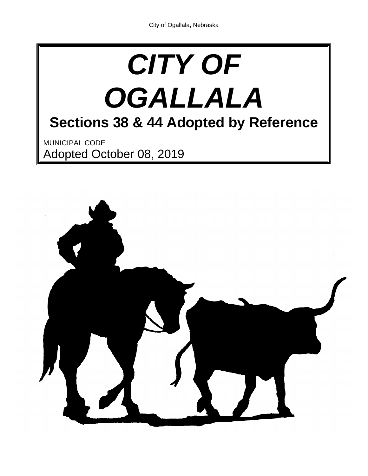# *CITY OF OGALLALA* **Sections 38 & 44 Adopted by Reference** MUNICIPAL CODE Adopted October 08, 2019

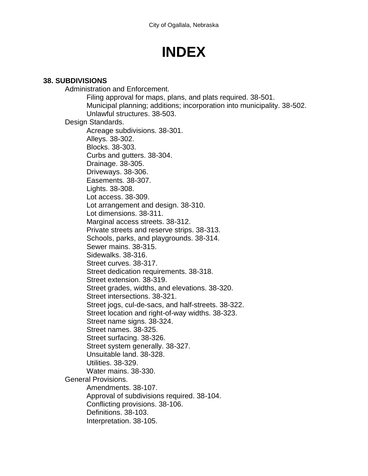## **INDEX**

#### **38. SUBDIVISIONS**

Administration and Enforcement. Filing approval for maps, plans, and plats required. 38-501. Municipal planning; additions; incorporation into municipality. 38-502. Unlawful structures. 38-503. Design Standards. Acreage subdivisions. 38-301. Alleys. 38-302. Blocks. 38-303. Curbs and gutters. 38-304. Drainage. 38-305. Driveways. 38-306. Easements. 38-307. Lights. 38-308. Lot access. 38-309. Lot arrangement and design. 38-310. Lot dimensions. 38-311. Marginal access streets. 38-312. Private streets and reserve strips. 38-313. Schools, parks, and playgrounds. 38-314. Sewer mains. 38-315. Sidewalks. 38-316. Street curves. 38-317. Street dedication requirements. 38-318. Street extension. 38-319. Street grades, widths, and elevations. 38-320. Street intersections. 38-321. Street jogs, cul-de-sacs, and half-streets. 38-322. Street location and right-of-way widths. 38-323. Street name signs. 38-324. Street names. 38-325. Street surfacing. 38-326. Street system generally. 38-327. Unsuitable land. 38-328. Utilities. 38-329. Water mains. 38-330. General Provisions. Amendments. 38-107. Approval of subdivisions required. 38-104. Conflicting provisions. 38-106. Definitions. 38-103. Interpretation. 38-105.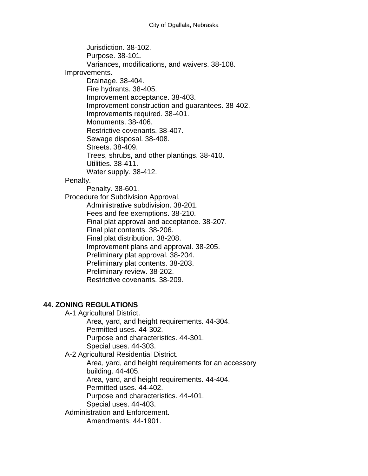Jurisdiction. 38-102. Purpose. 38-101. Variances, modifications, and waivers. 38-108. Improvements. Drainage. 38-404. Fire hydrants. 38-405. Improvement acceptance. 38-403. Improvement construction and guarantees. 38-402. Improvements required. 38-401. Monuments. 38-406. Restrictive covenants. 38-407. Sewage disposal. 38-408. Streets. 38-409. Trees, shrubs, and other plantings. 38-410. Utilities. 38-411. Water supply. 38-412. Penalty. Penalty. 38-601. Procedure for Subdivision Approval. Administrative subdivision. 38-201. Fees and fee exemptions. 38-210. Final plat approval and acceptance. 38-207. Final plat contents. 38-206. Final plat distribution. 38-208. Improvement plans and approval. 38-205. Preliminary plat approval. 38-204. Preliminary plat contents. 38-203. Preliminary review. 38-202. Restrictive covenants. 38-209.

#### **44. ZONING REGULATIONS**

A-1 Agricultural District. Area, yard, and height requirements. 44-304. Permitted uses. 44-302. Purpose and characteristics. 44-301. Special uses. 44-303.

A-2 Agricultural Residential District.

Area, yard, and height requirements for an accessory building. 44-405. Area, yard, and height requirements. 44-404. Permitted uses. 44-402.

Purpose and characteristics. 44-401.

Special uses. 44-403.

Administration and Enforcement.

Amendments. 44-1901.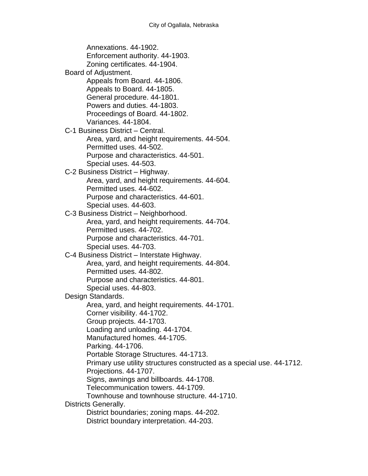Annexations. 44-1902. Enforcement authority. 44-1903. Zoning certificates. 44-1904. Board of Adjustment. Appeals from Board. 44-1806. Appeals to Board. 44-1805. General procedure. 44-1801. Powers and duties. 44-1803. Proceedings of Board. 44-1802. Variances. 44-1804. C-1 Business District – Central. Area, yard, and height requirements. 44-504. Permitted uses. 44-502. Purpose and characteristics. 44-501. Special uses. 44-503. C-2 Business District – Highway. Area, yard, and height requirements. 44-604. Permitted uses. 44-602. Purpose and characteristics. 44-601. Special uses. 44-603. C-3 Business District – Neighborhood. Area, yard, and height requirements. 44-704. Permitted uses. 44-702. Purpose and characteristics. 44-701. Special uses. 44-703. C-4 Business District – Interstate Highway. Area, yard, and height requirements. 44-804. Permitted uses. 44-802. Purpose and characteristics. 44-801. Special uses. 44-803. Design Standards. Area, yard, and height requirements. 44-1701. Corner visibility. 44-1702. Group projects. 44-1703. Loading and unloading. 44-1704. Manufactured homes. 44-1705. Parking. 44-1706. Portable Storage Structures. 44-1713. Primary use utility structures constructed as a special use. 44-1712. Projections. 44-1707. Signs, awnings and billboards. 44-1708. Telecommunication towers. 44-1709. Townhouse and townhouse structure. 44-1710. Districts Generally. District boundaries; zoning maps. 44-202. District boundary interpretation. 44-203.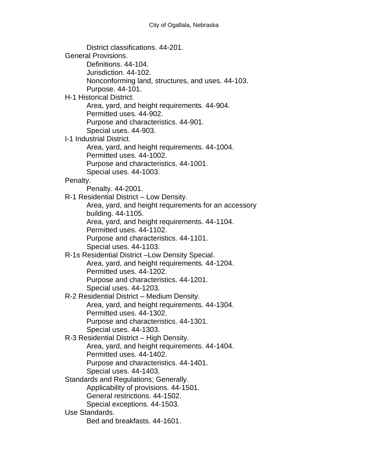District classifications. 44-201. General Provisions. Definitions. 44-104. Jurisdiction. 44-102. Nonconforming land, structures, and uses. 44-103. Purpose. 44-101. H-1 Historical District. Area, yard, and height requirements. 44-904. Permitted uses. 44-902. Purpose and characteristics. 44-901. Special uses. 44-903. I-1 Industrial District. Area, yard, and height requirements. 44-1004. Permitted uses. 44-1002. Purpose and characteristics. 44-1001. Special uses. 44-1003. Penalty. Penalty. 44-2001. R-1 Residential District – Low Density. Area, yard, and height requirements for an accessory building. 44-1105. Area, yard, and height requirements. 44-1104. Permitted uses. 44-1102. Purpose and characteristics. 44-1101. Special uses. 44-1103. R-1s Residential District –Low Density Special. Area, yard, and height requirements. 44-1204. Permitted uses. 44-1202. Purpose and characteristics. 44-1201. Special uses. 44-1203. R-2 Residential District – Medium Density. Area, yard, and height requirements. 44-1304. Permitted uses. 44-1302. Purpose and characteristics. 44-1301. Special uses. 44-1303. R-3 Residential District – High Density. Area, yard, and height requirements. 44-1404. Permitted uses. 44-1402. Purpose and characteristics. 44-1401. Special uses. 44-1403. Standards and Regulations; Generally. Applicability of provisions. 44-1501. General restrictions. 44-1502. Special exceptions. 44-1503. Use Standards. Bed and breakfasts. 44-1601.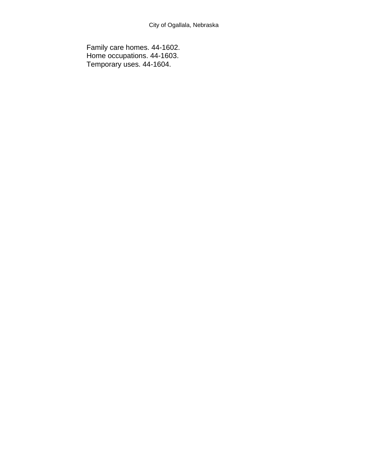Family care homes. 44-1602. Home occupations. 44-1603. Temporary uses. 44-1604.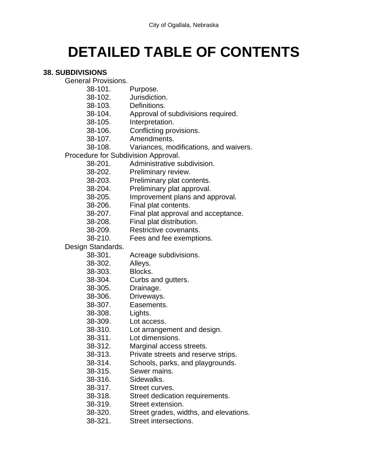## **DETAILED TABLE OF CONTENTS**

#### **38. SUBDIVISIONS**

General Provisions.

- 38-101. Purpose.
- 38-102. Jurisdiction.
- 38-103. Definitions.
- 38-104. Approval of subdivisions required.
- 38-105. Interpretation.
- 38-106. Conflicting provisions.
- 38-107. Amendments.
- 38-108. Variances, modifications, and waivers.

Procedure for Subdivision Approval.

- 38-201. Administrative subdivision.
- 38-202. Preliminary review.
- 38-203. Preliminary plat contents.
- 38-204. Preliminary plat approval.
- 38-205. Improvement plans and approval.
- 38-206. Final plat contents.
- 38-207. Final plat approval and acceptance.
- 38-208. Final plat distribution.
- 38-209. Restrictive covenants.
- 38-210. Fees and fee exemptions.

Design Standards.

- 38-301. Acreage subdivisions.
- 38-302. Alleys.
- 38-303. Blocks.
- 38-304. Curbs and gutters.
- 38-305. Drainage.
- 38-306. Driveways.
- 38-307. Easements.
- 38-308. Lights.
- 38-309. Lot access.
- 38-310. Lot arrangement and design.
- 38-311. Lot dimensions.
- 38-312. Marginal access streets.
- 38-313. Private streets and reserve strips.
- 38-314. Schools, parks, and playgrounds.
- 38-315. Sewer mains.
- 38-316. Sidewalks.
- 38-317. Street curves.
- 38-318. Street dedication requirements.
- 38-319. Street extension.
- 38-320. Street grades, widths, and elevations.
- 38-321. Street intersections.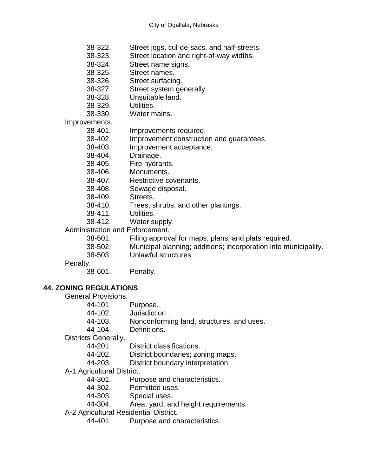- 38-322. Street jogs, cul-de-sacs, and half-streets.
- 38-323. Street location and right-of-way widths.
- 38-324. Street name signs.
- 38-325. Street names.
- 38-326. Street surfacing.
- 38-327. Street system generally.
- 38-328. Unsuitable land.
- 38-329. Utilities.
- 38-330. Water mains.

Improvements.

- 38-401. Improvements required.
- 38-402. Improvement construction and guarantees.
- 38-403. Improvement acceptance.
- 38-404. Drainage.
- 38-405. Fire hydrants.
- 38-406. Monuments.
- 38-407. Restrictive covenants.
- 38-408. Sewage disposal.
- 38-409. Streets.
- 38-410. Trees, shrubs, and other plantings.
- 38-411. Utilities.
- 38-412. Water supply.

#### Administration and Enforcement.

- 38-501. Filing approval for maps, plans, and plats required.
- 38-502. Municipal planning; additions; incorporation into municipality.
- 38-503. Unlawful structures.

#### Penalty.

38-601. Penalty.

#### **44. ZONING REGULATIONS**

General Provisions.

- 44-101. Purpose.
- 44-102. Jurisdiction.
- 44-103. Nonconforming land, structures, and uses.
- 44-104. Definitions.

Districts Generally.

- 44-201. District classifications.
- 44-202. District boundaries; zoning maps.
- 44-203. District boundary interpretation.
- A-1 Agricultural District.
	- 44-301. Purpose and characteristics.
	- 44-302. Permitted uses.
	- 44-303. Special uses.
	- 44-304. Area, yard, and height requirements.
- A-2 Agricultural Residential District.
	- 44-401. Purpose and characteristics.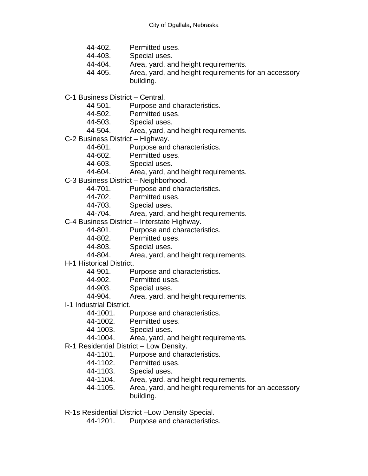- 44-402. Permitted uses.
- 44-403. Special uses.
- 44-404. Area, yard, and height requirements.
- 44-405. Area, yard, and height requirements for an accessory building.
- C-1 Business District Central.
	- 44-501. Purpose and characteristics.
	- 44-502. Permitted uses.
	- 44-503. Special uses.
	- 44-504. Area, yard, and height requirements.
- C-2 Business District Highway.
	- 44-601. Purpose and characteristics.
	- 44-602. Permitted uses.
	- 44-603. Special uses.
	- 44-604. Area, yard, and height requirements.
- C-3 Business District Neighborhood.
	- 44-701. Purpose and characteristics.
	- 44-702. Permitted uses.
	- 44-703. Special uses.
	- 44-704. Area, yard, and height requirements.
- C-4 Business District Interstate Highway.
	- 44-801. Purpose and characteristics.
	- 44-802. Permitted uses.
	- 44-803. Special uses.
	- 44-804. Area, yard, and height requirements.
- H-1 Historical District.
	- 44-901. Purpose and characteristics.
	- 44-902. Permitted uses.
	- 44-903. Special uses.
	- 44-904. Area, yard, and height requirements.
- I-1 Industrial District.
	- 44-1001. Purpose and characteristics.
	- 44-1002. Permitted uses.
	- 44-1003. Special uses.
	- 44-1004. Area, yard, and height requirements.
- R-1 Residential District Low Density.
	- 44-1101. Purpose and characteristics.
	- 44-1102. Permitted uses.
	- 44-1103. Special uses.
	- 44-1104. Area, yard, and height requirements.
	- 44-1105. Area, yard, and height requirements for an accessory building.
- R-1s Residential District –Low Density Special.
	- 44-1201. Purpose and characteristics.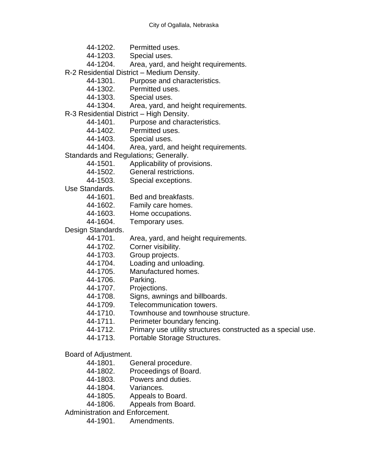- 44-1202. Permitted uses.
- 44-1203. Special uses.
- 44-1204. Area, yard, and height requirements.
- R-2 Residential District Medium Density.
	- 44-1301. Purpose and characteristics.
	- 44-1302. Permitted uses.
	- 44-1303. Special uses.
	- 44-1304. Area, yard, and height requirements.
- R-3 Residential District High Density.
	- 44-1401. Purpose and characteristics.
	- 44-1402. Permitted uses.
	- 44-1403. Special uses.
	- 44-1404. Area, yard, and height requirements.
- Standards and Regulations; Generally.
	- 44-1501. Applicability of provisions.
	- 44-1502. General restrictions.
	- 44-1503. Special exceptions.

Use Standards.

- 44-1601. Bed and breakfasts.
- 44-1602. Family care homes.
- 44-1603. Home occupations.
- 44-1604. Temporary uses.

Design Standards.

- 44-1701. Area, yard, and height requirements.
- 44-1702. Corner visibility.
- 44-1703. Group projects.
- 44-1704. Loading and unloading.
- 44-1705. Manufactured homes.
- 44-1706. Parking.
- 44-1707. Projections.
- 44-1708. Signs, awnings and billboards.
- 44-1709. Telecommunication towers.
- 44-1710. Townhouse and townhouse structure.
- 44-1711. Perimeter boundary fencing.
- 44-1712. Primary use utility structures constructed as a special use.
- 44-1713. Portable Storage Structures.
- Board of Adjustment.
	- 44-1801. General procedure.
	- 44-1802. Proceedings of Board.
	- 44-1803. Powers and duties.
	- 44-1804. Variances.
	- 44-1805. Appeals to Board.
	- 44-1806. Appeals from Board.
- Administration and Enforcement.
	- 44-1901. Amendments.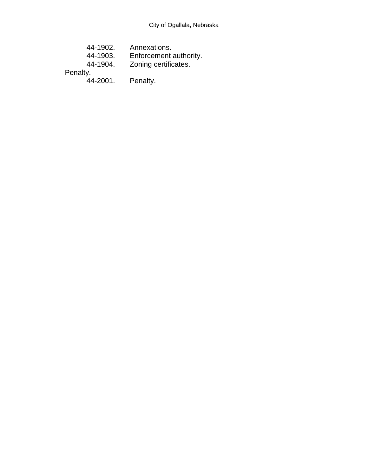| 44-1902. | Annexations.           |
|----------|------------------------|
| 44-1903. | Enforcement authority. |
| 44-1904. | Zoning certificates.   |
| Penalty. |                        |

44-2001. Penalty.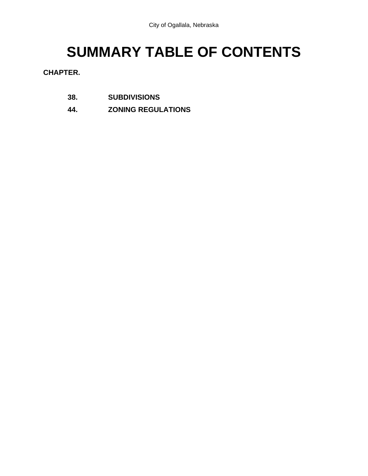## **SUMMARY TABLE OF CONTENTS**

**CHAPTER.** 

- **38. SUBDIVISIONS**
- **44. ZONING REGULATIONS**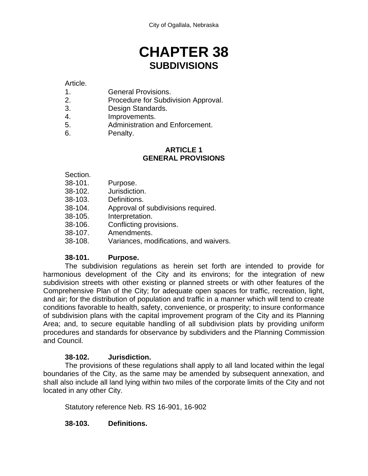### **CHAPTER 38 SUBDIVISIONS**

#### Article.

- 1. General Provisions.
- 2. Procedure for Subdivision Approval.
- 3. Design Standards.
- 4. Improvements.
- 5. Administration and Enforcement.
- 6. Penalty.

#### **ARTICLE 1 GENERAL PROVISIONS**

#### Section.

- 38-101. Purpose.
- 38-102. Jurisdiction.
- 38-103. Definitions.
- 38-104. Approval of subdivisions required.
- 38-105. Interpretation.
- 38-106. Conflicting provisions.
- 38-107. Amendments.
- 38-108. Variances, modifications, and waivers.

#### **38-101. Purpose.**

The subdivision regulations as herein set forth are intended to provide for harmonious development of the City and its environs; for the integration of new subdivision streets with other existing or planned streets or with other features of the Comprehensive Plan of the City; for adequate open spaces for traffic, recreation, light, and air; for the distribution of population and traffic in a manner which will tend to create conditions favorable to health, safety, convenience, or prosperity; to insure conformance of subdivision plans with the capital improvement program of the City and its Planning Area; and, to secure equitable handling of all subdivision plats by providing uniform procedures and standards for observance by subdividers and the Planning Commission and Council.

#### **38-102. Jurisdiction.**

The provisions of these regulations shall apply to all land located within the legal boundaries of the City, as the same may be amended by subsequent annexation, and shall also include all land lying within two miles of the corporate limits of the City and not located in any other City.

Statutory reference Neb. RS 16-901, 16-902

#### **38-103. Definitions.**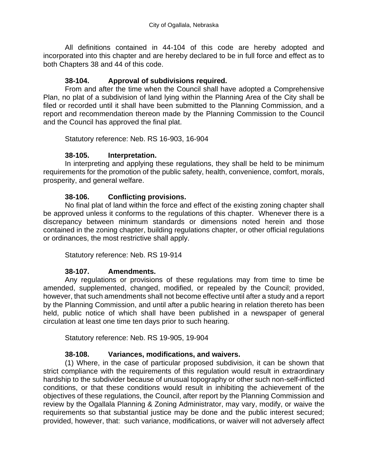All definitions contained in 44-104 of this code are hereby adopted and incorporated into this chapter and are hereby declared to be in full force and effect as to both Chapters 38 and 44 of this code.

#### **38-104. Approval of subdivisions required.**

From and after the time when the Council shall have adopted a Comprehensive Plan, no plat of a subdivision of land lying within the Planning Area of the City shall be filed or recorded until it shall have been submitted to the Planning Commission, and a report and recommendation thereon made by the Planning Commission to the Council and the Council has approved the final plat.

Statutory reference: Neb. RS 16-903, 16-904

#### **38-105. Interpretation.**

In interpreting and applying these regulations, they shall be held to be minimum requirements for the promotion of the public safety, health, convenience, comfort, morals, prosperity, and general welfare.

#### **38-106. Conflicting provisions.**

No final plat of land within the force and effect of the existing zoning chapter shall be approved unless it conforms to the regulations of this chapter. Whenever there is a discrepancy between minimum standards or dimensions noted herein and those contained in the zoning chapter, building regulations chapter, or other official regulations or ordinances, the most restrictive shall apply.

Statutory reference: Neb. RS 19-914

#### **38-107. Amendments.**

Any regulations or provisions of these regulations may from time to time be amended, supplemented, changed, modified, or repealed by the Council; provided, however, that such amendments shall not become effective until after a study and a report by the Planning Commission, and until after a public hearing in relation thereto has been held, public notice of which shall have been published in a newspaper of general circulation at least one time ten days prior to such hearing.

Statutory reference: Neb. RS 19-905, 19-904

#### **38-108. Variances, modifications, and waivers.**

(1) Where, in the case of particular proposed subdivision, it can be shown that strict compliance with the requirements of this regulation would result in extraordinary hardship to the subdivider because of unusual topography or other such non-self-inflicted conditions, or that these conditions would result in inhibiting the achievement of the objectives of these regulations, the Council, after report by the Planning Commission and review by the Ogallala Planning & Zoning Administrator, may vary, modify, or waive the requirements so that substantial justice may be done and the public interest secured; provided, however, that: such variance, modifications, or waiver will not adversely affect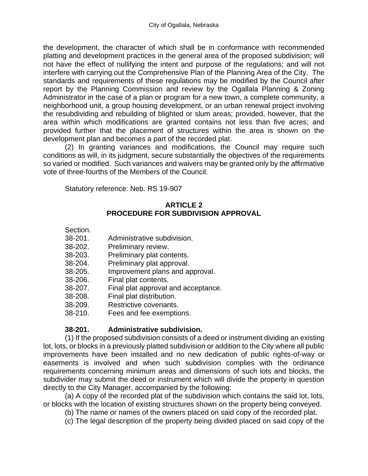the development, the character of which shall be in conformance with recommended platting and development practices in the general area of the proposed subdivision; will not have the effect of nullifying the intent and purpose of the regulations; and will not interfere with carrying out the Comprehensive Plan of the Planning Area of the City. The standards and requirements of these regulations may be modified by the Council after report by the Planning Commission and review by the Ogallala Planning & Zoning Administrator in the case of a plan or program for a new town, a complete community, a neighborhood unit, a group housing development, or an urban renewal project involving the resubdividing and rebuilding of blighted or slum areas; provided, however, that the area within which modifications are granted contains not less than five acres; and provided further that the placement of structures within the area is shown on the development plan and becomes a part of the recorded plat.

(2) In granting variances and modifications, the Council may require such conditions as will, in its judgment, secure substantially the objectives of the requirements so varied or modified. Such variances and waivers may be granted only by the affirmative vote of three-fourths of the Members of the Council.

Statutory reference: Neb. RS 19-907

#### **ARTICLE 2 PROCEDURE FOR SUBDIVISION APPROVAL**

- Section.
- 38-201. Administrative subdivision.
- 38-202. Preliminary review.
- 38-203. Preliminary plat contents.
- 38-204. Preliminary plat approval.
- 38-205. Improvement plans and approval.
- 38-206. Final plat contents.
- 38-207. Final plat approval and acceptance.
- 38-208. Final plat distribution.
- 38-209. Restrictive covenants.
- 38-210. Fees and fee exemptions.

#### **38-201. Administrative subdivision.**

(1) If the proposed subdivision consists of a deed or instrument dividing an existing lot, lots, or blocks in a previously platted subdivision or addition to the City where all public improvements have been installed and no new dedication of public rights-of-way or easements is involved and when such subdivision complies with the ordinance requirements concerning minimum areas and dimensions of such lots and blocks, the subdivider may submit the deed or instrument which will divide the property in question directly to the City Manager, accompanied by the following:

(a) A copy of the recorded plat of the subdivision which contains the said lot, lots, or blocks with the location of existing structures shown on the property being conveyed.

- (b) The name or names of the owners placed on said copy of the recorded plat.
- (c) The legal description of the property being divided placed on said copy of the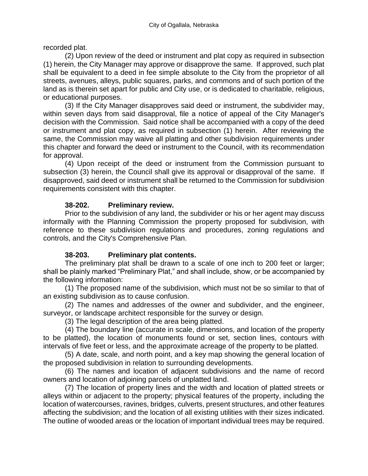recorded plat.

(2) Upon review of the deed or instrument and plat copy as required in subsection (1) herein, the City Manager may approve or disapprove the same. If approved, such plat shall be equivalent to a deed in fee simple absolute to the City from the proprietor of all streets, avenues, alleys, public squares, parks, and commons and of such portion of the land as is therein set apart for public and City use, or is dedicated to charitable, religious, or educational purposes.

(3) If the City Manager disapproves said deed or instrument, the subdivider may, within seven days from said disapproval, file a notice of appeal of the City Manager's decision with the Commission. Said notice shall be accompanied with a copy of the deed or instrument and plat copy, as required in subsection (1) herein. After reviewing the same, the Commission may waive all platting and other subdivision requirements under this chapter and forward the deed or instrument to the Council, with its recommendation for approval.

(4) Upon receipt of the deed or instrument from the Commission pursuant to subsection (3) herein, the Council shall give its approval or disapproval of the same. If disapproved, said deed or instrument shall be returned to the Commission for subdivision requirements consistent with this chapter.

#### **38-202. Preliminary review.**

Prior to the subdivision of any land, the subdivider or his or her agent may discuss informally with the Planning Commission the property proposed for subdivision, with reference to these subdivision regulations and procedures, zoning regulations and controls, and the City's Comprehensive Plan.

#### **38-203. Preliminary plat contents.**

The preliminary plat shall be drawn to a scale of one inch to 200 feet or larger; shall be plainly marked "Preliminary Plat," and shall include, show, or be accompanied by the following information:

(1) The proposed name of the subdivision, which must not be so similar to that of an existing subdivision as to cause confusion.

(2) The names and addresses of the owner and subdivider, and the engineer, surveyor, or landscape architect responsible for the survey or design.

(3) The legal description of the area being platted.

(4) The boundary line (accurate in scale, dimensions, and location of the property to be platted), the location of monuments found or set, section lines, contours with intervals of five feet or less, and the approximate acreage of the property to be platted.

(5) A date, scale, and north point, and a key map showing the general location of the proposed subdivision in relation to surrounding developments.

(6) The names and location of adjacent subdivisions and the name of record owners and location of adjoining parcels of unplatted land.

(7) The location of property lines and the width and location of platted streets or alleys within or adjacent to the property; physical features of the property, including the location of watercourses, ravines, bridges, culverts, present structures, and other features affecting the subdivision; and the location of all existing utilities with their sizes indicated. The outline of wooded areas or the location of important individual trees may be required.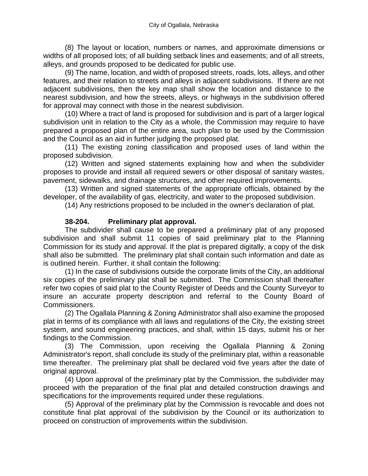(8) The layout or location, numbers or names, and approximate dimensions or widths of all proposed lots; of all building setback lines and easements; and of all streets, alleys, and grounds proposed to be dedicated for public use.

(9) The name, location, and width of proposed streets, roads, lots, alleys, and other features, and their relation to streets and alleys in adjacent subdivisions. If there are not adjacent subdivisions, then the key map shall show the location and distance to the nearest subdivision, and how the streets, alleys, or highways in the subdivision offered for approval may connect with those in the nearest subdivision.

(10) Where a tract of land is proposed for subdivision and is part of a larger logical subdivision unit in relation to the City as a whole, the Commission may require to have prepared a proposed plan of the entire area, such plan to be used by the Commission and the Council as an aid in further judging the proposed plat.

(11) The existing zoning classification and proposed uses of land within the proposed subdivision.

(12) Written and signed statements explaining how and when the subdivider proposes to provide and install all required sewers or other disposal of sanitary wastes, pavement, sidewalks, and drainage structures, and other required improvements.

(13) Written and signed statements of the appropriate officials, obtained by the developer, of the availability of gas, electricity, and water to the proposed subdivision.

(14) Any restrictions proposed to be included in the owner's declaration of plat.

#### **38-204. Preliminary plat approval.**

The subdivider shall cause to be prepared a preliminary plat of any proposed subdivision and shall submit 11 copies of said preliminary plat to the Planning Commission for its study and approval. If the plat is prepared digitally, a copy of the disk shall also be submitted. The preliminary plat shall contain such information and date as is outlined herein. Further, it shall contain the following:

(1) In the case of subdivisions outside the corporate limits of the City, an additional six copies of the preliminary plat shall be submitted. The Commission shall thereafter refer two copies of said plat to the County Register of Deeds and the County Surveyor to insure an accurate property description and referral to the County Board of Commissioners.

(2) The Ogallala Planning & Zoning Administrator shall also examine the proposed plat in terms of its compliance with all laws and regulations of the City, the existing street system, and sound engineering practices, and shall, within 15 days, submit his or her findings to the Commission.

(3) The Commission, upon receiving the Ogallala Planning & Zoning Administrator's report, shall conclude its study of the preliminary plat, within a reasonable time thereafter. The preliminary plat shall be declared void five years after the date of original approval.

(4) Upon approval of the preliminary plat by the Commission, the subdivider may proceed with the preparation of the final plat and detailed construction drawings and specifications for the improvements required under these regulations.

(5) Approval of the preliminary plat by the Commission is revocable and does not constitute final plat approval of the subdivision by the Council or its authorization to proceed on construction of improvements within the subdivision.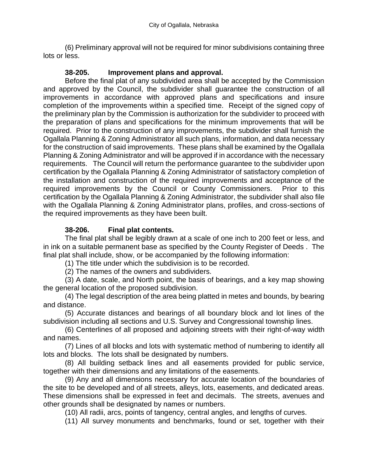(6) Preliminary approval will not be required for minor subdivisions containing three lots or less.

#### **38-205. Improvement plans and approval.**

Before the final plat of any subdivided area shall be accepted by the Commission and approved by the Council, the subdivider shall guarantee the construction of all improvements in accordance with approved plans and specifications and insure completion of the improvements within a specified time. Receipt of the signed copy of the preliminary plan by the Commission is authorization for the subdivider to proceed with the preparation of plans and specifications for the minimum improvements that will be required. Prior to the construction of any improvements, the subdivider shall furnish the Ogallala Planning & Zoning Administrator all such plans, information, and data necessary for the construction of said improvements. These plans shall be examined by the Ogallala Planning & Zoning Administrator and will be approved if in accordance with the necessary requirements. The Council will return the performance guarantee to the subdivider upon certification by the Ogallala Planning & Zoning Administrator of satisfactory completion of the installation and construction of the required improvements and acceptance of the required improvements by the Council or County Commissioners. Prior to this certification by the Ogallala Planning & Zoning Administrator, the subdivider shall also file with the Ogallala Planning & Zoning Administrator plans, profiles, and cross-sections of the required improvements as they have been built.

#### **38-206. Final plat contents.**

The final plat shall be legibly drawn at a scale of one inch to 200 feet or less, and in ink on a suitable permanent base as specified by the County Register of Deeds . The final plat shall include, show, or be accompanied by the following information:

(1) The title under which the subdivision is to be recorded.

(2) The names of the owners and subdividers.

(3) A date, scale, and North point, the basis of bearings, and a key map showing the general location of the proposed subdivision.

(4) The legal description of the area being platted in metes and bounds, by bearing and distance.

(5) Accurate distances and bearings of all boundary block and lot lines of the subdivision including all sections and U.S. Survey and Congressional township lines.

(6) Centerlines of all proposed and adjoining streets with their right-of-way width and names.

(7) Lines of all blocks and lots with systematic method of numbering to identify all lots and blocks. The lots shall be designated by numbers.

(8) All building setback lines and all easements provided for public service, together with their dimensions and any limitations of the easements.

(9) Any and all dimensions necessary for accurate location of the boundaries of the site to be developed and of all streets, alleys, lots, easements, and dedicated areas. These dimensions shall be expressed in feet and decimals. The streets, avenues and other grounds shall be designated by names or numbers.

(10) All radii, arcs, points of tangency, central angles, and lengths of curves.

(11) All survey monuments and benchmarks, found or set, together with their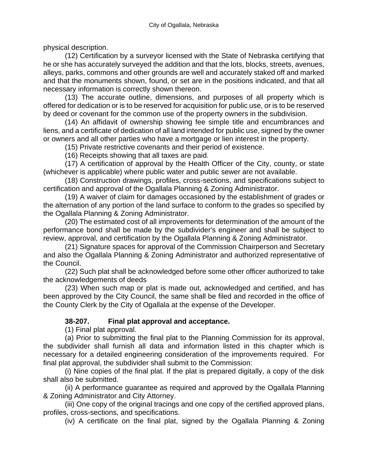physical description.

(12) Certification by a surveyor licensed with the State of Nebraska certifying that he or she has accurately surveyed the addition and that the lots, blocks, streets, avenues, alleys, parks, commons and other grounds are well and accurately staked off and marked and that the monuments shown, found, or set are in the positions indicated, and that all necessary information is correctly shown thereon.

(13) The accurate outline, dimensions, and purposes of all property which is offered for dedication or is to be reserved for acquisition for public use, or is to be reserved by deed or covenant for the common use of the property owners in the subdivision.

(14) An affidavit of ownership showing fee simple title and encumbrances and liens, and a certificate of dedication of all land intended for public use, signed by the owner or owners and all other parties who have a mortgage or lien interest in the property.

(15) Private restrictive covenants and their period of existence.

(16) Receipts showing that all taxes are paid.

(17) A certification of approval by the Health Officer of the City, county, or state (whichever is applicable) where public water and public sewer are not available.

(18) Construction drawings, profiles, cross-sections, and specifications subject to certification and approval of the Ogallala Planning & Zoning Administrator.

(19) A waiver of claim for damages occasioned by the establishment of grades or the alternation of any portion of the land surface to conform to the grades so specified by the Ogallala Planning & Zoning Administrator.

(20) The estimated cost of all improvements for determination of the amount of the performance bond shall be made by the subdivider's engineer and shall be subject to review, approval, and certification by the Ogallala Planning & Zoning Administrator.

(21) Signature spaces for approval of the Commission Chairperson and Secretary and also the Ogallala Planning & Zoning Administrator and authorized representative of the Council.

(22) Such plat shall be acknowledged before some other officer authorized to take the acknowledgements of deeds

(23) When such map or plat is made out, acknowledged and certified, and has been approved by the City Council, the same shall be filed and recorded in the office of the County Clerk by the City of Ogallala at the expense of the Developer.

#### **38-207. Final plat approval and acceptance.**

(1) Final plat approval.

(a) Prior to submitting the final plat to the Planning Commission for its approval, the subdivider shall furnish all data and information listed in this chapter which is necessary for a detailed engineering consideration of the improvements required. For final plat approval, the subdivider shall submit to the Commission:

(i) Nine copies of the final plat. If the plat is prepared digitally, a copy of the disk shall also be submitted.

(ii) A performance guarantee as required and approved by the Ogallala Planning & Zoning Administrator and City Attorney.

(iii) One copy of the original tracings and one copy of the certified approved plans, profiles, cross-sections, and specifications.

(iv) A certificate on the final plat, signed by the Ogallala Planning & Zoning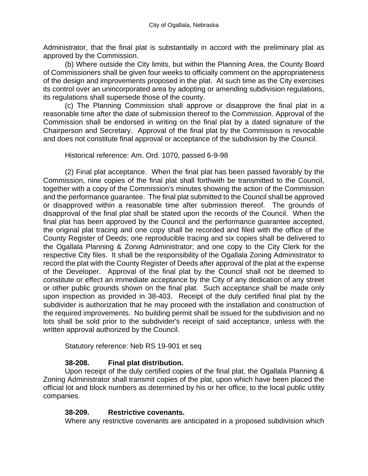Administrator, that the final plat is substantially in accord with the preliminary plat as approved by the Commission.

(b) Where outside the City limits, but within the Planning Area, the County Board of Commissioners shall be given four weeks to officially comment on the appropriateness of the design and improvements proposed in the plat. At such time as the City exercises its control over an unincorporated area by adopting or amending subdivision regulations, its regulations shall supersede those of the county.

(c) The Planning Commission shall approve or disapprove the final plat in a reasonable time after the date of submission thereof to the Commission. Approval of the Commission shall be endorsed in writing on the final plat by a dated signature of the Chairperson and Secretary. Approval of the final plat by the Commission is revocable and does not constitute final approval or acceptance of the subdivision by the Council.

Historical reference: Am. Ord. 1070, passed 6-9-98

(2) Final plat acceptance. When the final plat has been passed favorably by the Commission, nine copies of the final plat shall forthwith be transmitted to the Council, together with a copy of the Commission's minutes showing the action of the Commission and the performance guarantee. The final plat submitted to the Council shall be approved or disapproved within a reasonable time after submission thereof. The grounds of disapproval of the final plat shall be stated upon the records of the Council. When the final plat has been approved by the Council and the performance guarantee accepted, the original plat tracing and one copy shall be recorded and filed with the office of the County Register of Deeds; one reproducible tracing and six copies shall be delivered to the Ogallala Planning & Zoning Administrator; and one copy to the City Clerk for the respective City files. It shall be the responsibility of the Ogallala Zoning Administrator to record the plat with the County Register of Deeds after approval of the plat at the expense of the Developer. Approval of the final plat by the Council shall not be deemed to constitute or effect an immediate acceptance by the City of any dedication of any street or other public grounds shown on the final plat. Such acceptance shall be made only upon inspection as provided in 38-403. Receipt of the duly certified final plat by the subdivider is authorization that he may proceed with the installation and construction of the required improvements. No building permit shall be issued for the subdivision and no lots shall be sold prior to the subdivider's receipt of said acceptance, unless with the written approval authorized by the Council.

Statutory reference: Neb RS 19-901 et seq

#### **38-208. Final plat distribution.**

Upon receipt of the duly certified copies of the final plat, the Ogallala Planning & Zoning Administrator shall transmit copies of the plat, upon which have been placed the official lot and block numbers as determined by his or her office, to the local public utility companies.

#### **38-209. Restrictive covenants.**

Where any restrictive covenants are anticipated in a proposed subdivision which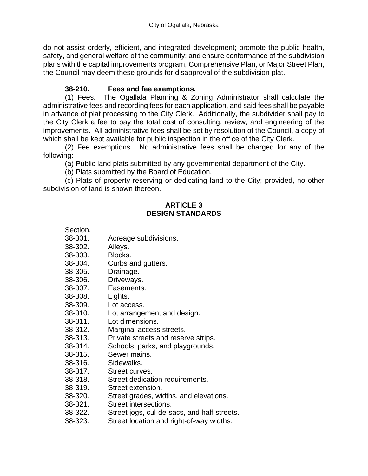do not assist orderly, efficient, and integrated development; promote the public health, safety, and general welfare of the community; and ensure conformance of the subdivision plans with the capital improvements program, Comprehensive Plan, or Major Street Plan, the Council may deem these grounds for disapproval of the subdivision plat.

#### **38-210. Fees and fee exemptions.**

(1) Fees. The Ogallala Planning & Zoning Administrator shall calculate the administrative fees and recording fees for each application, and said fees shall be payable in advance of plat processing to the City Clerk. Additionally, the subdivider shall pay to the City Clerk a fee to pay the total cost of consulting, review, and engineering of the improvements. All administrative fees shall be set by resolution of the Council, a copy of which shall be kept available for public inspection in the office of the City Clerk.

(2) Fee exemptions. No administrative fees shall be charged for any of the following:

(a) Public land plats submitted by any governmental department of the City.

(b) Plats submitted by the Board of Education.

(c) Plats of property reserving or dedicating land to the City; provided, no other subdivision of land is shown thereon.

#### **ARTICLE 3 DESIGN STANDARDS**

- 38-301. Acreage subdivisions.
- 38-302. Alleys.

Section.

- 38-303. Blocks.
- 38-304. Curbs and gutters.
- 38-305. Drainage.
- 38-306. Driveways.
- 38-307. Easements.
- 38-308. Lights.
- 38-309. Lot access.
- 38-310. Lot arrangement and design.
- 38-311. Lot dimensions.
- 38-312. Marginal access streets.
- 38-313. Private streets and reserve strips.
- 38-314. Schools, parks, and playgrounds.
- 38-315. Sewer mains.
- 38-316. Sidewalks.
- 38-317. Street curves.
- 38-318. Street dedication requirements.
- 38-319. Street extension.
- 38-320. Street grades, widths, and elevations.
- 38-321. Street intersections.
- 38-322. Street jogs, cul-de-sacs, and half-streets.
- 38-323. Street location and right-of-way widths.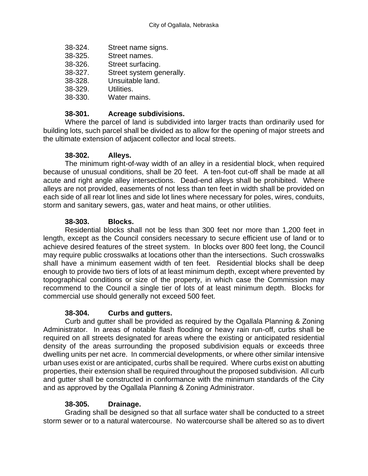- 38-324. Street name signs.
- 38-325. Street names.
- 38-326. Street surfacing.
- 38-327. Street system generally.
- 38-328. Unsuitable land.
- 38-329. Utilities.
- 38-330. Water mains.

#### **38-301. Acreage subdivisions.**

Where the parcel of land is subdivided into larger tracts than ordinarily used for building lots, such parcel shall be divided as to allow for the opening of major streets and the ultimate extension of adjacent collector and local streets.

#### **38-302. Alleys.**

The minimum right-of-way width of an alley in a residential block, when required because of unusual conditions, shall be 20 feet. A ten-foot cut-off shall be made at all acute and right angle alley intersections. Dead-end alleys shall be prohibited. Where alleys are not provided, easements of not less than ten feet in width shall be provided on each side of all rear lot lines and side lot lines where necessary for poles, wires, conduits, storm and sanitary sewers, gas, water and heat mains, or other utilities.

#### **38-303. Blocks.**

Residential blocks shall not be less than 300 feet nor more than 1,200 feet in length, except as the Council considers necessary to secure efficient use of land or to achieve desired features of the street system. In blocks over 800 feet long, the Council may require public crosswalks at locations other than the intersections. Such crosswalks shall have a minimum easement width of ten feet. Residential blocks shall be deep enough to provide two tiers of lots of at least minimum depth, except where prevented by topographical conditions or size of the property, in which case the Commission may recommend to the Council a single tier of lots of at least minimum depth. Blocks for commercial use should generally not exceed 500 feet.

#### **38-304. Curbs and gutters.**

Curb and gutter shall be provided as required by the Ogallala Planning & Zoning Administrator. In areas of notable flash flooding or heavy rain run-off, curbs shall be required on all streets designated for areas where the existing or anticipated residential density of the areas surrounding the proposed subdivision equals or exceeds three dwelling units per net acre. In commercial developments, or where other similar intensive urban uses exist or are anticipated, curbs shall be required. Where curbs exist on abutting properties, their extension shall be required throughout the proposed subdivision. All curb and gutter shall be constructed in conformance with the minimum standards of the City and as approved by the Ogallala Planning & Zoning Administrator.

#### **38-305. Drainage.**

Grading shall be designed so that all surface water shall be conducted to a street storm sewer or to a natural watercourse. No watercourse shall be altered so as to divert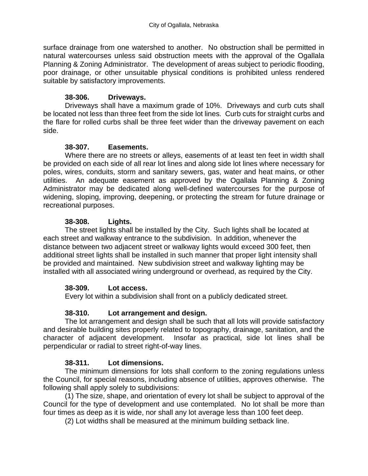surface drainage from one watershed to another. No obstruction shall be permitted in natural watercourses unless said obstruction meets with the approval of the Ogallala Planning & Zoning Administrator. The development of areas subject to periodic flooding, poor drainage, or other unsuitable physical conditions is prohibited unless rendered suitable by satisfactory improvements.

#### **38-306. Driveways.**

Driveways shall have a maximum grade of 10%. Driveways and curb cuts shall be located not less than three feet from the side lot lines. Curb cuts for straight curbs and the flare for rolled curbs shall be three feet wider than the driveway pavement on each side.

#### **38-307. Easements.**

Where there are no streets or alleys, easements of at least ten feet in width shall be provided on each side of all rear lot lines and along side lot lines where necessary for poles, wires, conduits, storm and sanitary sewers, gas, water and heat mains, or other utilities. An adequate easement as approved by the Ogallala Planning & Zoning Administrator may be dedicated along well-defined watercourses for the purpose of widening, sloping, improving, deepening, or protecting the stream for future drainage or recreational purposes.

#### **38-308. Lights.**

The street lights shall be installed by the City. Such lights shall be located at each street and walkway entrance to the subdivision. In addition, whenever the distance between two adjacent street or walkway lights would exceed 300 feet, then additional street lights shall be installed in such manner that proper light intensity shall be provided and maintained. New subdivision street and walkway lighting may be installed with all associated wiring underground or overhead, as required by the City.

#### **38-309. Lot access.**

Every lot within a subdivision shall front on a publicly dedicated street.

### **38-310. Lot arrangement and design.**

The lot arrangement and design shall be such that all lots will provide satisfactory and desirable building sites properly related to topography, drainage, sanitation, and the character of adjacent development. Insofar as practical, side lot lines shall be perpendicular or radial to street right-of-way lines.

### **38-311. Lot dimensions.**

The minimum dimensions for lots shall conform to the zoning regulations unless the Council, for special reasons, including absence of utilities, approves otherwise. The following shall apply solely to subdivisions:

(1) The size, shape, and orientation of every lot shall be subject to approval of the Council for the type of development and use contemplated. No lot shall be more than four times as deep as it is wide, nor shall any lot average less than 100 feet deep.

(2) Lot widths shall be measured at the minimum building setback line.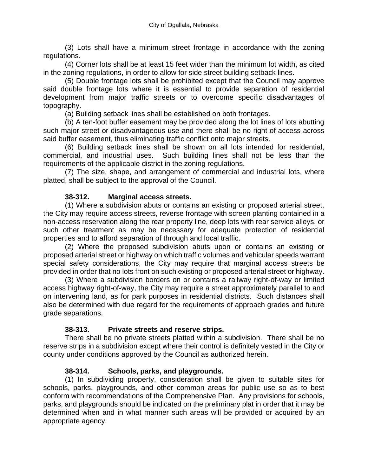(3) Lots shall have a minimum street frontage in accordance with the zoning regulations.

(4) Corner lots shall be at least 15 feet wider than the minimum lot width, as cited in the zoning regulations, in order to allow for side street building setback lines.

(5) Double frontage lots shall be prohibited except that the Council may approve said double frontage lots where it is essential to provide separation of residential development from major traffic streets or to overcome specific disadvantages of topography.

(a) Building setback lines shall be established on both frontages.

(b) A ten-foot buffer easement may be provided along the lot lines of lots abutting such major street or disadvantageous use and there shall be no right of access across said buffer easement, thus eliminating traffic conflict onto major streets.

(6) Building setback lines shall be shown on all lots intended for residential, commercial, and industrial uses. Such building lines shall not be less than the requirements of the applicable district in the zoning regulations.

(7) The size, shape, and arrangement of commercial and industrial lots, where platted, shall be subject to the approval of the Council.

#### **38-312. Marginal access streets.**

(1) Where a subdivision abuts or contains an existing or proposed arterial street, the City may require access streets, reverse frontage with screen planting contained in a non-access reservation along the rear property line, deep lots with rear service alleys, or such other treatment as may be necessary for adequate protection of residential properties and to afford separation of through and local traffic.

(2) Where the proposed subdivision abuts upon or contains an existing or proposed arterial street or highway on which traffic volumes and vehicular speeds warrant special safety considerations, the City may require that marginal access streets be provided in order that no lots front on such existing or proposed arterial street or highway.

(3) Where a subdivision borders on or contains a railway right-of-way or limited access highway right-of-way, the City may require a street approximately parallel to and on intervening land, as for park purposes in residential districts. Such distances shall also be determined with due regard for the requirements of approach grades and future grade separations.

#### **38-313. Private streets and reserve strips.**

There shall be no private streets platted within a subdivision. There shall be no reserve strips in a subdivision except where their control is definitely vested in the City or county under conditions approved by the Council as authorized herein.

#### **38-314. Schools, parks, and playgrounds.**

(1) In subdividing property, consideration shall be given to suitable sites for schools, parks, playgrounds, and other common areas for public use so as to best conform with recommendations of the Comprehensive Plan. Any provisions for schools, parks, and playgrounds should be indicated on the preliminary plat in order that it may be determined when and in what manner such areas will be provided or acquired by an appropriate agency.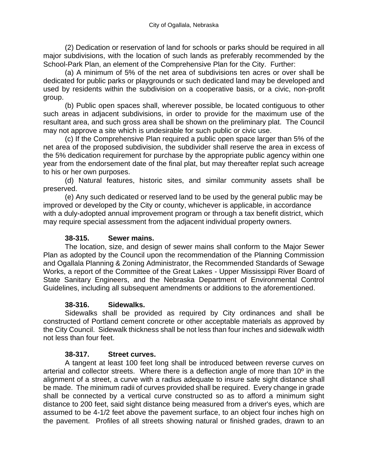(2) Dedication or reservation of land for schools or parks should be required in all major subdivisions, with the location of such lands as preferably recommended by the School-Park Plan, an element of the Comprehensive Plan for the City. Further:

(a) A minimum of 5% of the net area of subdivisions ten acres or over shall be dedicated for public parks or playgrounds or such dedicated land may be developed and used by residents within the subdivision on a cooperative basis, or a civic, non-profit group.

(b) Public open spaces shall, wherever possible, be located contiguous to other such areas in adjacent subdivisions, in order to provide for the maximum use of the resultant area, and such gross area shall be shown on the preliminary plat. The Council may not approve a site which is undesirable for such public or civic use.

(c) If the Comprehensive Plan required a public open space larger than 5% of the net area of the proposed subdivision, the subdivider shall reserve the area in excess of the 5% dedication requirement for purchase by the appropriate public agency within one year from the endorsement date of the final plat, but may thereafter replat such acreage to his or her own purposes.

(d) Natural features, historic sites, and similar community assets shall be preserved.

(e) Any such dedicated or reserved land to be used by the general public may be improved or developed by the City or county, whichever is applicable, in accordance with a duly-adopted annual improvement program or through a tax benefit district, which may require special assessment from the adjacent individual property owners.

#### **38-315. Sewer mains.**

The location, size, and design of sewer mains shall conform to the Major Sewer Plan as adopted by the Council upon the recommendation of the Planning Commission and Ogallala Planning & Zoning Administrator, the Recommended Standards of Sewage Works, a report of the Committee of the Great Lakes - Upper Mississippi River Board of State Sanitary Engineers, and the Nebraska Department of Environmental Control Guidelines, including all subsequent amendments or additions to the aforementioned.

#### **38-316. Sidewalks.**

Sidewalks shall be provided as required by City ordinances and shall be constructed of Portland cement concrete or other acceptable materials as approved by the City Council. Sidewalk thickness shall be not less than four inches and sidewalk width not less than four feet.

#### **38-317. Street curves.**

A tangent at least 100 feet long shall be introduced between reverse curves on arterial and collector streets. Where there is a deflection angle of more than 10º in the alignment of a street, a curve with a radius adequate to insure safe sight distance shall be made. The minimum radii of curves provided shall be required. Every change in grade shall be connected by a vertical curve constructed so as to afford a minimum sight distance to 200 feet, said sight distance being measured from a driver's eyes, which are assumed to be 4-1/2 feet above the pavement surface, to an object four inches high on the pavement. Profiles of all streets showing natural or finished grades, drawn to an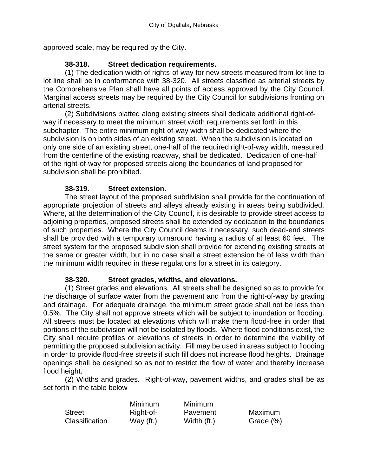approved scale, may be required by the City.

#### **38-318. Street dedication requirements.**

(1) The dedication width of rights-of-way for new streets measured from lot line to lot line shall be in conformance with 38-320. All streets classified as arterial streets by the Comprehensive Plan shall have all points of access approved by the City Council. Marginal access streets may be required by the City Council for subdivisions fronting on arterial streets.

(2) Subdivisions platted along existing streets shall dedicate additional right-ofway if necessary to meet the minimum street width requirements set forth in this subchapter. The entire minimum right-of-way width shall be dedicated where the subdivision is on both sides of an existing street. When the subdivision is located on only one side of an existing street, one-half of the required right-of-way width, measured from the centerline of the existing roadway, shall be dedicated. Dedication of one-half of the right-of-way for proposed streets along the boundaries of land proposed for subdivision shall be prohibited.

#### **38-319. Street extension.**

The street layout of the proposed subdivision shall provide for the continuation of appropriate projection of streets and alleys already existing in areas being subdivided. Where, at the determination of the City Council, it is desirable to provide street access to adjoining properties, proposed streets shall be extended by dedication to the boundaries of such properties. Where the City Council deems it necessary, such dead-end streets shall be provided with a temporary turnaround having a radius of at least 60 feet. The street system for the proposed subdivision shall provide for extending existing streets at the same or greater width, but in no case shall a street extension be of less width than the minimum width required in these regulations for a street in its category.

#### **38-320. Street grades, widths, and elevations.**

(1) Street grades and elevations. All streets shall be designed so as to provide for the discharge of surface water from the pavement and from the right-of-way by grading and drainage. For adequate drainage, the minimum street grade shall not be less than 0.5%. The City shall not approve streets which will be subject to inundation or flooding. All streets must be located at elevations which will make them flood-free in order that portions of the subdivision will not be isolated by floods. Where flood conditions exist, the City shall require profiles or elevations of streets in order to determine the viability of permitting the proposed subdivision activity. Fill may be used in areas subject to flooding in order to provide flood-free streets if such fill does not increase flood heights. Drainage openings shall be designed so as not to restrict the flow of water and thereby increase flood height.

(2) Widths and grades. Right-of-way, pavement widths, and grades shall be as set forth in the table below

|                | Minimum     | Minimum     |           |
|----------------|-------------|-------------|-----------|
| <b>Street</b>  | Right-of-   | Pavement    | Maximum   |
| Classification | Way $(ft.)$ | Width (ft.) | Grade (%) |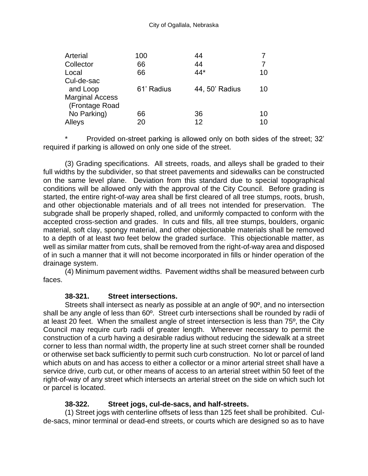| Arterial               | 100        | 44             |    |
|------------------------|------------|----------------|----|
| Collector              | 66         | 44             | 7  |
| Local                  | 66         | 44*            | 10 |
| Cul-de-sac             |            |                |    |
| and Loop               | 61' Radius | 44, 50' Radius | 10 |
| <b>Marginal Access</b> |            |                |    |
| (Frontage Road         |            |                |    |
| No Parking)            | 66         | 36             | 10 |
| Alleys                 | 20         | 12             | 10 |

Provided on-street parking is allowed only on both sides of the street; 32' required if parking is allowed on only one side of the street.

(3) Grading specifications. All streets, roads, and alleys shall be graded to their full widths by the subdivider, so that street pavements and sidewalks can be constructed on the same level plane. Deviation from this standard due to special topographical conditions will be allowed only with the approval of the City Council. Before grading is started, the entire right-of-way area shall be first cleared of all tree stumps, roots, brush, and other objectionable materials and of all trees not intended for preservation. The subgrade shall be properly shaped, rolled, and uniformly compacted to conform with the accepted cross-section and grades. In cuts and fills, all tree stumps, boulders, organic material, soft clay, spongy material, and other objectionable materials shall be removed to a depth of at least two feet below the graded surface. This objectionable matter, as well as similar matter from cuts, shall be removed from the right-of-way area and disposed of in such a manner that it will not become incorporated in fills or hinder operation of the drainage system.

(4) Minimum pavement widths. Pavement widths shall be measured between curb faces.

#### **38-321. Street intersections.**

Streets shall intersect as nearly as possible at an angle of 90º, and no intersection shall be any angle of less than 60º. Street curb intersections shall be rounded by radii of at least 20 feet. When the smallest angle of street intersection is less than 75º, the City Council may require curb radii of greater length. Wherever necessary to permit the construction of a curb having a desirable radius without reducing the sidewalk at a street corner to less than normal width, the property line at such street corner shall be rounded or otherwise set back sufficiently to permit such curb construction. No lot or parcel of land which abuts on and has access to either a collector or a minor arterial street shall have a service drive, curb cut, or other means of access to an arterial street within 50 feet of the right-of-way of any street which intersects an arterial street on the side on which such lot or parcel is located.

#### **38-322. Street jogs, cul-de-sacs, and half-streets.**

(1) Street jogs with centerline offsets of less than 125 feet shall be prohibited. Culde-sacs, minor terminal or dead-end streets, or courts which are designed so as to have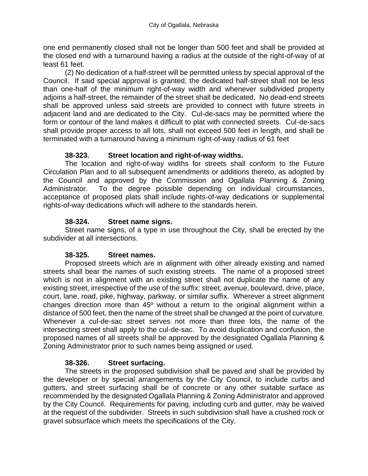one end permanently closed shall not be longer than 500 feet and shall be provided at the closed end with a turnaround having a radius at the outside of the right-of-way of at least 61 feet.

(2) No dedication of a half-street will be permitted unless by special approval of the Council. If said special approval is granted, the dedicated half-street shall not be less than one-half of the minimum right-of-way width and whenever subdivided property adjoins a half-street, the remainder of the street shall be dedicated. No dead-end streets shall be approved unless said streets are provided to connect with future streets in adjacent land and are dedicated to the City. Cul-de-sacs may be permitted where the form or contour of the land makes it difficult to plat with connected streets. Cul-de-sacs shall provide proper access to all lots, shall not exceed 500 feet in length, and shall be terminated with a turnaround having a minimum right-of-way radius of 61 feet

#### **38-323. Street location and right-of-way widths.**

The location and right-of-way widths for streets shall conform to the Future Circulation Plan and to all subsequent amendments or additions thereto, as adopted by the Council and approved by the Commission and Ogallala Planning & Zoning Administrator. To the degree possible depending on individual circumstances, acceptance of proposed plats shall include rights-of-way dedications or supplemental rights-of-way dedications which will adhere to the standards herein.

#### **38-324. Street name signs.**

Street name signs, of a type in use throughout the City, shall be erected by the subdivider at all intersections.

#### **38-325. Street names.**

Proposed streets which are in alignment with other already existing and named streets shall bear the names of such existing streets. The name of a proposed street which is not in alignment with an existing street shall not duplicate the name of any existing street, irrespective of the use of the suffix: street, avenue, boulevard, drive, place, court, lane, road, pike, highway, parkway, or similar suffix. Wherever a street alignment changes direction more than 45º without a return to the original alignment within a distance of 500 feet, then the name of the street shall be changed at the point of curvature. Whenever a cul-de-sac street serves not more than three lots, the name of the intersecting street shall apply to the cul-de-sac. To avoid duplication and confusion, the proposed names of all streets shall be approved by the designated Ogallala Planning & Zoning Administrator prior to such names being assigned or used.

### **38-326. Street surfacing.**

The streets in the proposed subdivision shall be paved and shall be provided by the developer or by special arrangements by the City Council, to include curbs and gutters, and street surfacing shall be of concrete or any other suitable surface as recommended by the designated Ogallala Planning & Zoning Administrator and approved by the City Council. Requirements for paving, including curb and gutter, may be waived at the request of the subdivider. Streets in such subdivision shall have a crushed rock or gravel subsurface which meets the specifications of the City.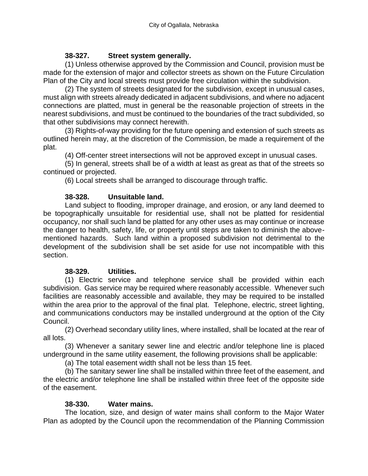#### **38-327. Street system generally.**

(1) Unless otherwise approved by the Commission and Council, provision must be made for the extension of major and collector streets as shown on the Future Circulation Plan of the City and local streets must provide free circulation within the subdivision.

(2) The system of streets designated for the subdivision, except in unusual cases, must align with streets already dedicated in adjacent subdivisions, and where no adjacent connections are platted, must in general be the reasonable projection of streets in the nearest subdivisions, and must be continued to the boundaries of the tract subdivided, so that other subdivisions may connect herewith.

(3) Rights-of-way providing for the future opening and extension of such streets as outlined herein may, at the discretion of the Commission, be made a requirement of the plat.

(4) Off-center street intersections will not be approved except in unusual cases.

(5) In general, streets shall be of a width at least as great as that of the streets so continued or projected.

(6) Local streets shall be arranged to discourage through traffic.

#### **38-328. Unsuitable land.**

Land subject to flooding, improper drainage, and erosion, or any land deemed to be topographically unsuitable for residential use, shall not be platted for residential occupancy, nor shall such land be platted for any other uses as may continue or increase the danger to health, safety, life, or property until steps are taken to diminish the abovementioned hazards. Such land within a proposed subdivision not detrimental to the development of the subdivision shall be set aside for use not incompatible with this section.

#### **38-329. Utilities.**

(1) Electric service and telephone service shall be provided within each subdivision. Gas service may be required where reasonably accessible. Whenever such facilities are reasonably accessible and available, they may be required to be installed within the area prior to the approval of the final plat. Telephone, electric, street lighting, and communications conductors may be installed underground at the option of the City Council.

(2) Overhead secondary utility lines, where installed, shall be located at the rear of all lots.

(3) Whenever a sanitary sewer line and electric and/or telephone line is placed underground in the same utility easement, the following provisions shall be applicable:

(a) The total easement width shall not be less than 15 feet.

(b) The sanitary sewer line shall be installed within three feet of the easement, and the electric and/or telephone line shall be installed within three feet of the opposite side of the easement.

#### **38-330. Water mains.**

The location, size, and design of water mains shall conform to the Major Water Plan as adopted by the Council upon the recommendation of the Planning Commission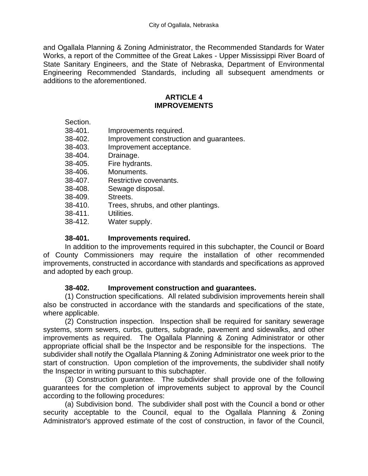and Ogallala Planning & Zoning Administrator, the Recommended Standards for Water Works, a report of the Committee of the Great Lakes - Upper Mississippi River Board of State Sanitary Engineers, and the State of Nebraska, Department of Environmental Engineering Recommended Standards, including all subsequent amendments or additions to the aforementioned.

#### **ARTICLE 4 IMPROVEMENTS**

| Improvement construction and guarantees. |
|------------------------------------------|
|                                          |
|                                          |
|                                          |
|                                          |
|                                          |
|                                          |
|                                          |
|                                          |
|                                          |
|                                          |
|                                          |

#### **38-401. Improvements required.**

In addition to the improvements required in this subchapter, the Council or Board of County Commissioners may require the installation of other recommended improvements, constructed in accordance with standards and specifications as approved and adopted by each group.

#### **38-402. Improvement construction and guarantees.**

(1) Construction specifications. All related subdivision improvements herein shall also be constructed in accordance with the standards and specifications of the state, where applicable.

(2) Construction inspection. Inspection shall be required for sanitary sewerage systems, storm sewers, curbs, gutters, subgrade, pavement and sidewalks, and other improvements as required. The Ogallala Planning & Zoning Administrator or other appropriate official shall be the Inspector and be responsible for the inspections. The subdivider shall notify the Ogallala Planning & Zoning Administrator one week prior to the start of construction. Upon completion of the improvements, the subdivider shall notify the Inspector in writing pursuant to this subchapter.

(3) Construction guarantee. The subdivider shall provide one of the following guarantees for the completion of improvements subject to approval by the Council according to the following procedures:

(a) Subdivision bond. The subdivider shall post with the Council a bond or other security acceptable to the Council, equal to the Ogallala Planning & Zoning Administrator's approved estimate of the cost of construction, in favor of the Council,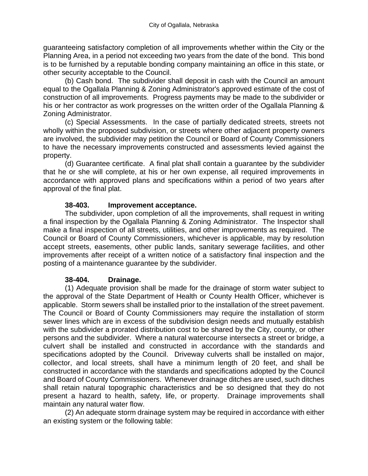guaranteeing satisfactory completion of all improvements whether within the City or the Planning Area, in a period not exceeding two years from the date of the bond. This bond is to be furnished by a reputable bonding company maintaining an office in this state, or other security acceptable to the Council.

(b) Cash bond. The subdivider shall deposit in cash with the Council an amount equal to the Ogallala Planning & Zoning Administrator's approved estimate of the cost of construction of all improvements. Progress payments may be made to the subdivider or his or her contractor as work progresses on the written order of the Ogallala Planning & Zoning Administrator.

(c) Special Assessments. In the case of partially dedicated streets, streets not wholly within the proposed subdivision, or streets where other adjacent property owners are involved, the subdivider may petition the Council or Board of County Commissioners to have the necessary improvements constructed and assessments levied against the property.

(d) Guarantee certificate. A final plat shall contain a guarantee by the subdivider that he or she will complete, at his or her own expense, all required improvements in accordance with approved plans and specifications within a period of two years after approval of the final plat.

#### **38-403. Improvement acceptance.**

The subdivider, upon completion of all the improvements, shall request in writing a final inspection by the Ogallala Planning & Zoning Administrator. The Inspector shall make a final inspection of all streets, utilities, and other improvements as required. The Council or Board of County Commissioners, whichever is applicable, may by resolution accept streets, easements, other public lands, sanitary sewerage facilities, and other improvements after receipt of a written notice of a satisfactory final inspection and the posting of a maintenance guarantee by the subdivider.

#### **38-404. Drainage.**

(1) Adequate provision shall be made for the drainage of storm water subject to the approval of the State Department of Health or County Health Officer, whichever is applicable. Storm sewers shall be installed prior to the installation of the street pavement. The Council or Board of County Commissioners may require the installation of storm sewer lines which are in excess of the subdivision design needs and mutually establish with the subdivider a prorated distribution cost to be shared by the City, county, or other persons and the subdivider. Where a natural watercourse intersects a street or bridge, a culvert shall be installed and constructed in accordance with the standards and specifications adopted by the Council. Driveway culverts shall be installed on major, collector, and local streets, shall have a minimum length of 20 feet, and shall be constructed in accordance with the standards and specifications adopted by the Council and Board of County Commissioners. Whenever drainage ditches are used, such ditches shall retain natural topographic characteristics and be so designed that they do not present a hazard to health, safety, life, or property. Drainage improvements shall maintain any natural water flow.

(2) An adequate storm drainage system may be required in accordance with either an existing system or the following table: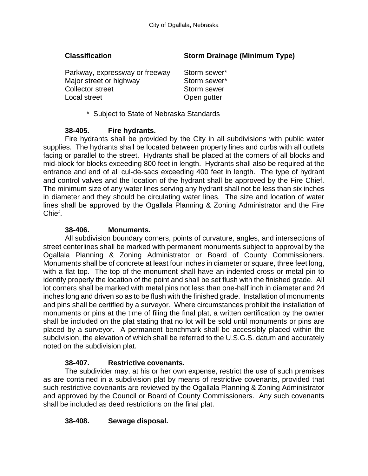#### **Classification Storm Drainage (Minimum Type)**

| Parkway, expressway or freeway | Storm sewer* |
|--------------------------------|--------------|
| Major street or highway        | Storm sewer* |
| Collector street               | Storm sewer  |
| Local street                   | Open gutter  |

\* Subject to State of Nebraska Standards

#### **38-405. Fire hydrants.**

Fire hydrants shall be provided by the City in all subdivisions with public water supplies. The hydrants shall be located between property lines and curbs with all outlets facing or parallel to the street. Hydrants shall be placed at the corners of all blocks and mid-block for blocks exceeding 800 feet in length. Hydrants shall also be required at the entrance and end of all cul-de-sacs exceeding 400 feet in length. The type of hydrant and control valves and the location of the hydrant shall be approved by the Fire Chief. The minimum size of any water lines serving any hydrant shall not be less than six inches in diameter and they should be circulating water lines. The size and location of water lines shall be approved by the Ogallala Planning & Zoning Administrator and the Fire Chief.

#### **38-406. Monuments.**

All subdivision boundary corners, points of curvature, angles, and intersections of street centerlines shall be marked with permanent monuments subject to approval by the Ogallala Planning & Zoning Administrator or Board of County Commissioners. Monuments shall be of concrete at least four inches in diameter or square, three feet long, with a flat top. The top of the monument shall have an indented cross or metal pin to identify properly the location of the point and shall be set flush with the finished grade. All lot corners shall be marked with metal pins not less than one-half inch in diameter and 24 inches long and driven so as to be flush with the finished grade. Installation of monuments and pins shall be certified by a surveyor. Where circumstances prohibit the installation of monuments or pins at the time of filing the final plat, a written certification by the owner shall be included on the plat stating that no lot will be sold until monuments or pins are placed by a surveyor. A permanent benchmark shall be accessibly placed within the subdivision, the elevation of which shall be referred to the U.S.G.S. datum and accurately noted on the subdivision plat.

#### **38-407. Restrictive covenants.**

The subdivider may, at his or her own expense, restrict the use of such premises as are contained in a subdivision plat by means of restrictive covenants, provided that such restrictive covenants are reviewed by the Ogallala Planning & Zoning Administrator and approved by the Council or Board of County Commissioners. Any such covenants shall be included as deed restrictions on the final plat.

#### **38-408. Sewage disposal.**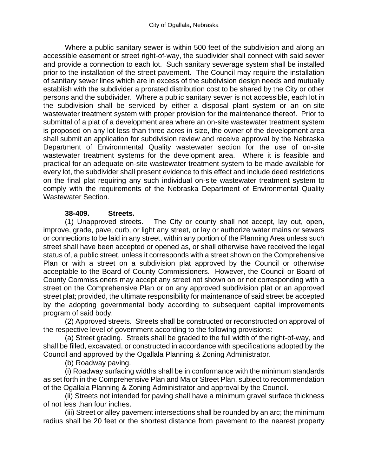Where a public sanitary sewer is within 500 feet of the subdivision and along an accessible easement or street right-of-way, the subdivider shall connect with said sewer and provide a connection to each lot. Such sanitary sewerage system shall be installed prior to the installation of the street pavement. The Council may require the installation of sanitary sewer lines which are in excess of the subdivision design needs and mutually establish with the subdivider a prorated distribution cost to be shared by the City or other persons and the subdivider. Where a public sanitary sewer is not accessible, each lot in the subdivision shall be serviced by either a disposal plant system or an on-site wastewater treatment system with proper provision for the maintenance thereof. Prior to submittal of a plat of a development area where an on-site wastewater treatment system is proposed on any lot less than three acres in size, the owner of the development area shall submit an application for subdivision review and receive approval by the Nebraska Department of Environmental Quality wastewater section for the use of on-site wastewater treatment systems for the development area. Where it is feasible and practical for an adequate on-site wastewater treatment system to be made available for every lot, the subdivider shall present evidence to this effect and include deed restrictions on the final plat requiring any such individual on-site wastewater treatment system to comply with the requirements of the Nebraska Department of Environmental Quality Wastewater Section.

#### **38-409. Streets.**

(1) Unapproved streets. The City or county shall not accept, lay out, open, improve, grade, pave, curb, or light any street, or lay or authorize water mains or sewers or connections to be laid in any street, within any portion of the Planning Area unless such street shall have been accepted or opened as, or shall otherwise have received the legal status of, a public street, unless it corresponds with a street shown on the Comprehensive Plan or with a street on a subdivision plat approved by the Council or otherwise acceptable to the Board of County Commissioners. However, the Council or Board of County Commissioners may accept any street not shown on or not corresponding with a street on the Comprehensive Plan or on any approved subdivision plat or an approved street plat; provided, the ultimate responsibility for maintenance of said street be accepted by the adopting governmental body according to subsequent capital improvements program of said body.

(2) Approved streets. Streets shall be constructed or reconstructed on approval of the respective level of government according to the following provisions:

(a) Street grading. Streets shall be graded to the full width of the right-of-way, and shall be filled, excavated, or constructed in accordance with specifications adopted by the Council and approved by the Ogallala Planning & Zoning Administrator.

(b) Roadway paving.

(i) Roadway surfacing widths shall be in conformance with the minimum standards as set forth in the Comprehensive Plan and Major Street Plan, subject to recommendation of the Ogallala Planning & Zoning Administrator and approval by the Council.

(ii) Streets not intended for paving shall have a minimum gravel surface thickness of not less than four inches.

(iii) Street or alley pavement intersections shall be rounded by an arc; the minimum radius shall be 20 feet or the shortest distance from pavement to the nearest property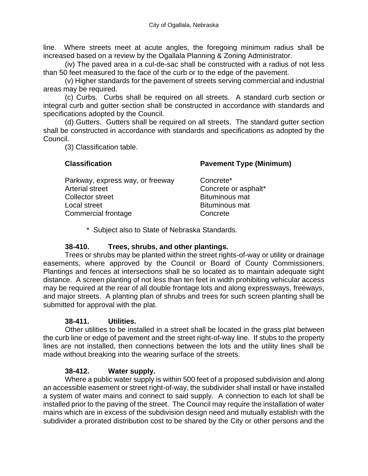line. Where streets meet at acute angles, the foregoing minimum radius shall be increased based on a review by the Ogallala Planning & Zoning Administrator.

(iv) The paved area in a cul-de-sac shall be constructed with a radius of not less than 50 feet measured to the face of the curb or to the edge of the pavement.

(v) Higher standards for the pavement of streets serving commercial and industrial areas may be required.

(c) Curbs. Curbs shall be required on all streets. A standard curb section or integral curb and gutter section shall be constructed in accordance with standards and specifications adopted by the Council.

(d) Gutters. Gutters shall be required on all streets. The standard gutter section shall be constructed in accordance with standards and specifications as adopted by the Council.

(3) Classification table.

**Classification Pavement Type (Minimum)**

asphalt\*

| Parkway, express way, or freeway | Concrete*             |
|----------------------------------|-----------------------|
| Arterial street                  | Concrete or asp       |
| <b>Collector street</b>          | <b>Bituminous mat</b> |
| Local street                     | <b>Bituminous mat</b> |
| Commercial frontage              | Concrete              |
|                                  |                       |

\* Subject also to State of Nebraska Standards.

#### **38-410. Trees, shrubs, and other plantings.**

Trees or shrubs may be planted within the street rights-of-way or utility or drainage easements, where approved by the Council or Board of County Commissioners. Plantings and fences at intersections shall be so located as to maintain adequate sight distance. A screen planting of not less than ten feet in width prohibiting vehicular access may be required at the rear of all double frontage lots and along expressways, freeways, and major streets. A planting plan of shrubs and trees for such screen planting shall be submitted for approval with the plat.

#### **38-411. Utilities.**

Other utilities to be installed in a street shall be located in the grass plat between the curb line or edge of pavement and the street right-of-way line. If stubs to the property lines are not installed, then connections between the lots and the utility lines shall be made without breaking into the wearing surface of the streets.

#### **38-412. Water supply.**

Where a public water supply is within 500 feet of a proposed subdivision and along an accessible easement or street right-of-way, the subdivider shall install or have installed a system of water mains and connect to said supply. A connection to each lot shall be installed prior to the paving of the street. The Council may require the installation of water mains which are in excess of the subdivision design need and mutually establish with the subdivider a prorated distribution cost to be shared by the City or other persons and the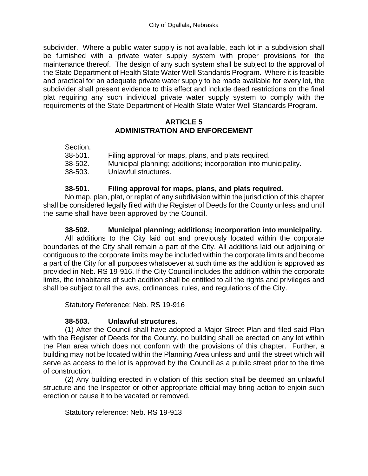subdivider. Where a public water supply is not available, each lot in a subdivision shall be furnished with a private water supply system with proper provisions for the maintenance thereof. The design of any such system shall be subject to the approval of the State Department of Health State Water Well Standards Program. Where it is feasible and practical for an adequate private water supply to be made available for every lot, the subdivider shall present evidence to this effect and include deed restrictions on the final plat requiring any such individual private water supply system to comply with the requirements of the State Department of Health State Water Well Standards Program.

#### **ARTICLE 5 ADMINISTRATION AND ENFORCEMENT**

| Section. |                                                                 |
|----------|-----------------------------------------------------------------|
| 38-501.  | Filing approval for maps, plans, and plats required.            |
| 38-502.  | Municipal planning; additions; incorporation into municipality. |
| 38-503.  | Unlawful structures.                                            |

#### **38-501. Filing approval for maps, plans, and plats required.**

No map, plan, plat, or replat of any subdivision within the jurisdiction of this chapter shall be considered legally filed with the Register of Deeds for the County unless and until the same shall have been approved by the Council.

#### **38-502. Municipal planning; additions; incorporation into municipality.**

All additions to the City laid out and previously located within the corporate boundaries of the City shall remain a part of the City. All additions laid out adjoining or contiguous to the corporate limits may be included within the corporate limits and become a part of the City for all purposes whatsoever at such time as the addition is approved as provided in Neb. RS 19-916. If the City Council includes the addition within the corporate limits, the inhabitants of such addition shall be entitled to all the rights and privileges and shall be subject to all the laws, ordinances, rules, and regulations of the City.

Statutory Reference: Neb. RS 19-916

#### **38-503. Unlawful structures.**

(1) After the Council shall have adopted a Major Street Plan and filed said Plan with the Register of Deeds for the County, no building shall be erected on any lot within the Plan area which does not conform with the provisions of this chapter. Further, a building may not be located within the Planning Area unless and until the street which will serve as access to the lot is approved by the Council as a public street prior to the time of construction.

(2) Any building erected in violation of this section shall be deemed an unlawful structure and the Inspector or other appropriate official may bring action to enjoin such erection or cause it to be vacated or removed.

Statutory reference: Neb. RS 19-913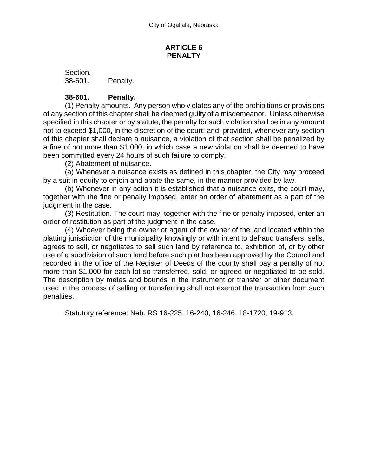#### **ARTICLE 6 PENALTY**

Section. 38-601. Penalty.

#### **38-601. Penalty.**

(1) Penalty amounts. Any person who violates any of the prohibitions or provisions of any section of this chapter shall be deemed guilty of a misdemeanor. Unless otherwise specified in this chapter or by statute, the penalty for such violation shall be in any amount not to exceed \$1,000, in the discretion of the court; and; provided, whenever any section of this chapter shall declare a nuisance, a violation of that section shall be penalized by a fine of not more than \$1,000, in which case a new violation shall be deemed to have been committed every 24 hours of such failure to comply.

(2) Abatement of nuisance.

(a) Whenever a nuisance exists as defined in this chapter, the City may proceed by a suit in equity to enjoin and abate the same, in the manner provided by law.

(b) Whenever in any action it is established that a nuisance exits, the court may, together with the fine or penalty imposed, enter an order of abatement as a part of the judgment in the case.

(3) Restitution. The court may, together with the fine or penalty imposed, enter an order of restitution as part of the judgment in the case.

(4) Whoever being the owner or agent of the owner of the land located within the platting jurisdiction of the municipality knowingly or with intent to defraud transfers, sells, agrees to sell, or negotiates to sell such land by reference to, exhibition of, or by other use of a subdivision of such land before such plat has been approved by the Council and recorded in the office of the Register of Deeds of the county shall pay a penalty of not more than \$1,000 for each lot so transferred, sold, or agreed or negotiated to be sold. The description by metes and bounds in the instrument or transfer or other document used in the process of selling or transferring shall not exempt the transaction from such penalties.

Statutory reference: Neb. RS 16-225, 16-240, 16-246, 18-1720, 19-913.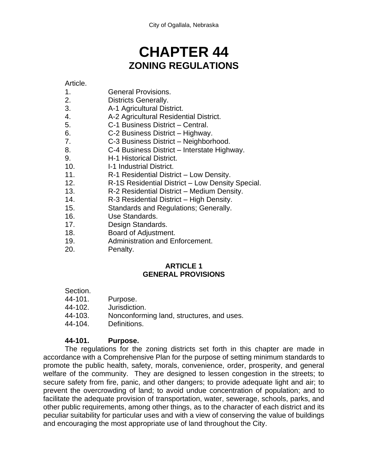# **CHAPTER 44 ZONING REGULATIONS**

Article.

- 1. General Provisions.
- 2. Districts Generally.
- 3. A-1 Agricultural District.
- 4. A-2 Agricultural Residential District.
- 5. C-1 Business District Central.
- 6. C-2 Business District Highway.
- 7. C-3 Business District Neighborhood.
- 8. C-4 Business District Interstate Highway.
- 9. H-1 Historical District.
- 10. I-1 Industrial District.
- 11. R-1 Residential District Low Density.
- 12. R-1S Residential District Low Density Special.
- 13. R-2 Residential District Medium Density.
- 14. R-3 Residential District High Density.
- 15. Standards and Regulations; Generally.
- 16. Use Standards.
- 17. Design Standards.
- 18. Board of Adjustment.
- 19. Administration and Enforcement.
- 20. Penalty.

#### **ARTICLE 1 GENERAL PROVISIONS**

- Section.
- 44-101. Purpose.
- 44-102. Jurisdiction.
- 44-103. Nonconforming land, structures, and uses.
- 44-104. Definitions.

## **44-101. Purpose.**

The regulations for the zoning districts set forth in this chapter are made in accordance with a Comprehensive Plan for the purpose of setting minimum standards to promote the public health, safety, morals, convenience, order, prosperity, and general welfare of the community. They are designed to lessen congestion in the streets; to secure safety from fire, panic, and other dangers; to provide adequate light and air; to prevent the overcrowding of land; to avoid undue concentration of population; and to facilitate the adequate provision of transportation, water, sewerage, schools, parks, and other public requirements, among other things, as to the character of each district and its peculiar suitability for particular uses and with a view of conserving the value of buildings and encouraging the most appropriate use of land throughout the City.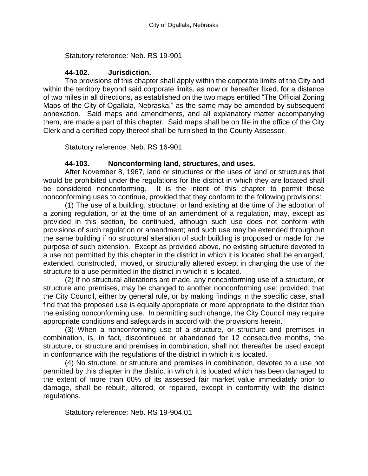Statutory reference: Neb. RS 19-901

#### **44-102. Jurisdiction.**

The provisions of this chapter shall apply within the corporate limits of the City and within the territory beyond said corporate limits, as now or hereafter fixed, for a distance of two miles in all directions, as established on the two maps entitled "The Official Zoning Maps of the City of Ogallala, Nebraska," as the same may be amended by subsequent annexation. Said maps and amendments, and all explanatory matter accompanying them, are made a part of this chapter. Said maps shall be on file in the office of the City Clerk and a certified copy thereof shall be furnished to the County Assessor.

Statutory reference: Neb. RS 16-901

#### **44-103. Nonconforming land, structures, and uses.**

After November 8, 1967, land or structures or the uses of land or structures that would be prohibited under the regulations for the district in which they are located shall be considered nonconforming. It is the intent of this chapter to permit these nonconforming uses to continue, provided that they conform to the following provisions:

(1) The use of a building, structure, or land existing at the time of the adoption of a zoning regulation, or at the time of an amendment of a regulation, may, except as provided in this section, be continued, although such use does not conform with provisions of such regulation or amendment; and such use may be extended throughout the same building if no structural alteration of such building is proposed or made for the purpose of such extension. Except as provided above, no existing structure devoted to a use not permitted by this chapter in the district in which it is located shall be enlarged, extended, constructed, moved, or structurally altered except in changing the use of the structure to a use permitted in the district in which it is located.

(2) If no structural alterations are made, any nonconforming use of a structure, or structure and premises, may be changed to another nonconforming use; provided, that the City Council, either by general rule, or by making findings in the specific case, shall find that the proposed use is equally appropriate or more appropriate to the district than the existing nonconforming use. In permitting such change, the City Council may require appropriate conditions and safeguards in accord with the provisions herein.

(3) When a nonconforming use of a structure, or structure and premises in combination, is, in fact, discontinued or abandoned for 12 consecutive months, the structure, or structure and premises in combination, shall not thereafter be used except in conformance with the regulations of the district in which it is located.

(4) No structure, or structure and premises in combination, devoted to a use not permitted by this chapter in the district in which it is located which has been damaged to the extent of more than 60% of its assessed fair market value immediately prior to damage, shall be rebuilt, altered, or repaired, except in conformity with the district regulations.

Statutory reference: Neb. RS 19-904.01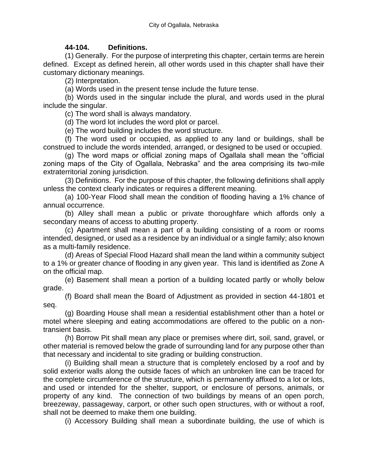#### **44-104. Definitions.**

(1) Generally. For the purpose of interpreting this chapter, certain terms are herein defined. Except as defined herein, all other words used in this chapter shall have their customary dictionary meanings.

(2) Interpretation.

(a) Words used in the present tense include the future tense.

(b) Words used in the singular include the plural, and words used in the plural include the singular.

(c) The word shall is always mandatory.

(d) The word lot includes the word plot or parcel.

(e) The word building includes the word structure.

(f) The word used or occupied, as applied to any land or buildings, shall be construed to include the words intended, arranged, or designed to be used or occupied.

(g) The word maps or official zoning maps of Ogallala shall mean the "official zoning maps of the City of Ogallala, Nebraska" and the area comprising its two-mile extraterritorial zoning jurisdiction.

(3) Definitions. For the purpose of this chapter, the following definitions shall apply unless the context clearly indicates or requires a different meaning.

(a) 100-Year Flood shall mean the condition of flooding having a 1% chance of annual occurrence.

(b) Alley shall mean a public or private thoroughfare which affords only a secondary means of access to abutting property.

(c) Apartment shall mean a part of a building consisting of a room or rooms intended, designed, or used as a residence by an individual or a single family; also known as a multi-family residence.

(d) Areas of Special Flood Hazard shall mean the land within a community subject to a 1% or greater chance of flooding in any given year. This land is identified as Zone A on the official map.

(e) Basement shall mean a portion of a building located partly or wholly below grade.

(f) Board shall mean the Board of Adjustment as provided in section 44-1801 et seq.

(g) Boarding House shall mean a residential establishment other than a hotel or motel where sleeping and eating accommodations are offered to the public on a nontransient basis.

(h) Borrow Pit shall mean any place or premises where dirt, soil, sand, gravel, or other material is removed below the grade of surrounding land for any purpose other than that necessary and incidental to site grading or building construction.

(i) Building shall mean a structure that is completely enclosed by a roof and by solid exterior walls along the outside faces of which an unbroken line can be traced for the complete circumference of the structure, which is permanently affixed to a lot or lots, and used or intended for the shelter, support, or enclosure of persons, animals, or property of any kind. The connection of two buildings by means of an open porch, breezeway, passageway, carport, or other such open structures, with or without a roof, shall not be deemed to make them one building.

(i) Accessory Building shall mean a subordinate building, the use of which is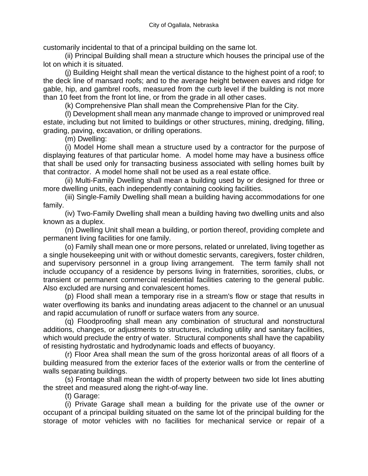customarily incidental to that of a principal building on the same lot.

(ii) Principal Building shall mean a structure which houses the principal use of the lot on which it is situated.

(j) Building Height shall mean the vertical distance to the highest point of a roof; to the deck line of mansard roofs; and to the average height between eaves and ridge for gable, hip, and gambrel roofs, measured from the curb level if the building is not more than 10 feet from the front lot line, or from the grade in all other cases.

(k) Comprehensive Plan shall mean the Comprehensive Plan for the City.

(l) Development shall mean any manmade change to improved or unimproved real estate, including but not limited to buildings or other structures, mining, dredging, filling, grading, paving, excavation, or drilling operations.

(m) Dwelling:

(i) Model Home shall mean a structure used by a contractor for the purpose of displaying features of that particular home. A model home may have a business office that shall be used only for transacting business associated with selling homes built by that contractor. A model home shall not be used as a real estate office.

(ii) Multi-Family Dwelling shall mean a building used by or designed for three or more dwelling units, each independently containing cooking facilities.

(iii) Single-Family Dwelling shall mean a building having accommodations for one family.

(iv) Two-Family Dwelling shall mean a building having two dwelling units and also known as a duplex.

(n) Dwelling Unit shall mean a building, or portion thereof, providing complete and permanent living facilities for one family.

(o) Family shall mean one or more persons, related or unrelated, living together as a single housekeeping unit with or without domestic servants, caregivers, foster children, and supervisory personnel in a group living arrangement. The term family shall not include occupancy of a residence by persons living in fraternities, sororities, clubs, or transient or permanent commercial residential facilities catering to the general public. Also excluded are nursing and convalescent homes.

(p) Flood shall mean a temporary rise in a stream's flow or stage that results in water overflowing its banks and inundating areas adjacent to the channel or an unusual and rapid accumulation of runoff or surface waters from any source.

(q) Floodproofing shall mean any combination of structural and nonstructural additions, changes, or adjustments to structures, including utility and sanitary facilities, which would preclude the entry of water. Structural components shall have the capability of resisting hydrostatic and hydrodynamic loads and effects of buoyancy.

(r) Floor Area shall mean the sum of the gross horizontal areas of all floors of a building measured from the exterior faces of the exterior walls or from the centerline of walls separating buildings.

(s) Frontage shall mean the width of property between two side lot lines abutting the street and measured along the right-of-way line.

(t) Garage:

(i) Private Garage shall mean a building for the private use of the owner or occupant of a principal building situated on the same lot of the principal building for the storage of motor vehicles with no facilities for mechanical service or repair of a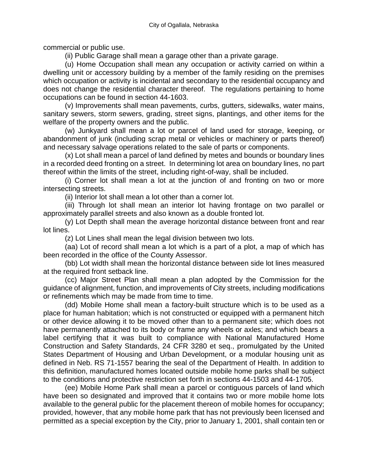commercial or public use.

(ii) Public Garage shall mean a garage other than a private garage.

(u) Home Occupation shall mean any occupation or activity carried on within a dwelling unit or accessory building by a member of the family residing on the premises which occupation or activity is incidental and secondary to the residential occupancy and does not change the residential character thereof. The regulations pertaining to home occupations can be found in section 44-1603.

(v) Improvements shall mean pavements, curbs, gutters, sidewalks, water mains, sanitary sewers, storm sewers, grading, street signs, plantings, and other items for the welfare of the property owners and the public.

(w) Junkyard shall mean a lot or parcel of land used for storage, keeping, or abandonment of junk (including scrap metal or vehicles or machinery or parts thereof) and necessary salvage operations related to the sale of parts or components.

(x) Lot shall mean a parcel of land defined by metes and bounds or boundary lines in a recorded deed fronting on a street. In determining lot area on boundary lines, no part thereof within the limits of the street, including right-of-way, shall be included.

(i) Corner lot shall mean a lot at the junction of and fronting on two or more intersecting streets.

(ii) Interior lot shall mean a lot other than a corner lot.

(iii) Through lot shall mean an interior lot having frontage on two parallel or approximately parallel streets and also known as a double fronted lot.

(y) Lot Depth shall mean the average horizontal distance between front and rear lot lines.

(z) Lot Lines shall mean the legal division between two lots.

(aa) Lot of record shall mean a lot which is a part of a plot, a map of which has been recorded in the office of the County Assessor.

(bb) Lot width shall mean the horizontal distance between side lot lines measured at the required front setback line.

(cc) Major Street Plan shall mean a plan adopted by the Commission for the guidance of alignment, function, and improvements of City streets, including modifications or refinements which may be made from time to time.

(dd) Mobile Home shall mean a factory-built structure which is to be used as a place for human habitation; which is not constructed or equipped with a permanent hitch or other device allowing it to be moved other than to a permanent site; which does not have permanently attached to its body or frame any wheels or axles; and which bears a label certifying that it was built to compliance with National Manufactured Home Construction and Safety Standards, 24 CFR 3280 et seq., promulgated by the United States Department of Housing and Urban Development, or a modular housing unit as defined in Neb. RS 71-1557 bearing the seal of the Department of Health. In addition to this definition, manufactured homes located outside mobile home parks shall be subject to the conditions and protective restriction set forth in sections 44-1503 and 44-1705.

(ee) Mobile Home Park shall mean a parcel or contiguous parcels of land which have been so designated and improved that it contains two or more mobile home lots available to the general public for the placement thereon of mobile homes for occupancy; provided, however, that any mobile home park that has not previously been licensed and permitted as a special exception by the City, prior to January 1, 2001, shall contain ten or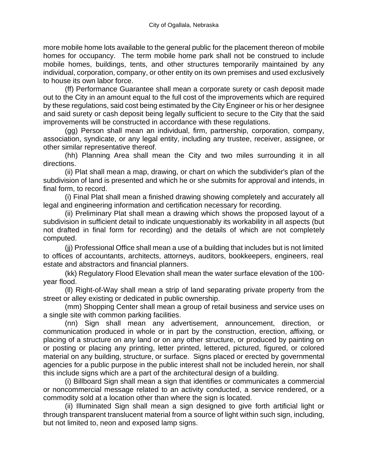more mobile home lots available to the general public for the placement thereon of mobile homes for occupancy. The term mobile home park shall not be construed to include mobile homes, buildings, tents, and other structures temporarily maintained by any individual, corporation, company, or other entity on its own premises and used exclusively to house its own labor force.

(ff) Performance Guarantee shall mean a corporate surety or cash deposit made out to the City in an amount equal to the full cost of the improvements which are required by these regulations, said cost being estimated by the City Engineer or his or her designee and said surety or cash deposit being legally sufficient to secure to the City that the said improvements will be constructed in accordance with these regulations.

(gg) Person shall mean an individual, firm, partnership, corporation, company, association, syndicate, or any legal entity, including any trustee, receiver, assignee, or other similar representative thereof.

(hh) Planning Area shall mean the City and two miles surrounding it in all directions.

(ii) Plat shall mean a map, drawing, or chart on which the subdivider's plan of the subdivision of land is presented and which he or she submits for approval and intends, in final form, to record.

(i) Final Plat shall mean a finished drawing showing completely and accurately all legal and engineering information and certification necessary for recording.

(ii) Preliminary Plat shall mean a drawing which shows the proposed layout of a subdivision in sufficient detail to indicate unquestionably its workability in all aspects (but not drafted in final form for recording) and the details of which are not completely computed.

(jj) Professional Office shall mean a use of a building that includes but is not limited to offices of accountants, architects, attorneys, auditors, bookkeepers, engineers, real estate and abstractors and financial planners.

(kk) Regulatory Flood Elevation shall mean the water surface elevation of the 100 year flood.

(ll) Right-of-Way shall mean a strip of land separating private property from the street or alley existing or dedicated in public ownership.

(mm) Shopping Center shall mean a group of retail business and service uses on a single site with common parking facilities.

(nn) Sign shall mean any advertisement, announcement, direction, or communication produced in whole or in part by the construction, erection, affixing, or placing of a structure on any land or on any other structure, or produced by painting on or posting or placing any printing, letter printed, lettered, pictured, figured, or colored material on any building, structure, or surface. Signs placed or erected by governmental agencies for a public purpose in the public interest shall not be included herein, nor shall this include signs which are a part of the architectural design of a building.

(i) Billboard Sign shall mean a sign that identifies or communicates a commercial or noncommercial message related to an activity conducted, a service rendered, or a commodity sold at a location other than where the sign is located.

(ii) Illuminated Sign shall mean a sign designed to give forth artificial light or through transparent translucent material from a source of light within such sign, including, but not limited to, neon and exposed lamp signs.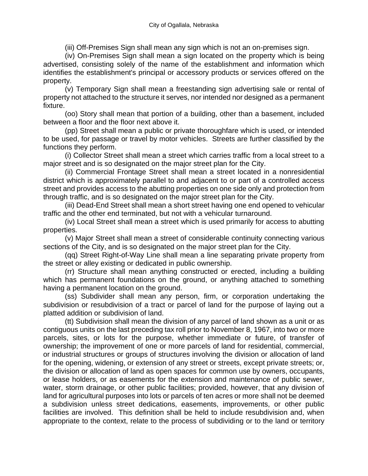(iii) Off-Premises Sign shall mean any sign which is not an on-premises sign.

(iv) On-Premises Sign shall mean a sign located on the property which is being advertised, consisting solely of the name of the establishment and information which identifies the establishment's principal or accessory products or services offered on the property.

(v) Temporary Sign shall mean a freestanding sign advertising sale or rental of property not attached to the structure it serves, nor intended nor designed as a permanent fixture.

(oo) Story shall mean that portion of a building, other than a basement, included between a floor and the floor next above it.

(pp) Street shall mean a public or private thoroughfare which is used, or intended to be used, for passage or travel by motor vehicles. Streets are further classified by the functions they perform.

(i) Collector Street shall mean a street which carries traffic from a local street to a major street and is so designated on the major street plan for the City.

(ii) Commercial Frontage Street shall mean a street located in a nonresidential district which is approximately parallel to and adjacent to or part of a controlled access street and provides access to the abutting properties on one side only and protection from through traffic, and is so designated on the major street plan for the City.

(iii) Dead-End Street shall mean a short street having one end opened to vehicular traffic and the other end terminated, but not with a vehicular turnaround.

(iv) Local Street shall mean a street which is used primarily for access to abutting properties.

(v) Major Street shall mean a street of considerable continuity connecting various sections of the City, and is so designated on the major street plan for the City.

(qq) Street Right-of-Way Line shall mean a line separating private property from the street or alley existing or dedicated in public ownership.

(rr) Structure shall mean anything constructed or erected, including a building which has permanent foundations on the ground, or anything attached to something having a permanent location on the ground.

(ss) Subdivider shall mean any person, firm, or corporation undertaking the subdivision or resubdivision of a tract or parcel of land for the purpose of laying out a platted addition or subdivision of land.

(tt) Subdivision shall mean the division of any parcel of land shown as a unit or as contiguous units on the last preceding tax roll prior to November 8, 1967, into two or more parcels, sites, or lots for the purpose, whether immediate or future, of transfer of ownership; the improvement of one or more parcels of land for residential, commercial, or industrial structures or groups of structures involving the division or allocation of land for the opening, widening, or extension of any street or streets, except private streets; or, the division or allocation of land as open spaces for common use by owners, occupants, or lease holders, or as easements for the extension and maintenance of public sewer, water, storm drainage, or other public facilities; provided, however, that any division of land for agricultural purposes into lots or parcels of ten acres or more shall not be deemed a subdivision unless street dedications, easements, improvements, or other public facilities are involved. This definition shall be held to include resubdivision and, when appropriate to the context, relate to the process of subdividing or to the land or territory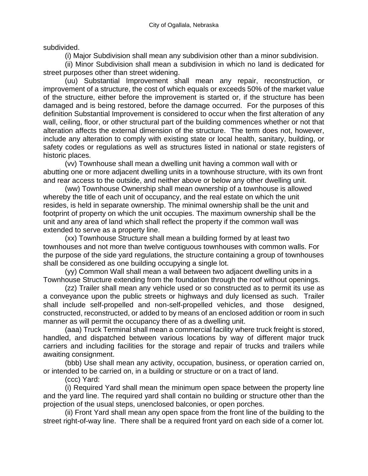subdivided.

(i) Major Subdivision shall mean any subdivision other than a minor subdivision.

(ii) Minor Subdivision shall mean a subdivision in which no land is dedicated for street purposes other than street widening.

(uu) Substantial Improvement shall mean any repair, reconstruction, or improvement of a structure, the cost of which equals or exceeds 50% of the market value of the structure, either before the improvement is started or, if the structure has been damaged and is being restored, before the damage occurred. For the purposes of this definition Substantial Improvement is considered to occur when the first alteration of any wall, ceiling, floor, or other structural part of the building commences whether or not that alteration affects the external dimension of the structure. The term does not, however, include any alteration to comply with existing state or local health, sanitary, building, or safety codes or regulations as well as structures listed in national or state registers of historic places.

(vv) Townhouse shall mean a dwelling unit having a common wall with or abutting one or more adjacent dwelling units in a townhouse structure, with its own front and rear access to the outside, and neither above or below any other dwelling unit.

(ww) Townhouse Ownership shall mean ownership of a townhouse is allowed whereby the title of each unit of occupancy, and the real estate on which the unit resides, is held in separate ownership. The minimal ownership shall be the unit and footprint of property on which the unit occupies. The maximum ownership shall be the unit and any area of land which shall reflect the property if the common wall was extended to serve as a property line.

(xx) Townhouse Structure shall mean a building formed by at least two townhouses and not more than twelve contiguous townhouses with common walls. For the purpose of the side yard regulations, the structure containing a group of townhouses shall be considered as one building occupying a single lot.

(yy) Common Wall shall mean a wall between two adjacent dwelling units in a Townhouse Structure extending from the foundation through the roof without openings.

(zz) Trailer shall mean any vehicle used or so constructed as to permit its use as a conveyance upon the public streets or highways and duly licensed as such. Trailer shall include self-propelled and non-self-propelled vehicles, and those designed, constructed, reconstructed, or added to by means of an enclosed addition or room in such manner as will permit the occupancy there of as a dwelling unit.

(aaa) Truck Terminal shall mean a commercial facility where truck freight is stored, handled, and dispatched between various locations by way of different major truck carriers and including facilities for the storage and repair of trucks and trailers while awaiting consignment.

(bbb) Use shall mean any activity, occupation, business, or operation carried on, or intended to be carried on, in a building or structure or on a tract of land.

(ccc) Yard:

(i) Required Yard shall mean the minimum open space between the property line and the yard line. The required yard shall contain no building or structure other than the projection of the usual steps, unenclosed balconies, or open porches.

(ii) Front Yard shall mean any open space from the front line of the building to the street right-of-way line. There shall be a required front yard on each side of a corner lot.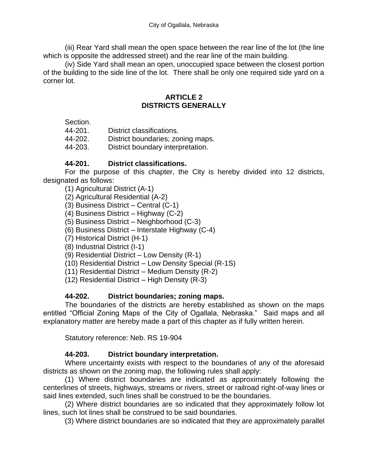(iii) Rear Yard shall mean the open space between the rear line of the lot (the line which is opposite the addressed street) and the rear line of the main building.

(iv) Side Yard shall mean an open, unoccupied space between the closest portion of the building to the side line of the lot. There shall be only one required side yard on a corner lot.

#### **ARTICLE 2 DISTRICTS GENERALLY**

Section.

| District classifications. |
|---------------------------|
|                           |

- 44-202. District boundaries; zoning maps.
- 44-203. District boundary interpretation.

## **44-201. District classifications.**

For the purpose of this chapter, the City is hereby divided into 12 districts, designated as follows:

- (1) Agricultural District (A-1)
- (2) Agricultural Residential (A-2)
- (3) Business District Central (C-1)
- (4) Business District Highway (C-2)
- (5) Business District Neighborhood (C-3)
- (6) Business District Interstate Highway (C-4)
- (7) Historical District (H-1)
- (8) Industrial District (I-1)
- (9) Residential District Low Density (R-1)
- (10) Residential District Low Density Special (R-1S)
- (11) Residential District Medium Density (R-2)
- (12) Residential District High Density (R-3)

#### **44-202. District boundaries; zoning maps.**

The boundaries of the districts are hereby established as shown on the maps entitled "Official Zoning Maps of the City of Ogallala, Nebraska." Said maps and all explanatory matter are hereby made a part of this chapter as if fully written herein.

Statutory reference: Neb. RS 19-904

## **44-203. District boundary interpretation.**

Where uncertainty exists with respect to the boundaries of any of the aforesaid districts as shown on the zoning map, the following rules shall apply:

(1) Where district boundaries are indicated as approximately following the centerlines of streets, highways, streams or rivers, street or railroad right-of-way lines or said lines extended, such lines shall be construed to be the boundaries.

(2) Where district boundaries are so indicated that they approximately follow lot lines, such lot lines shall be construed to be said boundaries.

(3) Where district boundaries are so indicated that they are approximately parallel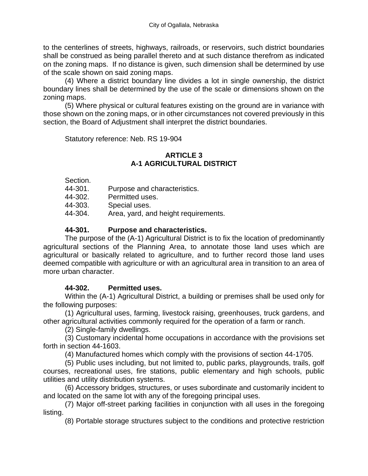to the centerlines of streets, highways, railroads, or reservoirs, such district boundaries shall be construed as being parallel thereto and at such distance therefrom as indicated on the zoning maps. If no distance is given, such dimension shall be determined by use of the scale shown on said zoning maps.

(4) Where a district boundary line divides a lot in single ownership, the district boundary lines shall be determined by the use of the scale or dimensions shown on the zoning maps.

(5) Where physical or cultural features existing on the ground are in variance with those shown on the zoning maps, or in other circumstances not covered previously in this section, the Board of Adjustment shall interpret the district boundaries.

Statutory reference: Neb. RS 19-904

## **ARTICLE 3 A-1 AGRICULTURAL DISTRICT**

Section.

- 44-301. Purpose and characteristics.
- 44-302. Permitted uses.
- 44-303. Special uses.
- 44-304. Area, yard, and height requirements.

## **44-301. Purpose and characteristics.**

The purpose of the (A-1) Agricultural District is to fix the location of predominantly agricultural sections of the Planning Area, to annotate those land uses which are agricultural or basically related to agriculture, and to further record those land uses deemed compatible with agriculture or with an agricultural area in transition to an area of more urban character.

#### **44-302. Permitted uses.**

Within the (A-1) Agricultural District, a building or premises shall be used only for the following purposes:

(1) Agricultural uses, farming, livestock raising, greenhouses, truck gardens, and other agricultural activities commonly required for the operation of a farm or ranch.

(2) Single-family dwellings.

(3) Customary incidental home occupations in accordance with the provisions set forth in section 44-1603.

(4) Manufactured homes which comply with the provisions of section 44-1705.

(5) Public uses including, but not limited to, public parks, playgrounds, trails, golf courses, recreational uses, fire stations, public elementary and high schools, public utilities and utility distribution systems.

(6) Accessory bridges, structures, or uses subordinate and customarily incident to and located on the same lot with any of the foregoing principal uses.

(7) Major off-street parking facilities in conjunction with all uses in the foregoing listing.

(8) Portable storage structures subject to the conditions and protective restriction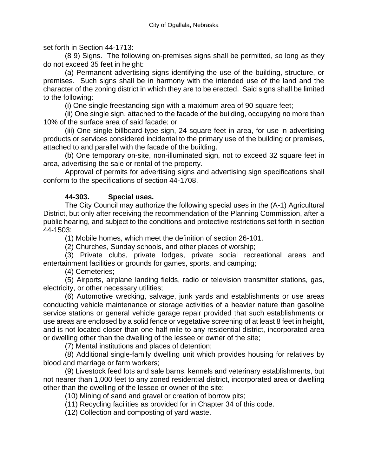set forth in Section 44-1713:

(8 9) Signs. The following on-premises signs shall be permitted, so long as they do not exceed 35 feet in height:

(a) Permanent advertising signs identifying the use of the building, structure, or premises. Such signs shall be in harmony with the intended use of the land and the character of the zoning district in which they are to be erected. Said signs shall be limited to the following:

(i) One single freestanding sign with a maximum area of 90 square feet;

(ii) One single sign, attached to the facade of the building, occupying no more than 10% of the surface area of said facade; or

(iii) One single billboard-type sign, 24 square feet in area, for use in advertising products or services considered incidental to the primary use of the building or premises, attached to and parallel with the facade of the building.

(b) One temporary on-site, non-illuminated sign, not to exceed 32 square feet in area, advertising the sale or rental of the property.

Approval of permits for advertising signs and advertising sign specifications shall conform to the specifications of section 44-1708.

## **44-303. Special uses.**

The City Council may authorize the following special uses in the (A-1) Agricultural District, but only after receiving the recommendation of the Planning Commission, after a public hearing, and subject to the conditions and protective restrictions set forth in section 44-1503:

(1) Mobile homes, which meet the definition of section 26-101.

(2) Churches, Sunday schools, and other places of worship;

(3) Private clubs, private lodges, private social recreational areas and entertainment facilities or grounds for games, sports, and camping;

(4) Cemeteries;

(5) Airports, airplane landing fields, radio or television transmitter stations, gas, electricity, or other necessary utilities;

(6) Automotive wrecking, salvage, junk yards and establishments or use areas conducting vehicle maintenance or storage activities of a heavier nature than gasoline service stations or general vehicle garage repair provided that such establishments or use areas are enclosed by a solid fence or vegetative screening of at least 8 feet in height, and is not located closer than one-half mile to any residential district, incorporated area or dwelling other than the dwelling of the lessee or owner of the site;

(7) Mental institutions and places of detention;

(8) Additional single-family dwelling unit which provides housing for relatives by blood and marriage or farm workers;

(9) Livestock feed lots and sale barns, kennels and veterinary establishments, but not nearer than 1,000 feet to any zoned residential district, incorporated area or dwelling other than the dwelling of the lessee or owner of the site;

(10) Mining of sand and gravel or creation of borrow pits;

(11) Recycling facilities as provided for in Chapter 34 of this code.

(12) Collection and composting of yard waste.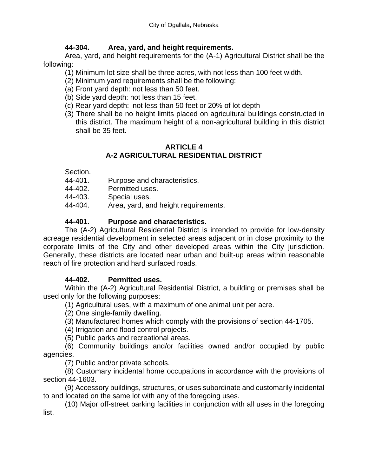## **44-304. Area, yard, and height requirements.**

Area, yard, and height requirements for the (A-1) Agricultural District shall be the following:

(1) Minimum lot size shall be three acres, with not less than 100 feet width.

(2) Minimum yard requirements shall be the following:

(a) Front yard depth: not less than 50 feet.

- (b) Side yard depth: not less than 15 feet.
- (c) Rear yard depth: not less than 50 feet or 20% of lot depth
- (3) There shall be no height limits placed on agricultural buildings constructed in this district. The maximum height of a non-agricultural building in this district shall be 35 feet.

## **ARTICLE 4 A-2 AGRICULTURAL RESIDENTIAL DISTRICT**

#### Section.

- 44-401. Purpose and characteristics.
- 44-402. Permitted uses.
- 44-403. Special uses.
- 44-404. Area, yard, and height requirements.

# **44-401. Purpose and characteristics.**

The (A-2) Agricultural Residential District is intended to provide for low-density acreage residential development in selected areas adjacent or in close proximity to the corporate limits of the City and other developed areas within the City jurisdiction. Generally, these districts are located near urban and built-up areas within reasonable reach of fire protection and hard surfaced roads.

# **44-402. Permitted uses.**

Within the (A-2) Agricultural Residential District, a building or premises shall be used only for the following purposes:

(1) Agricultural uses, with a maximum of one animal unit per acre.

(2) One single-family dwelling.

(3) Manufactured homes which comply with the provisions of section 44-1705.

(4) Irrigation and flood control projects.

(5) Public parks and recreational areas.

(6) Community buildings and/or facilities owned and/or occupied by public agencies.

(7) Public and/or private schools.

(8) Customary incidental home occupations in accordance with the provisions of section 44-1603.

(9) Accessory buildings, structures, or uses subordinate and customarily incidental to and located on the same lot with any of the foregoing uses.

(10) Major off-street parking facilities in conjunction with all uses in the foregoing list.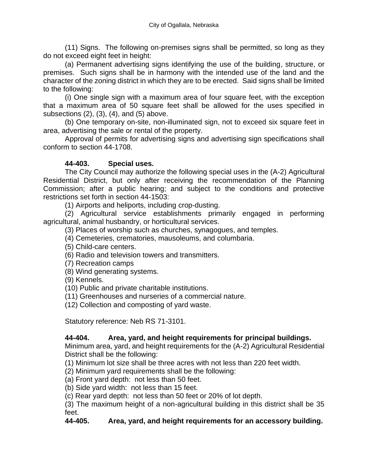(11) Signs. The following on-premises signs shall be permitted, so long as they do not exceed eight feet in height:

(a) Permanent advertising signs identifying the use of the building, structure, or premises. Such signs shall be in harmony with the intended use of the land and the character of the zoning district in which they are to be erected. Said signs shall be limited to the following:

(i) One single sign with a maximum area of four square feet, with the exception that a maximum area of 50 square feet shall be allowed for the uses specified in subsections (2), (3), (4), and (5) above.

(b) One temporary on-site, non-illuminated sign, not to exceed six square feet in area, advertising the sale or rental of the property.

Approval of permits for advertising signs and advertising sign specifications shall conform to section 44-1708.

# **44-403. Special uses.**

The City Council may authorize the following special uses in the (A-2) Agricultural Residential District, but only after receiving the recommendation of the Planning Commission; after a public hearing; and subject to the conditions and protective restrictions set forth in section 44-1503:

(1) Airports and heliports, including crop-dusting.

(2) Agricultural service establishments primarily engaged in performing agricultural, animal husbandry, or horticultural services.

(3) Places of worship such as churches, synagogues, and temples.

(4) Cemeteries, crematories, mausoleums, and columbaria.

(5) Child-care centers.

(6) Radio and television towers and transmitters.

(7) Recreation camps

(8) Wind generating systems.

(9) Kennels.

(10) Public and private charitable institutions.

(11) Greenhouses and nurseries of a commercial nature.

(12) Collection and composting of yard waste.

Statutory reference: Neb RS 71-3101.

## **44-404. Area, yard, and height requirements for principal buildings.**

Minimum area, yard, and height requirements for the (A-2) Agricultural Residential District shall be the following:

(1) Minimum lot size shall be three acres with not less than 220 feet width.

(2) Minimum yard requirements shall be the following:

(a) Front yard depth: not less than 50 feet.

(b) Side yard width: not less than 15 feet.

(c) Rear yard depth: not less than 50 feet or 20% of lot depth.

(3) The maximum height of a non-agricultural building in this district shall be 35 feet.

## **44-405. Area, yard, and height requirements for an accessory building.**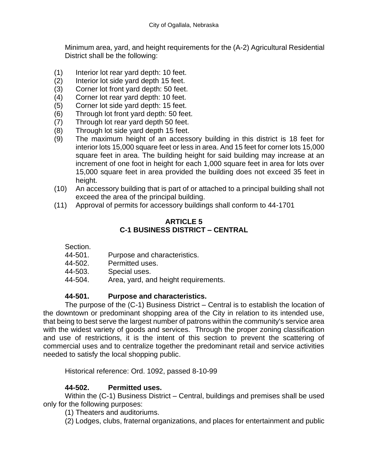Minimum area, yard, and height requirements for the (A-2) Agricultural Residential District shall be the following:

- (1) Interior lot rear yard depth: 10 feet.
- (2) Interior lot side yard depth 15 feet.
- (3) Corner lot front yard depth: 50 feet.
- (4) Corner lot rear yard depth: 10 feet.
- (5) Corner lot side yard depth: 15 feet.
- (6) Through lot front yard depth: 50 feet.
- (7) Through lot rear yard depth 50 feet.
- (8) Through lot side yard depth 15 feet.
- (9) The maximum height of an accessory building in this district is 18 feet for interior lots 15,000 square feet or less in area. And 15 feet for corner lots 15,000 square feet in area. The building height for said building may increase at an increment of one foot in height for each 1,000 square feet in area for lots over 15,000 square feet in area provided the building does not exceed 35 feet in height.
- (10) An accessory building that is part of or attached to a principal building shall not exceed the area of the principal building.
- (11) Approval of permits for accessory buildings shall conform to 44-1701

#### **ARTICLE 5 C-1 BUSINESS DISTRICT – CENTRAL**

Section.

- 44-501. Purpose and characteristics.
- 44-502. Permitted uses.
- 44-503. Special uses.
- 44-504. Area, yard, and height requirements.

## **44-501. Purpose and characteristics.**

The purpose of the (C-1) Business District – Central is to establish the location of the downtown or predominant shopping area of the City in relation to its intended use, that being to best serve the largest number of patrons within the community's service area with the widest variety of goods and services. Through the proper zoning classification and use of restrictions, it is the intent of this section to prevent the scattering of commercial uses and to centralize together the predominant retail and service activities needed to satisfy the local shopping public.

Historical reference: Ord. 1092, passed 8-10-99

## **44-502. Permitted uses.**

Within the (C-1) Business District – Central, buildings and premises shall be used only for the following purposes:

(1) Theaters and auditoriums.

(2) Lodges, clubs, fraternal organizations, and places for entertainment and public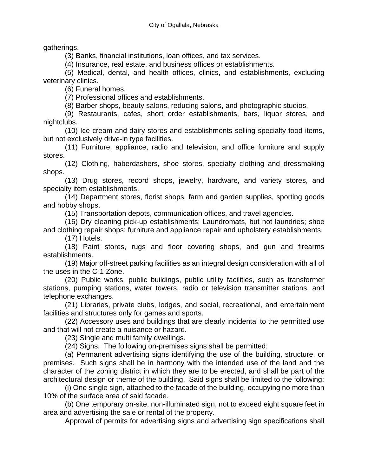gatherings.

(3) Banks, financial institutions, loan offices, and tax services.

(4) Insurance, real estate, and business offices or establishments.

(5) Medical, dental, and health offices, clinics, and establishments, excluding veterinary clinics.

(6) Funeral homes.

(7) Professional offices and establishments.

(8) Barber shops, beauty salons, reducing salons, and photographic studios.

(9) Restaurants, cafes, short order establishments, bars, liquor stores, and nightclubs.

(10) Ice cream and dairy stores and establishments selling specialty food items, but not exclusively drive-in type facilities.

(11) Furniture, appliance, radio and television, and office furniture and supply stores.

(12) Clothing, haberdashers, shoe stores, specialty clothing and dressmaking shops.

(13) Drug stores, record shops, jewelry, hardware, and variety stores, and specialty item establishments.

(14) Department stores, florist shops, farm and garden supplies, sporting goods and hobby shops.

(15) Transportation depots, communication offices, and travel agencies.

(16) Dry cleaning pick-up establishments; Laundromats, but not laundries; shoe and clothing repair shops; furniture and appliance repair and upholstery establishments.

(17) Hotels.

(18) Paint stores, rugs and floor covering shops, and gun and firearms establishments.

(19) Major off-street parking facilities as an integral design consideration with all of the uses in the C-1 Zone.

(20) Public works, public buildings, public utility facilities, such as transformer stations, pumping stations, water towers, radio or television transmitter stations, and telephone exchanges.

(21) Libraries, private clubs, lodges, and social, recreational, and entertainment facilities and structures only for games and sports.

(22) Accessory uses and buildings that are clearly incidental to the permitted use and that will not create a nuisance or hazard.

(23) Single and multi family dwellings.

(24) Signs. The following on-premises signs shall be permitted:

(a) Permanent advertising signs identifying the use of the building, structure, or premises. Such signs shall be in harmony with the intended use of the land and the character of the zoning district in which they are to be erected, and shall be part of the architectural design or theme of the building. Said signs shall be limited to the following:

(i) One single sign, attached to the facade of the building, occupying no more than 10% of the surface area of said facade.

(b) One temporary on-site, non-illuminated sign, not to exceed eight square feet in area and advertising the sale or rental of the property.

Approval of permits for advertising signs and advertising sign specifications shall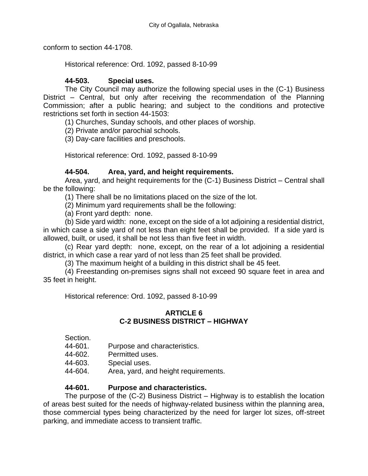conform to section 44-1708.

Historical reference: Ord. 1092, passed 8-10-99

## **44-503. Special uses.**

The City Council may authorize the following special uses in the (C-1) Business District – Central, but only after receiving the recommendation of the Planning Commission; after a public hearing; and subject to the conditions and protective restrictions set forth in section 44-1503:

(1) Churches, Sunday schools, and other places of worship.

(2) Private and/or parochial schools.

(3) Day-care facilities and preschools.

Historical reference: Ord. 1092, passed 8-10-99

## **44-504. Area, yard, and height requirements.**

Area, yard, and height requirements for the (C-1) Business District – Central shall be the following:

(1) There shall be no limitations placed on the size of the lot.

(2) Minimum yard requirements shall be the following:

(a) Front yard depth: none.

(b) Side yard width: none, except on the side of a lot adjoining a residential district, in which case a side yard of not less than eight feet shall be provided. If a side yard is allowed, built, or used, it shall be not less than five feet in width.

(c) Rear yard depth: none, except, on the rear of a lot adjoining a residential district, in which case a rear yard of not less than 25 feet shall be provided.

(3) The maximum height of a building in this district shall be 45 feet.

(4) Freestanding on-premises signs shall not exceed 90 square feet in area and 35 feet in height.

Historical reference: Ord. 1092, passed 8-10-99

#### **ARTICLE 6 C-2 BUSINESS DISTRICT – HIGHWAY**

Section.

- 44-601. Purpose and characteristics.
- 44-602. Permitted uses.
- 44-603. Special uses.
- 44-604. Area, yard, and height requirements.

## **44-601. Purpose and characteristics.**

The purpose of the (C-2) Business District – Highway is to establish the location of areas best suited for the needs of highway-related business within the planning area, those commercial types being characterized by the need for larger lot sizes, off-street parking, and immediate access to transient traffic.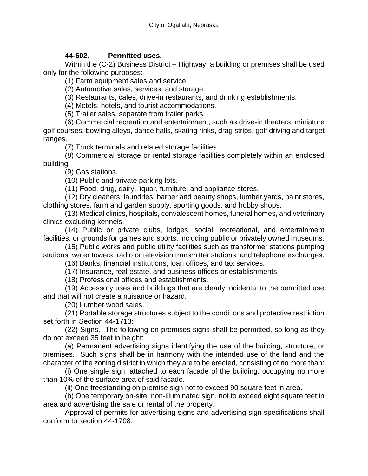## **44-602. Permitted uses.**

Within the (C-2) Business District – Highway, a building or premises shall be used only for the following purposes:

(1) Farm equipment sales and service.

(2) Automotive sales, services, and storage.

(3) Restaurants, cafes, drive-in restaurants, and drinking establishments.

(4) Motels, hotels, and tourist accommodations.

(5) Trailer sales, separate from trailer parks.

(6) Commercial recreation and entertainment, such as drive-in theaters, miniature golf courses, bowling alleys, dance halls, skating rinks, drag strips, golf driving and target ranges.

(7) Truck terminals and related storage facilities.

(8) Commercial storage or rental storage facilities completely within an enclosed building.

(9) Gas stations.

(10) Public and private parking lots.

(11) Food, drug, dairy, liquor, furniture, and appliance stores.

(12) Dry cleaners, laundries, barber and beauty shops, lumber yards, paint stores, clothing stores, farm and garden supply, sporting goods, and hobby shops.

(13) Medical clinics, hospitals, convalescent homes, funeral homes, and veterinary clinics excluding kennels.

(14) Public or private clubs, lodges, social, recreational, and entertainment facilities, or grounds for games and sports, including public or privately owned museums.

(15) Public works and public utility facilities such as transformer stations pumping stations, water towers, radio or television transmitter stations, and telephone exchanges.

(16) Banks, financial institutions, loan offices, and tax services.

(17) Insurance, real estate, and business offices or establishments.

(18) Professional offices and establishments.

(19) Accessory uses and buildings that are clearly incidental to the permitted use and that will not create a nuisance or hazard.

(20) Lumber wood sales.

(21) Portable storage structures subject to the conditions and protective restriction set forth in Section 44-1713:

(22) Signs. The following on-premises signs shall be permitted, so long as they do not exceed 35 feet in height:

(a) Permanent advertising signs identifying the use of the building, structure, or premises. Such signs shall be in harmony with the intended use of the land and the character of the zoning district in which they are to be erected, consisting of no more than:

(i) One single sign, attached to each facade of the building, occupying no more than 10% of the surface area of said facade.

(ii) One freestanding on premise sign not to exceed 90 square feet in area.

(b) One temporary on-site, non-illuminated sign, not to exceed eight square feet in area and advertising the sale or rental of the property.

Approval of permits for advertising signs and advertising sign specifications shall conform to section 44-1708.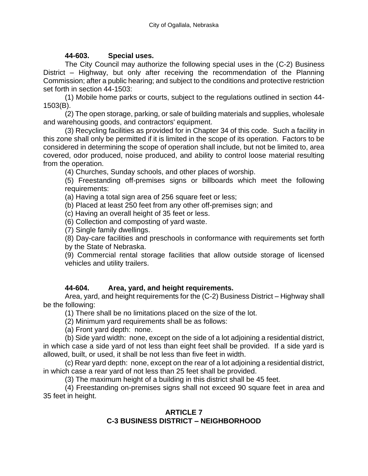#### **44-603. Special uses.**

The City Council may authorize the following special uses in the (C-2) Business District – Highway, but only after receiving the recommendation of the Planning Commission; after a public hearing; and subject to the conditions and protective restriction set forth in section 44-1503:

(1) Mobile home parks or courts, subject to the regulations outlined in section 44- 1503(B).

(2) The open storage, parking, or sale of building materials and supplies, wholesale and warehousing goods, and contractors' equipment.

(3) Recycling facilities as provided for in Chapter 34 of this code. Such a facility in this zone shall only be permitted if it is limited in the scope of its operation. Factors to be considered in determining the scope of operation shall include, but not be limited to, area covered, odor produced, noise produced, and ability to control loose material resulting from the operation.

(4) Churches, Sunday schools, and other places of worship.

(5) Freestanding off-premises signs or billboards which meet the following requirements:

(a) Having a total sign area of 256 square feet or less;

(b) Placed at least 250 feet from any other off-premises sign; and

(c) Having an overall height of 35 feet or less.

(6) Collection and composting of yard waste.

(7) Single family dwellings.

(8) Day-care facilities and preschools in conformance with requirements set forth by the State of Nebraska.

(9) Commercial rental storage facilities that allow outside storage of licensed vehicles and utility trailers.

## **44-604. Area, yard, and height requirements.**

Area, yard, and height requirements for the (C-2) Business District – Highway shall be the following:

(1) There shall be no limitations placed on the size of the lot.

(2) Minimum yard requirements shall be as follows:

(a) Front yard depth: none.

(b) Side yard width: none, except on the side of a lot adjoining a residential district, in which case a side yard of not less than eight feet shall be provided. If a side yard is allowed, built, or used, it shall be not less than five feet in width.

(c) Rear yard depth: none, except on the rear of a lot adjoining a residential district, in which case a rear yard of not less than 25 feet shall be provided.

(3) The maximum height of a building in this district shall be 45 feet.

(4) Freestanding on-premises signs shall not exceed 90 square feet in area and 35 feet in height.

#### **ARTICLE 7 C-3 BUSINESS DISTRICT – NEIGHBORHOOD**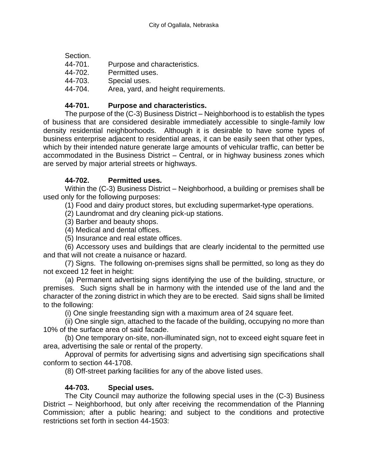| Section. |                                      |
|----------|--------------------------------------|
| 44-701.  | Purpose and characteristics.         |
| 44-702.  | Permitted uses.                      |
| 44-703.  | Special uses.                        |
| 44-704.  | Area, yard, and height requirements. |

# **44-701. Purpose and characteristics.**

The purpose of the (C-3) Business District – Neighborhood is to establish the types of business that are considered desirable immediately accessible to single-family low density residential neighborhoods. Although it is desirable to have some types of business enterprise adjacent to residential areas, it can be easily seen that other types, which by their intended nature generate large amounts of vehicular traffic, can better be accommodated in the Business District – Central, or in highway business zones which are served by major arterial streets or highways.

# **44-702. Permitted uses.**

Within the (C-3) Business District – Neighborhood, a building or premises shall be used only for the following purposes:

(1) Food and dairy product stores, but excluding supermarket-type operations.

(2) Laundromat and dry cleaning pick-up stations.

- (3) Barber and beauty shops.
- (4) Medical and dental offices.

(5) Insurance and real estate offices.

(6) Accessory uses and buildings that are clearly incidental to the permitted use and that will not create a nuisance or hazard.

(7) Signs. The following on-premises signs shall be permitted, so long as they do not exceed 12 feet in height:

(a) Permanent advertising signs identifying the use of the building, structure, or premises. Such signs shall be in harmony with the intended use of the land and the character of the zoning district in which they are to be erected. Said signs shall be limited to the following:

(i) One single freestanding sign with a maximum area of 24 square feet.

(ii) One single sign, attached to the facade of the building, occupying no more than 10% of the surface area of said facade.

(b) One temporary on-site, non-illuminated sign, not to exceed eight square feet in area, advertising the sale or rental of the property.

Approval of permits for advertising signs and advertising sign specifications shall conform to section 44-1708.

(8) Off-street parking facilities for any of the above listed uses.

## **44-703. Special uses.**

The City Council may authorize the following special uses in the (C-3) Business District – Neighborhood, but only after receiving the recommendation of the Planning Commission; after a public hearing; and subject to the conditions and protective restrictions set forth in section 44-1503: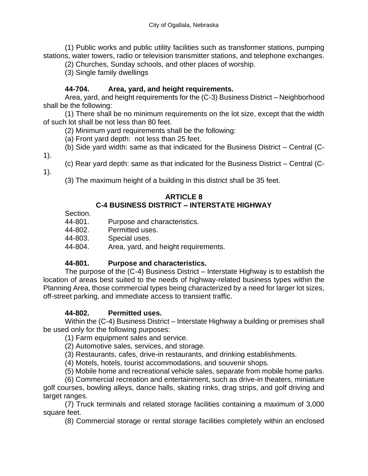(1) Public works and public utility facilities such as transformer stations, pumping stations, water towers, radio or television transmitter stations, and telephone exchanges.

(2) Churches, Sunday schools, and other places of worship.

(3) Single family dwellings

# **44-704. Area, yard, and height requirements.**

Area, yard, and height requirements for the (C-3) Business District – Neighborhood shall be the following:

(1) There shall be no minimum requirements on the lot size, except that the width of such lot shall be not less than 80 feet.

(2) Minimum yard requirements shall be the following:

(a) Front yard depth: not less than 25 feet.

(b) Side yard width: same as that indicated for the Business District – Central (C-

1).

(c) Rear yard depth: same as that indicated for the Business District – Central (C-

1).

(3) The maximum height of a building in this district shall be 35 feet.

# **ARTICLE 8**

# **C-4 BUSINESS DISTRICT – INTERSTATE HIGHWAY**

Section.

- 44-801. Purpose and characteristics.
- 44-802. Permitted uses.

44-803. Special uses.

44-804. Area, yard, and height requirements.

## **44-801. Purpose and characteristics.**

The purpose of the (C-4) Business District – Interstate Highway is to establish the location of areas best suited to the needs of highway-related business types within the Planning Area, those commercial types being characterized by a need for larger lot sizes, off-street parking, and immediate access to transient traffic.

## **44-802. Permitted uses.**

Within the (C-4) Business District – Interstate Highway a building or premises shall be used only for the following purposes:

(1) Farm equipment sales and service.

(2) Automotive sales, services, and storage.

(3) Restaurants, cafes, drive-in restaurants, and drinking establishments.

(4) Motels, hotels, tourist accommodations, and souvenir shops.

(5) Mobile home and recreational vehicle sales, separate from mobile home parks.

(6) Commercial recreation and entertainment, such as drive-in theaters, miniature golf courses, bowling alleys, dance halls, skating rinks, drag strips, and golf driving and target ranges.

(7) Truck terminals and related storage facilities containing a maximum of 3,000 square feet.

(8) Commercial storage or rental storage facilities completely within an enclosed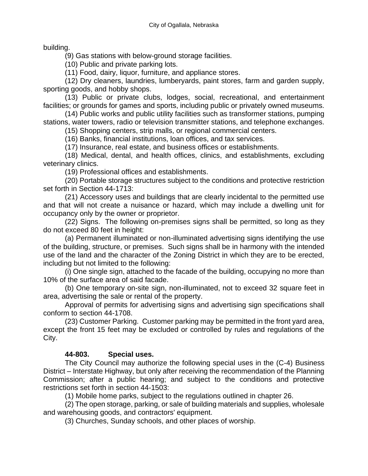building.

(9) Gas stations with below-ground storage facilities.

(10) Public and private parking lots.

(11) Food, dairy, liquor, furniture, and appliance stores.

(12) Dry cleaners, laundries, lumberyards, paint stores, farm and garden supply, sporting goods, and hobby shops.

(13) Public or private clubs, lodges, social, recreational, and entertainment facilities; or grounds for games and sports, including public or privately owned museums.

(14) Public works and public utility facilities such as transformer stations, pumping stations, water towers, radio or television transmitter stations, and telephone exchanges.

(15) Shopping centers, strip malls, or regional commercial centers.

(16) Banks, financial institutions, loan offices, and tax services.

(17) Insurance, real estate, and business offices or establishments.

(18) Medical, dental, and health offices, clinics, and establishments, excluding veterinary clinics.

(19) Professional offices and establishments.

(20) Portable storage structures subject to the conditions and protective restriction set forth in Section 44-1713:

(21) Accessory uses and buildings that are clearly incidental to the permitted use and that will not create a nuisance or hazard, which may include a dwelling unit for occupancy only by the owner or proprietor.

(22) Signs. The following on-premises signs shall be permitted, so long as they do not exceed 80 feet in height:

(a) Permanent illuminated or non-illuminated advertising signs identifying the use of the building, structure, or premises. Such signs shall be in harmony with the intended use of the land and the character of the Zoning District in which they are to be erected, including but not limited to the following:

(i) One single sign, attached to the facade of the building, occupying no more than 10% of the surface area of said facade.

(b) One temporary on-site sign, non-illuminated, not to exceed 32 square feet in area, advertising the sale or rental of the property.

Approval of permits for advertising signs and advertising sign specifications shall conform to section 44-1708.

(23) Customer Parking. Customer parking may be permitted in the front yard area, except the front 15 feet may be excluded or controlled by rules and regulations of the City.

## **44-803. Special uses.**

The City Council may authorize the following special uses in the (C-4) Business District – Interstate Highway, but only after receiving the recommendation of the Planning Commission; after a public hearing; and subject to the conditions and protective restrictions set forth in section 44-1503:

(1) Mobile home parks, subject to the regulations outlined in chapter 26.

(2) The open storage, parking, or sale of building materials and supplies, wholesale and warehousing goods, and contractors' equipment.

(3) Churches, Sunday schools, and other places of worship.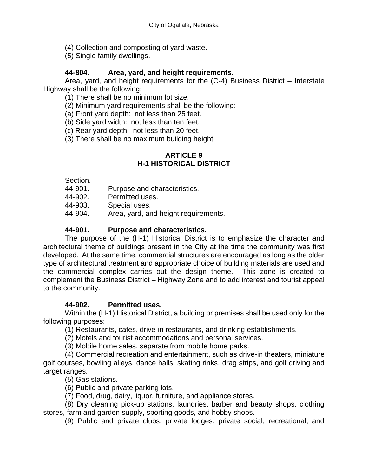- (4) Collection and composting of yard waste.
- (5) Single family dwellings.

## **44-804. Area, yard, and height requirements.**

Area, yard, and height requirements for the (C-4) Business District – Interstate Highway shall be the following:

(1) There shall be no minimum lot size.

(2) Minimum yard requirements shall be the following:

(a) Front yard depth: not less than 25 feet.

(b) Side yard width: not less than ten feet.

(c) Rear yard depth: not less than 20 feet.

(3) There shall be no maximum building height.

## **ARTICLE 9 H-1 HISTORICAL DISTRICT**

Section.

44-901. Purpose and characteristics.

44-902. Permitted uses.

44-903. Special uses.

44-904. Area, yard, and height requirements.

#### **44-901. Purpose and characteristics.**

The purpose of the (H-1) Historical District is to emphasize the character and architectural theme of buildings present in the City at the time the community was first developed. At the same time, commercial structures are encouraged as long as the older type of architectural treatment and appropriate choice of building materials are used and the commercial complex carries out the design theme. This zone is created to complement the Business District – Highway Zone and to add interest and tourist appeal to the community.

## **44-902. Permitted uses.**

Within the (H-1) Historical District, a building or premises shall be used only for the following purposes:

(1) Restaurants, cafes, drive-in restaurants, and drinking establishments.

(2) Motels and tourist accommodations and personal services.

(3) Mobile home sales, separate from mobile home parks.

(4) Commercial recreation and entertainment, such as drive-in theaters, miniature golf courses, bowling alleys, dance halls, skating rinks, drag strips, and golf driving and target ranges.

(5) Gas stations.

(6) Public and private parking lots.

(7) Food, drug, dairy, liquor, furniture, and appliance stores.

(8) Dry cleaning pick-up stations, laundries, barber and beauty shops, clothing stores, farm and garden supply, sporting goods, and hobby shops.

(9) Public and private clubs, private lodges, private social, recreational, and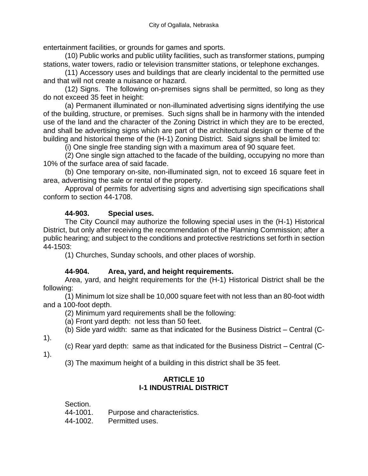entertainment facilities, or grounds for games and sports.

(10) Public works and public utility facilities, such as transformer stations, pumping stations, water towers, radio or television transmitter stations, or telephone exchanges.

(11) Accessory uses and buildings that are clearly incidental to the permitted use and that will not create a nuisance or hazard.

(12) Signs. The following on-premises signs shall be permitted, so long as they do not exceed 35 feet in height:

(a) Permanent illuminated or non-illuminated advertising signs identifying the use of the building, structure, or premises. Such signs shall be in harmony with the intended use of the land and the character of the Zoning District in which they are to be erected, and shall be advertising signs which are part of the architectural design or theme of the building and historical theme of the (H-1) Zoning District. Said signs shall be limited to:

(i) One single free standing sign with a maximum area of 90 square feet.

(2) One single sign attached to the facade of the building, occupying no more than 10% of the surface area of said facade.

(b) One temporary on-site, non-illuminated sign, not to exceed 16 square feet in area, advertising the sale or rental of the property.

Approval of permits for advertising signs and advertising sign specifications shall conform to section 44-1708.

## **44-903. Special uses.**

The City Council may authorize the following special uses in the (H-1) Historical District, but only after receiving the recommendation of the Planning Commission; after a public hearing; and subject to the conditions and protective restrictions set forth in section 44-1503:

(1) Churches, Sunday schools, and other places of worship.

## **44-904. Area, yard, and height requirements.**

Area, yard, and height requirements for the (H-1) Historical District shall be the following:

(1) Minimum lot size shall be 10,000 square feet with not less than an 80-foot width and a 100-foot depth.

(2) Minimum yard requirements shall be the following:

(a) Front yard depth: not less than 50 feet.

(b) Side yard width: same as that indicated for the Business District – Central (C-

1).

- (c) Rear yard depth: same as that indicated for the Business District Central (C-
- 1).

(3) The maximum height of a building in this district shall be 35 feet.

## **ARTICLE 10 I-1 INDUSTRIAL DISTRICT**

Section.

44-1001. Purpose and characteristics.

44-1002. Permitted uses.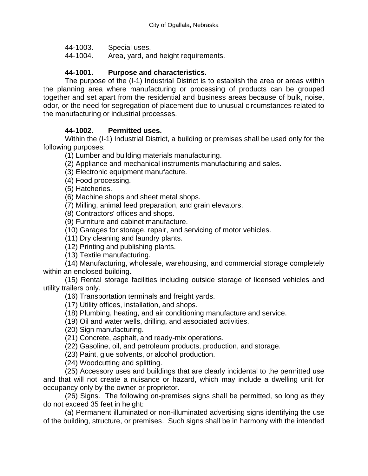- 44-1003. Special uses.
- 44-1004. Area, yard, and height requirements.

#### **44-1001. Purpose and characteristics.**

The purpose of the (I-1) Industrial District is to establish the area or areas within the planning area where manufacturing or processing of products can be grouped together and set apart from the residential and business areas because of bulk, noise, odor, or the need for segregation of placement due to unusual circumstances related to the manufacturing or industrial processes.

#### **44-1002. Permitted uses.**

Within the (I-1) Industrial District, a building or premises shall be used only for the following purposes:

(1) Lumber and building materials manufacturing.

(2) Appliance and mechanical instruments manufacturing and sales.

- (3) Electronic equipment manufacture.
- (4) Food processing.

(5) Hatcheries.

(6) Machine shops and sheet metal shops.

(7) Milling, animal feed preparation, and grain elevators.

(8) Contractors' offices and shops.

(9) Furniture and cabinet manufacture.

(10) Garages for storage, repair, and servicing of motor vehicles.

(11) Dry cleaning and laundry plants.

(12) Printing and publishing plants.

(13) Textile manufacturing.

(14) Manufacturing, wholesale, warehousing, and commercial storage completely within an enclosed building.

(15) Rental storage facilities including outside storage of licensed vehicles and utility trailers only.

(16) Transportation terminals and freight yards.

(17) Utility offices, installation, and shops.

(18) Plumbing, heating, and air conditioning manufacture and service.

(19) Oil and water wells, drilling, and associated activities.

(20) Sign manufacturing.

(21) Concrete, asphalt, and ready-mix operations.

(22) Gasoline, oil, and petroleum products, production, and storage.

(23) Paint, glue solvents, or alcohol production.

(24) Woodcutting and splitting.

(25) Accessory uses and buildings that are clearly incidental to the permitted use and that will not create a nuisance or hazard, which may include a dwelling unit for occupancy only by the owner or proprietor.

(26) Signs. The following on-premises signs shall be permitted, so long as they do not exceed 35 feet in height:

(a) Permanent illuminated or non-illuminated advertising signs identifying the use of the building, structure, or premises. Such signs shall be in harmony with the intended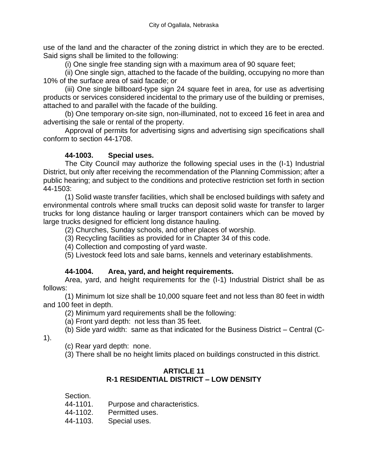use of the land and the character of the zoning district in which they are to be erected. Said signs shall be limited to the following:

(i) One single free standing sign with a maximum area of 90 square feet;

(ii) One single sign, attached to the facade of the building, occupying no more than 10% of the surface area of said facade; or

(iii) One single billboard-type sign 24 square feet in area, for use as advertising products or services considered incidental to the primary use of the building or premises, attached to and parallel with the facade of the building.

(b) One temporary on-site sign, non-illuminated, not to exceed 16 feet in area and advertising the sale or rental of the property.

Approval of permits for advertising signs and advertising sign specifications shall conform to section 44-1708.

# **44-1003. Special uses.**

The City Council may authorize the following special uses in the (I-1) Industrial District, but only after receiving the recommendation of the Planning Commission; after a public hearing; and subject to the conditions and protective restriction set forth in section 44-1503:

(1) Solid waste transfer facilities, which shall be enclosed buildings with safety and environmental controls where small trucks can deposit solid waste for transfer to larger trucks for long distance hauling or larger transport containers which can be moved by large trucks designed for efficient long distance hauling.

(2) Churches, Sunday schools, and other places of worship.

(3) Recycling facilities as provided for in Chapter 34 of this code.

(4) Collection and composting of yard waste.

(5) Livestock feed lots and sale barns, kennels and veterinary establishments.

# **44-1004. Area, yard, and height requirements.**

Area, yard, and height requirements for the (I-1) Industrial District shall be as follows:

(1) Minimum lot size shall be 10,000 square feet and not less than 80 feet in width and 100 feet in depth.

(2) Minimum yard requirements shall be the following:

(a) Front yard depth: not less than 35 feet.

(b) Side yard width: same as that indicated for the Business District – Central (C-

1).

(c) Rear yard depth: none.

(3) There shall be no height limits placed on buildings constructed in this district.

# **ARTICLE 11 R-1 RESIDENTIAL DISTRICT – LOW DENSITY**

Section.

44-1101. Purpose and characteristics.

44-1102. Permitted uses.

44-1103. Special uses.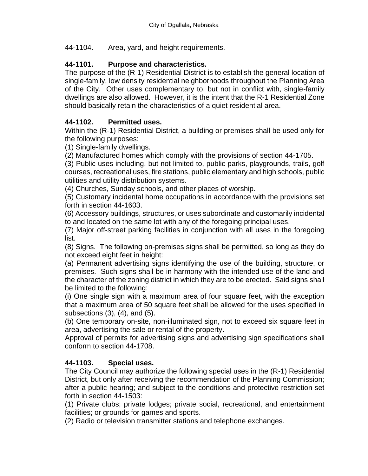## 44-1104. Area, yard, and height requirements.

# **44-1101. Purpose and characteristics.**

The purpose of the (R-1) Residential District is to establish the general location of single-family, low density residential neighborhoods throughout the Planning Area of the City. Other uses complementary to, but not in conflict with, single-family dwellings are also allowed. However, it is the intent that the R-1 Residential Zone should basically retain the characteristics of a quiet residential area.

# **44-1102. Permitted uses.**

Within the (R-1) Residential District, a building or premises shall be used only for the following purposes:

(1) Single-family dwellings.

(2) Manufactured homes which comply with the provisions of section 44-1705.

(3) Public uses including, but not limited to, public parks, playgrounds, trails, golf courses, recreational uses, fire stations, public elementary and high schools, public utilities and utility distribution systems.

(4) Churches, Sunday schools, and other places of worship.

(5) Customary incidental home occupations in accordance with the provisions set forth in section 44-1603.

(6) Accessory buildings, structures, or uses subordinate and customarily incidental to and located on the same lot with any of the foregoing principal uses.

(7) Major off-street parking facilities in conjunction with all uses in the foregoing list.

(8) Signs. The following on-premises signs shall be permitted, so long as they do not exceed eight feet in height:

(a) Permanent advertising signs identifying the use of the building, structure, or premises. Such signs shall be in harmony with the intended use of the land and the character of the zoning district in which they are to be erected. Said signs shall be limited to the following:

(i) One single sign with a maximum area of four square feet, with the exception that a maximum area of 50 square feet shall be allowed for the uses specified in subsections (3), (4), and (5).

(b) One temporary on-site, non-illuminated sign, not to exceed six square feet in area, advertising the sale or rental of the property.

Approval of permits for advertising signs and advertising sign specifications shall conform to section 44-1708.

## **44-1103. Special uses.**

The City Council may authorize the following special uses in the (R-1) Residential District, but only after receiving the recommendation of the Planning Commission; after a public hearing; and subject to the conditions and protective restriction set forth in section 44-1503:

(1) Private clubs; private lodges; private social, recreational, and entertainment facilities; or grounds for games and sports.

(2) Radio or television transmitter stations and telephone exchanges.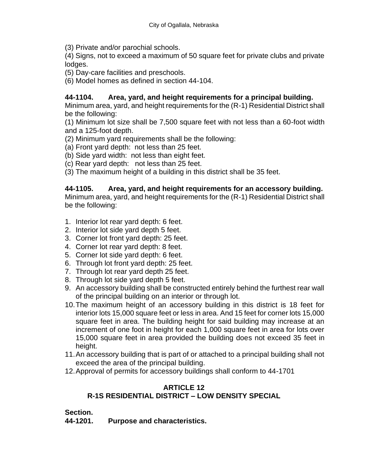(3) Private and/or parochial schools.

(4) Signs, not to exceed a maximum of 50 square feet for private clubs and private lodges.

- (5) Day-care facilities and preschools.
- (6) Model homes as defined in section 44-104.

#### **44-1104. Area, yard, and height requirements for a principal building.**

Minimum area, yard, and height requirements for the (R-1) Residential District shall be the following:

(1) Minimum lot size shall be 7,500 square feet with not less than a 60-foot width and a 125-foot depth.

- (2) Minimum yard requirements shall be the following:
- (a) Front yard depth: not less than 25 feet.
- (b) Side yard width: not less than eight feet.
- (c) Rear yard depth: not less than 25 feet.
- (3) The maximum height of a building in this district shall be 35 feet.

#### **44-1105. Area, yard, and height requirements for an accessory building.**

Minimum area, yard, and height requirements for the (R-1) Residential District shall be the following:

- 1. Interior lot rear yard depth: 6 feet.
- 2. Interior lot side yard depth 5 feet.
- 3. Corner lot front yard depth: 25 feet.
- 4. Corner lot rear yard depth: 8 feet.
- 5. Corner lot side yard depth: 6 feet.
- 6. Through lot front yard depth: 25 feet.
- 7. Through lot rear yard depth 25 feet.
- 8. Through lot side yard depth 5 feet.
- 9. An accessory building shall be constructed entirely behind the furthest rear wall of the principal building on an interior or through lot.
- 10.The maximum height of an accessory building in this district is 18 feet for interior lots 15,000 square feet or less in area. And 15 feet for corner lots 15,000 square feet in area. The building height for said building may increase at an increment of one foot in height for each 1,000 square feet in area for lots over 15,000 square feet in area provided the building does not exceed 35 feet in height.
- 11.An accessory building that is part of or attached to a principal building shall not exceed the area of the principal building.
- 12.Approval of permits for accessory buildings shall conform to 44-1701

#### **ARTICLE 12 R-1S RESIDENTIAL DISTRICT – LOW DENSITY SPECIAL**

#### **Section.**

**44-1201. Purpose and characteristics.**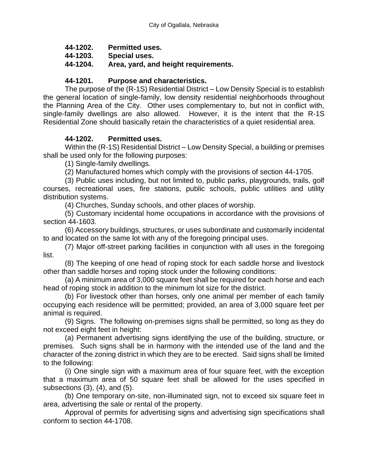- **44-1202. Permitted uses.**
- **44-1203. Special uses.**
- **44-1204. Area, yard, and height requirements.**

## **44-1201. Purpose and characteristics.**

The purpose of the (R-1S) Residential District – Low Density Special is to establish the general location of single-family, low density residential neighborhoods throughout the Planning Area of the City. Other uses complementary to, but not in conflict with, single-family dwellings are also allowed. However, it is the intent that the R-1S Residential Zone should basically retain the characteristics of a quiet residential area.

## **44-1202. Permitted uses.**

Within the (R-1S) Residential District – Low Density Special, a building or premises shall be used only for the following purposes:

(1) Single-family dwellings.

(2) Manufactured homes which comply with the provisions of section 44-1705.

(3) Public uses including, but not limited to, public parks, playgrounds, trails, golf courses, recreational uses, fire stations, public schools, public utilities and utility distribution systems.

(4) Churches, Sunday schools, and other places of worship.

(5) Customary incidental home occupations in accordance with the provisions of section 44-1603.

(6) Accessory buildings, structures, or uses subordinate and customarily incidental to and located on the same lot with any of the foregoing principal uses.

(7) Major off-street parking facilities in conjunction with all uses in the foregoing list.

(8) The keeping of one head of roping stock for each saddle horse and livestock other than saddle horses and roping stock under the following conditions:

(a) A minimum area of 3,000 square feet shall be required for each horse and each head of roping stock in addition to the minimum lot size for the district.

(b) For livestock other than horses, only one animal per member of each family occupying each residence will be permitted; provided, an area of 3,000 square feet per animal is required.

(9) Signs. The following on-premises signs shall be permitted, so long as they do not exceed eight feet in height:

(a) Permanent advertising signs identifying the use of the building, structure, or premises. Such signs shall be in harmony with the intended use of the land and the character of the zoning district in which they are to be erected. Said signs shall be limited to the following:

(i) One single sign with a maximum area of four square feet, with the exception that a maximum area of 50 square feet shall be allowed for the uses specified in subsections (3), (4), and (5).

(b) One temporary on-site, non-illuminated sign, not to exceed six square feet in area, advertising the sale or rental of the property.

Approval of permits for advertising signs and advertising sign specifications shall conform to section 44-1708.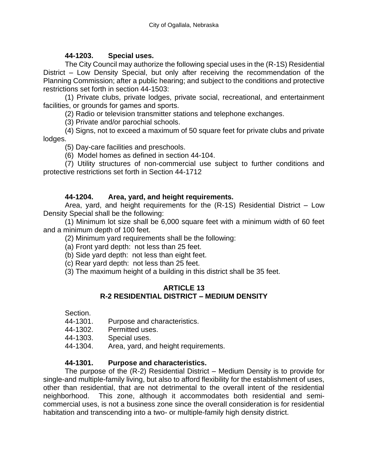## **44-1203. Special uses.**

The City Council may authorize the following special uses in the (R-1S) Residential District – Low Density Special, but only after receiving the recommendation of the Planning Commission; after a public hearing; and subject to the conditions and protective restrictions set forth in section 44-1503:

(1) Private clubs, private lodges, private social, recreational, and entertainment facilities, or grounds for games and sports.

(2) Radio or television transmitter stations and telephone exchanges.

(3) Private and/or parochial schools.

(4) Signs, not to exceed a maximum of 50 square feet for private clubs and private lodges.

(5) Day-care facilities and preschools.

(6) Model homes as defined in section 44-104.

(7) Utility structures of non-commercial use subject to further conditions and protective restrictions set forth in Section 44-1712

#### **44-1204. Area, yard, and height requirements.**

Area, yard, and height requirements for the (R-1S) Residential District – Low Density Special shall be the following:

(1) Minimum lot size shall be 6,000 square feet with a minimum width of 60 feet and a minimum depth of 100 feet.

(2) Minimum yard requirements shall be the following:

(a) Front yard depth: not less than 25 feet.

(b) Side yard depth: not less than eight feet.

(c) Rear yard depth: not less than 25 feet.

(3) The maximum height of a building in this district shall be 35 feet.

#### **ARTICLE 13 R-2 RESIDENTIAL DISTRICT – MEDIUM DENSITY**

Section.

- 44-1301. Purpose and characteristics.
- 44-1302. Permitted uses.
- 44-1303. Special uses.
- 44-1304. Area, yard, and height requirements.

## **44-1301. Purpose and characteristics.**

The purpose of the (R-2) Residential District – Medium Density is to provide for single-and multiple-family living, but also to afford flexibility for the establishment of uses, other than residential, that are not detrimental to the overall intent of the residential neighborhood. This zone, although it accommodates both residential and semicommercial uses, is not a business zone since the overall consideration is for residential habitation and transcending into a two- or multiple-family high density district.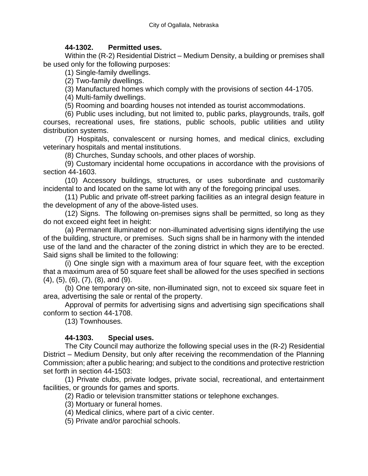#### **44-1302. Permitted uses.**

Within the (R-2) Residential District – Medium Density, a building or premises shall be used only for the following purposes:

(1) Single-family dwellings.

(2) Two-family dwellings.

(3) Manufactured homes which comply with the provisions of section 44-1705.

(4) Multi-family dwellings.

(5) Rooming and boarding houses not intended as tourist accommodations.

(6) Public uses including, but not limited to, public parks, playgrounds, trails, golf courses, recreational uses, fire stations, public schools, public utilities and utility distribution systems.

(7) Hospitals, convalescent or nursing homes, and medical clinics, excluding veterinary hospitals and mental institutions.

(8) Churches, Sunday schools, and other places of worship.

(9) Customary incidental home occupations in accordance with the provisions of section 44-1603.

(10) Accessory buildings, structures, or uses subordinate and customarily incidental to and located on the same lot with any of the foregoing principal uses.

(11) Public and private off-street parking facilities as an integral design feature in the development of any of the above-listed uses.

(12) Signs. The following on-premises signs shall be permitted, so long as they do not exceed eight feet in height:

(a) Permanent illuminated or non-illuminated advertising signs identifying the use of the building, structure, or premises. Such signs shall be in harmony with the intended use of the land and the character of the zoning district in which they are to be erected. Said signs shall be limited to the following:

(i) One single sign with a maximum area of four square feet, with the exception that a maximum area of 50 square feet shall be allowed for the uses specified in sections (4), (5), (6), (7), (8), and (9).

(b) One temporary on-site, non-illuminated sign, not to exceed six square feet in area, advertising the sale or rental of the property.

Approval of permits for advertising signs and advertising sign specifications shall conform to section 44-1708.

(13) Townhouses.

## **44-1303. Special uses.**

The City Council may authorize the following special uses in the (R-2) Residential District – Medium Density, but only after receiving the recommendation of the Planning Commission; after a public hearing; and subject to the conditions and protective restriction set forth in section 44-1503:

(1) Private clubs, private lodges, private social, recreational, and entertainment facilities, or grounds for games and sports.

(2) Radio or television transmitter stations or telephone exchanges.

(3) Mortuary or funeral homes.

(4) Medical clinics, where part of a civic center.

(5) Private and/or parochial schools.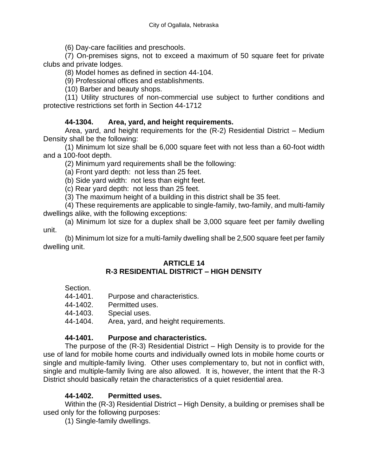(6) Day-care facilities and preschools.

(7) On-premises signs, not to exceed a maximum of 50 square feet for private clubs and private lodges.

(8) Model homes as defined in section 44-104.

(9) Professional offices and establishments.

(10) Barber and beauty shops.

(11) Utility structures of non-commercial use subject to further conditions and protective restrictions set forth in Section 44-1712

## **44-1304. Area, yard, and height requirements.**

Area, yard, and height requirements for the (R-2) Residential District – Medium Density shall be the following:

(1) Minimum lot size shall be 6,000 square feet with not less than a 60-foot width and a 100-foot depth.

(2) Minimum yard requirements shall be the following:

(a) Front yard depth: not less than 25 feet.

(b) Side yard width: not less than eight feet.

(c) Rear yard depth: not less than 25 feet.

(3) The maximum height of a building in this district shall be 35 feet.

(4) These requirements are applicable to single-family, two-family, and multi-family dwellings alike, with the following exceptions:

(a) Minimum lot size for a duplex shall be 3,000 square feet per family dwelling unit.

(b) Minimum lot size for a multi-family dwelling shall be 2,500 square feet per family dwelling unit.

# **ARTICLE 14**

# **R-3 RESIDENTIAL DISTRICT – HIGH DENSITY**

|  | Section.    |  |  |
|--|-------------|--|--|
|  | $\ddot{\,}$ |  |  |

| 44-1401. |  | Purpose and characteristics. |
|----------|--|------------------------------|
|          |  |                              |

44-1402. Permitted uses.

44-1403. Special uses.

44-1404. Area, yard, and height requirements.

## **44-1401. Purpose and characteristics.**

The purpose of the (R-3) Residential District – High Density is to provide for the use of land for mobile home courts and individually owned lots in mobile home courts or single and multiple-family living. Other uses complementary to, but not in conflict with, single and multiple-family living are also allowed. It is, however, the intent that the R-3 District should basically retain the characteristics of a quiet residential area.

## **44-1402. Permitted uses.**

Within the (R-3) Residential District – High Density, a building or premises shall be used only for the following purposes:

(1) Single-family dwellings.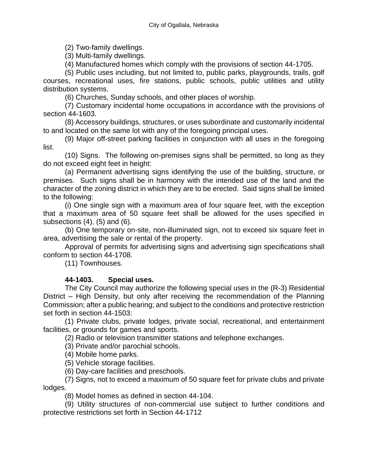(2) Two-family dwellings.

(3) Multi-family dwellings.

(4) Manufactured homes which comply with the provisions of section 44-1705.

(5) Public uses including, but not limited to, public parks, playgrounds, trails, golf courses, recreational uses, fire stations, public schools, public utilities and utility distribution systems.

(6) Churches, Sunday schools, and other places of worship.

(7) Customary incidental home occupations in accordance with the provisions of section 44-1603.

(8) Accessory buildings, structures, or uses subordinate and customarily incidental to and located on the same lot with any of the foregoing principal uses.

(9) Major off-street parking facilities in conjunction with all uses in the foregoing list.

(10) Signs. The following on-premises signs shall be permitted, so long as they do not exceed eight feet in height:

(a) Permanent advertising signs identifying the use of the building, structure, or premises. Such signs shall be in harmony with the intended use of the land and the character of the zoning district in which they are to be erected. Said signs shall be limited to the following:

(i) One single sign with a maximum area of four square feet, with the exception that a maximum area of 50 square feet shall be allowed for the uses specified in subsections (4), (5) and (6).

(b) One temporary on-site, non-illuminated sign, not to exceed six square feet in area, advertising the sale or rental of the property.

Approval of permits for advertising signs and advertising sign specifications shall conform to section 44-1708.

(11) Townhouses.

# **44-1403. Special uses.**

The City Council may authorize the following special uses in the (R-3) Residential District – High Density, but only after receiving the recommendation of the Planning Commission; after a public hearing; and subject to the conditions and protective restriction set forth in section 44-1503:

(1) Private clubs, private lodges, private social, recreational, and entertainment facilities, or grounds for games and sports.

(2) Radio or television transmitter stations and telephone exchanges.

(3) Private and/or parochial schools.

(4) Mobile home parks.

(5) Vehicle storage facilities.

(6) Day-care facilities and preschools.

(7) Signs, not to exceed a maximum of 50 square feet for private clubs and private lodges.

(8) Model homes as defined in section 44-104.

(9) Utility structures of non-commercial use subject to further conditions and protective restrictions set forth in Section 44-1712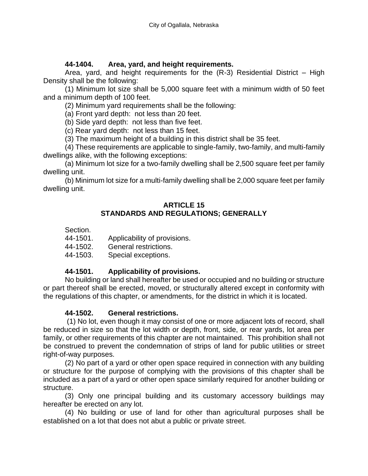#### **44-1404. Area, yard, and height requirements.**

Area, yard, and height requirements for the (R-3) Residential District – High Density shall be the following:

(1) Minimum lot size shall be 5,000 square feet with a minimum width of 50 feet and a minimum depth of 100 feet.

(2) Minimum yard requirements shall be the following:

(a) Front yard depth: not less than 20 feet.

(b) Side yard depth: not less than five feet.

(c) Rear yard depth: not less than 15 feet.

(3) The maximum height of a building in this district shall be 35 feet.

(4) These requirements are applicable to single-family, two-family, and multi-family dwellings alike, with the following exceptions:

(a) Minimum lot size for a two-family dwelling shall be 2,500 square feet per family dwelling unit.

(b) Minimum lot size for a multi-family dwelling shall be 2,000 square feet per family dwelling unit.

#### **ARTICLE 15 STANDARDS AND REGULATIONS; GENERALLY**

| Section. |  |
|----------|--|
|----------|--|

44-1501. Applicability of provisions.

44-1502. General restrictions.

44-1503. Special exceptions.

## **44-1501. Applicability of provisions.**

No building or land shall hereafter be used or occupied and no building or structure or part thereof shall be erected, moved, or structurally altered except in conformity with the regulations of this chapter, or amendments, for the district in which it is located.

#### **44-1502. General restrictions.**

(1) No lot, even though it may consist of one or more adjacent lots of record, shall be reduced in size so that the lot width or depth, front, side, or rear yards, lot area per family, or other requirements of this chapter are not maintained. This prohibition shall not be construed to prevent the condemnation of strips of land for public utilities or street right-of-way purposes.

(2) No part of a yard or other open space required in connection with any building or structure for the purpose of complying with the provisions of this chapter shall be included as a part of a yard or other open space similarly required for another building or structure.

(3) Only one principal building and its customary accessory buildings may hereafter be erected on any lot.

(4) No building or use of land for other than agricultural purposes shall be established on a lot that does not abut a public or private street.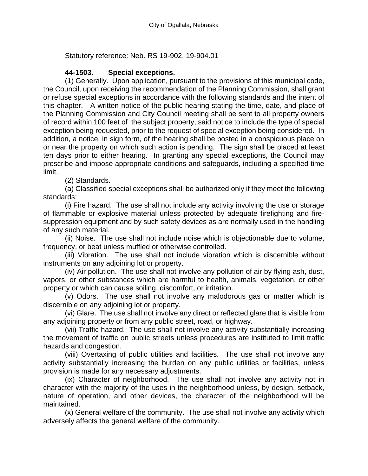Statutory reference: Neb. RS 19-902, 19-904.01

## **44-1503. Special exceptions.**

(1) Generally. Upon application, pursuant to the provisions of this municipal code, the Council, upon receiving the recommendation of the Planning Commission, shall grant or refuse special exceptions in accordance with the following standards and the intent of this chapter. A written notice of the public hearing stating the time, date, and place of the Planning Commission and City Council meeting shall be sent to all property owners of record within 100 feet of the subject property, said notice to include the type of special exception being requested, prior to the request of special exception being considered. In addition, a notice, in sign form, of the hearing shall be posted in a conspicuous place on or near the property on which such action is pending. The sign shall be placed at least ten days prior to either hearing. In granting any special exceptions, the Council may prescribe and impose appropriate conditions and safeguards, including a specified time limit.

(2) Standards.

(a) Classified special exceptions shall be authorized only if they meet the following standards:

(i) Fire hazard. The use shall not include any activity involving the use or storage of flammable or explosive material unless protected by adequate firefighting and firesuppression equipment and by such safety devices as are normally used in the handling of any such material.

(ii) Noise. The use shall not include noise which is objectionable due to volume, frequency, or beat unless muffled or otherwise controlled.

(iii) Vibration. The use shall not include vibration which is discernible without instruments on any adjoining lot or property.

(iv) Air pollution. The use shall not involve any pollution of air by flying ash, dust, vapors, or other substances which are harmful to health, animals, vegetation, or other property or which can cause soiling, discomfort, or irritation.

(v) Odors. The use shall not involve any malodorous gas or matter which is discernible on any adjoining lot or property.

(vi) Glare. The use shall not involve any direct or reflected glare that is visible from any adjoining property or from any public street, road, or highway.

(vii) Traffic hazard. The use shall not involve any activity substantially increasing the movement of traffic on public streets unless procedures are instituted to limit traffic hazards and congestion.

(viii) Overtaxing of public utilities and facilities. The use shall not involve any activity substantially increasing the burden on any public utilities or facilities, unless provision is made for any necessary adjustments.

(ix) Character of neighborhood. The use shall not involve any activity not in character with the majority of the uses in the neighborhood unless, by design, setback, nature of operation, and other devices, the character of the neighborhood will be maintained.

(x) General welfare of the community. The use shall not involve any activity which adversely affects the general welfare of the community.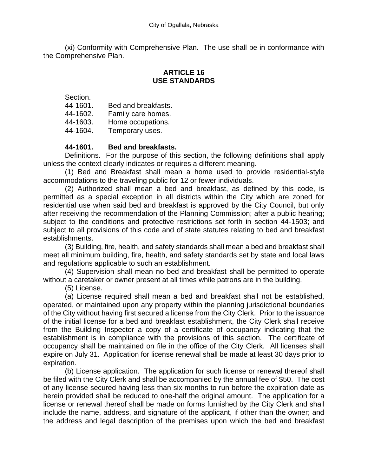(xi) Conformity with Comprehensive Plan. The use shall be in conformance with the Comprehensive Plan.

## **ARTICLE 16 USE STANDARDS**

Section.

- 44-1601. Bed and breakfasts.
- 44-1602. Family care homes.
- 44-1603. Home occupations.
- 44-1604. Temporary uses.

## **44-1601. Bed and breakfasts.**

Definitions. For the purpose of this section, the following definitions shall apply unless the context clearly indicates or requires a different meaning.

(1) Bed and Breakfast shall mean a home used to provide residential-style accommodations to the traveling public for 12 or fewer individuals.

(2) Authorized shall mean a bed and breakfast, as defined by this code, is permitted as a special exception in all districts within the City which are zoned for residential use when said bed and breakfast is approved by the City Council, but only after receiving the recommendation of the Planning Commission; after a public hearing; subject to the conditions and protective restrictions set forth in section 44-1503; and subject to all provisions of this code and of state statutes relating to bed and breakfast establishments.

(3) Building, fire, health, and safety standards shall mean a bed and breakfast shall meet all minimum building, fire, health, and safety standards set by state and local laws and regulations applicable to such an establishment.

(4) Supervision shall mean no bed and breakfast shall be permitted to operate without a caretaker or owner present at all times while patrons are in the building.

(5) License.

(a) License required shall mean a bed and breakfast shall not be established, operated, or maintained upon any property within the planning jurisdictional boundaries of the City without having first secured a license from the City Clerk. Prior to the issuance of the initial license for a bed and breakfast establishment, the City Clerk shall receive from the Building Inspector a copy of a certificate of occupancy indicating that the establishment is in compliance with the provisions of this section. The certificate of occupancy shall be maintained on file in the office of the City Clerk. All licenses shall expire on July 31. Application for license renewal shall be made at least 30 days prior to expiration.

(b) License application. The application for such license or renewal thereof shall be filed with the City Clerk and shall be accompanied by the annual fee of \$50. The cost of any license secured having less than six months to run before the expiration date as herein provided shall be reduced to one-half the original amount. The application for a license or renewal thereof shall be made on forms furnished by the City Clerk and shall include the name, address, and signature of the applicant, if other than the owner; and the address and legal description of the premises upon which the bed and breakfast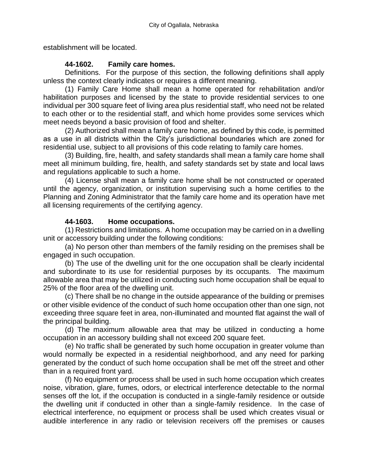establishment will be located.

## **44-1602. Family care homes.**

Definitions. For the purpose of this section, the following definitions shall apply unless the context clearly indicates or requires a different meaning.

(1) Family Care Home shall mean a home operated for rehabilitation and/or habilitation purposes and licensed by the state to provide residential services to one individual per 300 square feet of living area plus residential staff, who need not be related to each other or to the residential staff, and which home provides some services which meet needs beyond a basic provision of food and shelter.

(2) Authorized shall mean a family care home, as defined by this code, is permitted as a use in all districts within the City's jurisdictional boundaries which are zoned for residential use, subject to all provisions of this code relating to family care homes.

(3) Building, fire, health, and safety standards shall mean a family care home shall meet all minimum building, fire, health, and safety standards set by state and local laws and regulations applicable to such a home.

(4) License shall mean a family care home shall be not constructed or operated until the agency, organization, or institution supervising such a home certifies to the Planning and Zoning Administrator that the family care home and its operation have met all licensing requirements of the certifying agency.

# **44-1603. Home occupations.**

(1) Restrictions and limitations. A home occupation may be carried on in a dwelling unit or accessory building under the following conditions:

(a) No person other than members of the family residing on the premises shall be engaged in such occupation.

(b) The use of the dwelling unit for the one occupation shall be clearly incidental and subordinate to its use for residential purposes by its occupants. The maximum allowable area that may be utilized in conducting such home occupation shall be equal to 25% of the floor area of the dwelling unit.

(c) There shall be no change in the outside appearance of the building or premises or other visible evidence of the conduct of such home occupation other than one sign, not exceeding three square feet in area, non-illuminated and mounted flat against the wall of the principal building.

(d) The maximum allowable area that may be utilized in conducting a home occupation in an accessory building shall not exceed 200 square feet.

(e) No traffic shall be generated by such home occupation in greater volume than would normally be expected in a residential neighborhood, and any need for parking generated by the conduct of such home occupation shall be met off the street and other than in a required front yard.

(f) No equipment or process shall be used in such home occupation which creates noise, vibration, glare, fumes, odors, or electrical interference detectable to the normal senses off the lot, if the occupation is conducted in a single-family residence or outside the dwelling unit if conducted in other than a single-family residence. In the case of electrical interference, no equipment or process shall be used which creates visual or audible interference in any radio or television receivers off the premises or causes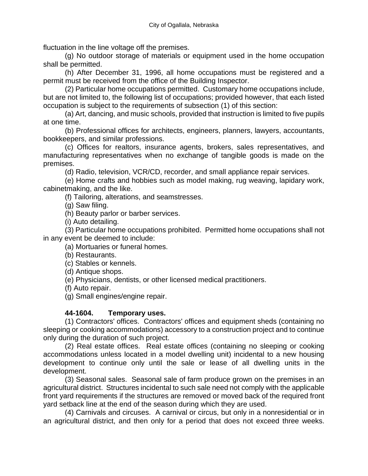fluctuation in the line voltage off the premises.

(g) No outdoor storage of materials or equipment used in the home occupation shall be permitted.

(h) After December 31, 1996, all home occupations must be registered and a permit must be received from the office of the Building Inspector.

(2) Particular home occupations permitted. Customary home occupations include, but are not limited to, the following list of occupations; provided however, that each listed occupation is subject to the requirements of subsection (1) of this section:

(a) Art, dancing, and music schools, provided that instruction is limited to five pupils at one time.

(b) Professional offices for architects, engineers, planners, lawyers, accountants, bookkeepers, and similar professions.

(c) Offices for realtors, insurance agents, brokers, sales representatives, and manufacturing representatives when no exchange of tangible goods is made on the premises.

(d) Radio, television, VCR/CD, recorder, and small appliance repair services.

(e) Home crafts and hobbies such as model making, rug weaving, lapidary work, cabinetmaking, and the like.

(f) Tailoring, alterations, and seamstresses.

(g) Saw filing.

(h) Beauty parlor or barber services.

(i) Auto detailing.

(3) Particular home occupations prohibited. Permitted home occupations shall not in any event be deemed to include:

(a) Mortuaries or funeral homes.

(b) Restaurants.

(c) Stables or kennels.

(d) Antique shops.

(e) Physicians, dentists, or other licensed medical practitioners.

(f) Auto repair.

(g) Small engines/engine repair.

### **44-1604. Temporary uses.**

(1) Contractors' offices. Contractors' offices and equipment sheds (containing no sleeping or cooking accommodations) accessory to a construction project and to continue only during the duration of such project.

(2) Real estate offices. Real estate offices (containing no sleeping or cooking accommodations unless located in a model dwelling unit) incidental to a new housing development to continue only until the sale or lease of all dwelling units in the development.

(3) Seasonal sales. Seasonal sale of farm produce grown on the premises in an agricultural district. Structures incidental to such sale need not comply with the applicable front yard requirements if the structures are removed or moved back of the required front yard setback line at the end of the season during which they are used.

(4) Carnivals and circuses. A carnival or circus, but only in a nonresidential or in an agricultural district, and then only for a period that does not exceed three weeks.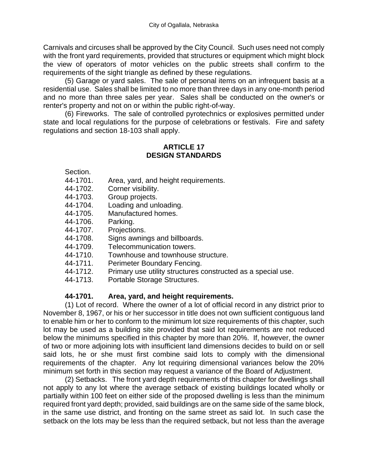Carnivals and circuses shall be approved by the City Council. Such uses need not comply with the front yard requirements, provided that structures or equipment which might block the view of operators of motor vehicles on the public streets shall confirm to the requirements of the sight triangle as defined by these regulations.

(5) Garage or yard sales. The sale of personal items on an infrequent basis at a residential use. Sales shall be limited to no more than three days in any one-month period and no more than three sales per year. Sales shall be conducted on the owner's or renter's property and not on or within the public right-of-way.

(6) Fireworks. The sale of controlled pyrotechnics or explosives permitted under state and local regulations for the purpose of celebrations or festivals. Fire and safety regulations and section 18-103 shall apply.

#### **ARTICLE 17 DESIGN STANDARDS**

Section.

- 44-1701. Area, yard, and height requirements.
- 44-1702. Corner visibility.
- 44-1703. Group projects.
- 44-1704. Loading and unloading.
- 44-1705. Manufactured homes.
- 44-1706. Parking.
- 44-1707. Projections.
- 44-1708. Signs awnings and billboards.
- 44-1709. Telecommunication towers.
- 44-1710. Townhouse and townhouse structure.
- 44-1711. Perimeter Boundary Fencing.
- 44-1712. Primary use utility structures constructed as a special use.
- 44-1713. Portable Storage Structures.

### **44-1701. Area, yard, and height requirements.**

(1) Lot of record. Where the owner of a lot of official record in any district prior to November 8, 1967, or his or her successor in title does not own sufficient contiguous land to enable him or her to conform to the minimum lot size requirements of this chapter, such lot may be used as a building site provided that said lot requirements are not reduced below the minimums specified in this chapter by more than 20%. If, however, the owner of two or more adjoining lots with insufficient land dimensions decides to build on or sell said lots, he or she must first combine said lots to comply with the dimensional requirements of the chapter. Any lot requiring dimensional variances below the 20% minimum set forth in this section may request a variance of the Board of Adjustment.

(2) Setbacks. The front yard depth requirements of this chapter for dwellings shall not apply to any lot where the average setback of existing buildings located wholly or partially within 100 feet on either side of the proposed dwelling is less than the minimum required front yard depth; provided, said buildings are on the same side of the same block, in the same use district, and fronting on the same street as said lot. In such case the setback on the lots may be less than the required setback, but not less than the average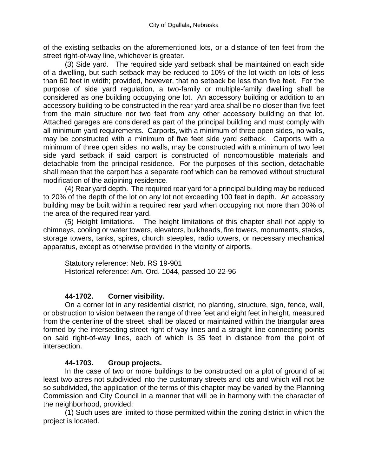of the existing setbacks on the aforementioned lots, or a distance of ten feet from the street right-of-way line, whichever is greater.

(3) Side yard. The required side yard setback shall be maintained on each side of a dwelling, but such setback may be reduced to 10% of the lot width on lots of less than 60 feet in width; provided, however, that no setback be less than five feet. For the purpose of side yard regulation, a two-family or multiple-family dwelling shall be considered as one building occupying one lot. An accessory building or addition to an accessory building to be constructed in the rear yard area shall be no closer than five feet from the main structure nor two feet from any other accessory building on that lot. Attached garages are considered as part of the principal building and must comply with all minimum yard requirements. Carports, with a minimum of three open sides, no walls, may be constructed with a minimum of five feet side yard setback. Carports with a minimum of three open sides, no walls, may be constructed with a minimum of two feet side yard setback if said carport is constructed of noncombustible materials and detachable from the principal residence. For the purposes of this section, detachable shall mean that the carport has a separate roof which can be removed without structural modification of the adjoining residence.

(4) Rear yard depth. The required rear yard for a principal building may be reduced to 20% of the depth of the lot on any lot not exceeding 100 feet in depth. An accessory building may be built within a required rear yard when occupying not more than 30% of the area of the required rear yard.

(5) Height limitations. The height limitations of this chapter shall not apply to chimneys, cooling or water towers, elevators, bulkheads, fire towers, monuments, stacks, storage towers, tanks, spires, church steeples, radio towers, or necessary mechanical apparatus, except as otherwise provided in the vicinity of airports.

Statutory reference: Neb. RS 19-901 Historical reference: Am. Ord. 1044, passed 10-22-96

### **44-1702. Corner visibility.**

On a corner lot in any residential district, no planting, structure, sign, fence, wall, or obstruction to vision between the range of three feet and eight feet in height, measured from the centerline of the street, shall be placed or maintained within the triangular area formed by the intersecting street right-of-way lines and a straight line connecting points on said right-of-way lines, each of which is 35 feet in distance from the point of intersection.

#### **44-1703. Group projects.**

In the case of two or more buildings to be constructed on a plot of ground of at least two acres not subdivided into the customary streets and lots and which will not be so subdivided, the application of the terms of this chapter may be varied by the Planning Commission and City Council in a manner that will be in harmony with the character of the neighborhood, provided:

(1) Such uses are limited to those permitted within the zoning district in which the project is located.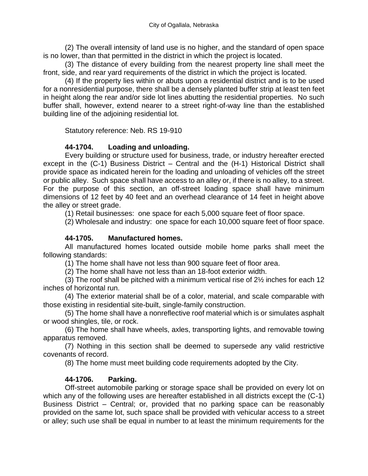(2) The overall intensity of land use is no higher, and the standard of open space is no lower, than that permitted in the district in which the project is located.

(3) The distance of every building from the nearest property line shall meet the front, side, and rear yard requirements of the district in which the project is located.

(4) If the property lies within or abuts upon a residential district and is to be used for a nonresidential purpose, there shall be a densely planted buffer strip at least ten feet in height along the rear and/or side lot lines abutting the residential properties. No such buffer shall, however, extend nearer to a street right-of-way line than the established building line of the adjoining residential lot.

Statutory reference: Neb. RS 19-910

# **44-1704. Loading and unloading.**

Every building or structure used for business, trade, or industry hereafter erected except in the (C-1) Business District – Central and the (H-1) Historical District shall provide space as indicated herein for the loading and unloading of vehicles off the street or public alley. Such space shall have access to an alley or, if there is no alley, to a street. For the purpose of this section, an off-street loading space shall have minimum dimensions of 12 feet by 40 feet and an overhead clearance of 14 feet in height above the alley or street grade.

(1) Retail businesses: one space for each 5,000 square feet of floor space.

(2) Wholesale and industry: one space for each 10,000 square feet of floor space.

### **44-1705. Manufactured homes.**

All manufactured homes located outside mobile home parks shall meet the following standards:

(1) The home shall have not less than 900 square feet of floor area.

(2) The home shall have not less than an 18-foot exterior width.

(3) The roof shall be pitched with a minimum vertical rise of 2½ inches for each 12 inches of horizontal run.

(4) The exterior material shall be of a color, material, and scale comparable with those existing in residential site-built, single-family construction.

(5) The home shall have a nonreflective roof material which is or simulates asphalt or wood shingles, tile, or rock.

(6) The home shall have wheels, axles, transporting lights, and removable towing apparatus removed.

(7) Nothing in this section shall be deemed to supersede any valid restrictive covenants of record.

(8) The home must meet building code requirements adopted by the City.

# **44-1706. Parking.**

Off-street automobile parking or storage space shall be provided on every lot on which any of the following uses are hereafter established in all districts except the (C-1) Business District – Central; or, provided that no parking space can be reasonably provided on the same lot, such space shall be provided with vehicular access to a street or alley; such use shall be equal in number to at least the minimum requirements for the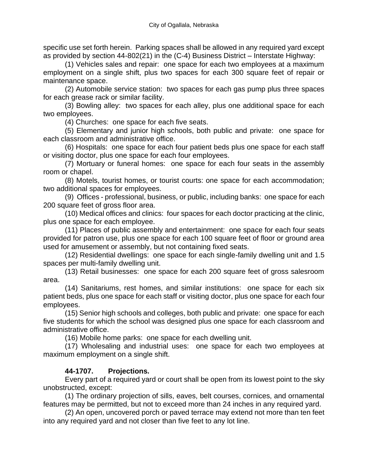specific use set forth herein. Parking spaces shall be allowed in any required yard except as provided by section 44-802(21) in the (C-4) Business District – Interstate Highway:

(1) Vehicles sales and repair: one space for each two employees at a maximum employment on a single shift, plus two spaces for each 300 square feet of repair or maintenance space.

(2) Automobile service station: two spaces for each gas pump plus three spaces for each grease rack or similar facility.

(3) Bowling alley: two spaces for each alley, plus one additional space for each two employees.

(4) Churches: one space for each five seats.

(5) Elementary and junior high schools, both public and private: one space for each classroom and administrative office.

(6) Hospitals: one space for each four patient beds plus one space for each staff or visiting doctor, plus one space for each four employees.

(7) Mortuary or funeral homes: one space for each four seats in the assembly room or chapel.

(8) Motels, tourist homes, or tourist courts: one space for each accommodation; two additional spaces for employees.

(9) Offices - professional, business, or public, including banks: one space for each 200 square feet of gross floor area.

(10) Medical offices and clinics: four spaces for each doctor practicing at the clinic, plus one space for each employee.

(11) Places of public assembly and entertainment: one space for each four seats provided for patron use, plus one space for each 100 square feet of floor or ground area used for amusement or assembly, but not containing fixed seats.

(12) Residential dwellings: one space for each single-family dwelling unit and 1.5 spaces per multi-family dwelling unit.

(13) Retail businesses: one space for each 200 square feet of gross salesroom area.

(14) Sanitariums, rest homes, and similar institutions: one space for each six patient beds, plus one space for each staff or visiting doctor, plus one space for each four employees.

(15) Senior high schools and colleges, both public and private: one space for each five students for which the school was designed plus one space for each classroom and administrative office.

(16) Mobile home parks: one space for each dwelling unit.

(17) Wholesaling and industrial uses: one space for each two employees at maximum employment on a single shift.

### **44-1707. Projections.**

Every part of a required yard or court shall be open from its lowest point to the sky unobstructed, except:

(1) The ordinary projection of sills, eaves, belt courses, cornices, and ornamental features may be permitted, but not to exceed more than 24 inches in any required yard.

(2) An open, uncovered porch or paved terrace may extend not more than ten feet into any required yard and not closer than five feet to any lot line.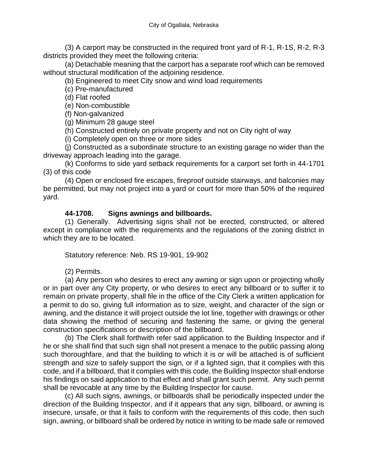(3) A carport may be constructed in the required front yard of R-1, R-1S, R-2, R-3 districts provided they meet the following criteria:

(a) Detachable meaning that the carport has a separate roof which can be removed without structural modification of the adjoining residence.

(b) Engineered to meet City snow and wind load requirements

(c) Pre-manufactured

(d) Flat roofed

(e) Non-combustible

(f) Non-galvanized

(g) Minimum 28 gauge steel

(h) Constructed entirely on private property and not on City right of way

(i) Completely open on three or more sides

(j) Constructed as a subordinate structure to an existing garage no wider than the driveway approach leading into the garage.

(k) Conforms to side yard setback requirements for a carport set forth in 44-1701 (3) of this code

(4) Open or enclosed fire escapes, fireproof outside stairways, and balconies may be permitted, but may not project into a yard or court for more than 50% of the required yard.

## **44-1708. Signs awnings and billboards.**

(1) Generally. Advertising signs shall not be erected, constructed, or altered except in compliance with the requirements and the regulations of the zoning district in which they are to be located.

Statutory reference: Neb. RS 19-901, 19-902

(2) Permits.

(a) Any person who desires to erect any awning or sign upon or projecting wholly or in part over any City property, or who desires to erect any billboard or to suffer it to remain on private property, shall file in the office of the City Clerk a written application for a permit to do so, giving full information as to size, weight, and character of the sign or awning, and the distance it will project outside the lot line, together with drawings or other data showing the method of securing and fastening the same, or giving the general construction specifications or description of the billboard.

(b) The Clerk shall forthwith refer said application to the Building Inspector and if he or she shall find that such sign shall not present a menace to the public passing along such thoroughfare, and that the building to which it is or will be attached is of sufficient strength and size to safely support the sign, or if a lighted sign, that it complies with this code, and if a billboard, that it complies with this code, the Building Inspector shall endorse his findings on said application to that effect and shall grant such permit. Any such permit shall be revocable at any time by the Building Inspector for cause.

(c) All such signs, awnings, or billboards shall be periodically inspected under the direction of the Building Inspector, and if it appears that any sign, billboard, or awning is insecure, unsafe, or that it fails to conform with the requirements of this code, then such sign, awning, or billboard shall be ordered by notice in writing to be made safe or removed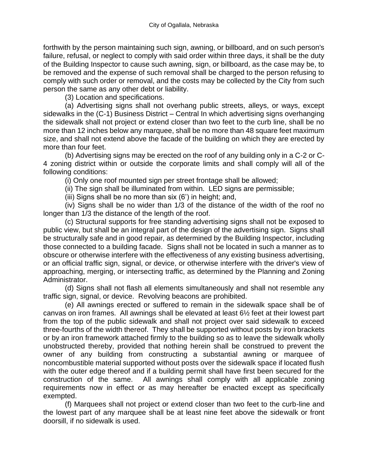forthwith by the person maintaining such sign, awning, or billboard, and on such person's failure, refusal, or neglect to comply with said order within three days, it shall be the duty of the Building Inspector to cause such awning, sign, or billboard, as the case may be, to be removed and the expense of such removal shall be charged to the person refusing to comply with such order or removal, and the costs may be collected by the City from such person the same as any other debt or liability.

(3) Location and specifications.

(a) Advertising signs shall not overhang public streets, alleys, or ways, except sidewalks in the (C-1) Business District – Central In which advertising signs overhanging the sidewalk shall not project or extend closer than two feet to the curb line, shall be no more than 12 inches below any marquee, shall be no more than 48 square feet maximum size, and shall not extend above the facade of the building on which they are erected by more than four feet.

(b) Advertising signs may be erected on the roof of any building only in a C-2 or C-4 zoning district within or outside the corporate limits and shall comply will all of the following conditions:

(i) Only one roof mounted sign per street frontage shall be allowed;

(ii) The sign shall be illuminated from within. LED signs are permissible;

(iii) Signs shall be no more than six (6') in height; and,

(iv) Signs shall be no wider than 1/3 of the distance of the width of the roof no longer than 1/3 the distance of the length of the roof.

(c) Structural supports for free standing advertising signs shall not be exposed to public view, but shall be an integral part of the design of the advertising sign. Signs shall be structurally safe and in good repair, as determined by the Building Inspector, including those connected to a building facade. Signs shall not be located in such a manner as to obscure or otherwise interfere with the effectiveness of any existing business advertising, or an official traffic sign, signal, or device, or otherwise interfere with the driver's view of approaching, merging, or intersecting traffic, as determined by the Planning and Zoning Administrator.

(d) Signs shall not flash all elements simultaneously and shall not resemble any traffic sign, signal, or device. Revolving beacons are prohibited.

(e) All awnings erected or suffered to remain in the sidewalk space shall be of canvas on iron frames. All awnings shall be elevated at least 6½ feet at their lowest part from the top of the public sidewalk and shall not project over said sidewalk to exceed three-fourths of the width thereof. They shall be supported without posts by iron brackets or by an iron framework attached firmly to the building so as to leave the sidewalk wholly unobstructed thereby, provided that nothing herein shall be construed to prevent the owner of any building from constructing a substantial awning or marquee of noncombustible material supported without posts over the sidewalk space if located flush with the outer edge thereof and if a building permit shall have first been secured for the construction of the same. All awnings shall comply with all applicable zoning requirements now in effect or as may hereafter be enacted except as specifically exempted.

(f) Marquees shall not project or extend closer than two feet to the curb-line and the lowest part of any marquee shall be at least nine feet above the sidewalk or front doorsill, if no sidewalk is used.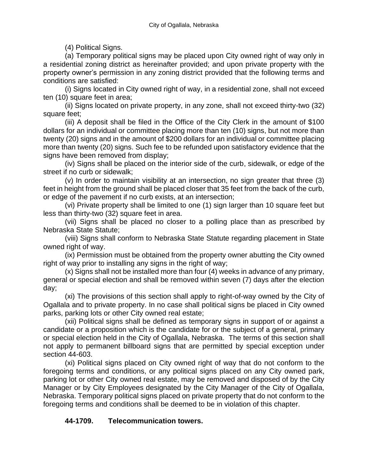(4) Political Signs.

(a) Temporary political signs may be placed upon City owned right of way only in a residential zoning district as hereinafter provided; and upon private property with the property owner's permission in any zoning district provided that the following terms and conditions are satisfied:

(i) Signs located in City owned right of way, in a residential zone, shall not exceed ten (10) square feet in area;

(ii) Signs located on private property, in any zone, shall not exceed thirty-two (32) square feet;

(iii) A deposit shall be filed in the Office of the City Clerk in the amount of \$100 dollars for an individual or committee placing more than ten (10) signs, but not more than twenty (20) signs and in the amount of \$200 dollars for an individual or committee placing more than twenty (20) signs. Such fee to be refunded upon satisfactory evidence that the signs have been removed from display;

(iv) Signs shall be placed on the interior side of the curb, sidewalk, or edge of the street if no curb or sidewalk;

(v) In order to maintain visibility at an intersection, no sign greater that three (3) feet in height from the ground shall be placed closer that 35 feet from the back of the curb, or edge of the pavement if no curb exists, at an intersection;

(vi) Private property shall be limited to one (1) sign larger than 10 square feet but less than thirty-two (32) square feet in area.

(vii) Signs shall be placed no closer to a polling place than as prescribed by Nebraska State Statute;

(viii) Signs shall conform to Nebraska State Statute regarding placement in State owned right of way.

(ix) Permission must be obtained from the property owner abutting the City owned right of way prior to installing any signs in the right of way;

(x) Signs shall not be installed more than four (4) weeks in advance of any primary, general or special election and shall be removed within seven (7) days after the election day;

(xi) The provisions of this section shall apply to right-of-way owned by the City of Ogallala and to private property. In no case shall political signs be placed in City owned parks, parking lots or other City owned real estate;

(xii) Political signs shall be defined as temporary signs in support of or against a candidate or a proposition which is the candidate for or the subject of a general, primary or special election held in the City of Ogallala, Nebraska. The terms of this section shall not apply to permanent billboard signs that are permitted by special exception under section 44-603.

(xi) Political signs placed on City owned right of way that do not conform to the foregoing terms and conditions, or any political signs placed on any City owned park, parking lot or other City owned real estate, may be removed and disposed of by the City Manager or by City Employees designated by the City Manager of the City of Ogallala, Nebraska. Temporary political signs placed on private property that do not conform to the foregoing terms and conditions shall be deemed to be in violation of this chapter.

# **44-1709. Telecommunication towers.**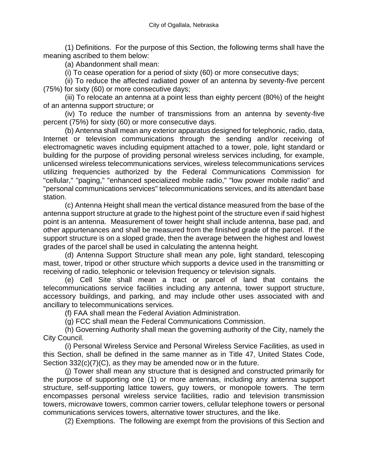(1) Definitions. For the purpose of this Section, the following terms shall have the meaning ascribed to them below:

(a) Abandonment shall mean:

(i) To cease operation for a period of sixty (60) or more consecutive days;

(ii) To reduce the affected radiated power of an antenna by seventy-five percent (75%) for sixty (60) or more consecutive days;

(iii) To relocate an antenna at a point less than eighty percent (80%) of the height of an antenna support structure; or

(iv) To reduce the number of transmissions from an antenna by seventy-five percent (75%) for sixty (60) or more consecutive days.

(b) Antenna shall mean any exterior apparatus designed for telephonic, radio, data, Internet or television communications through the sending and/or receiving of electromagnetic waves including equipment attached to a tower, pole, light standard or building for the purpose of providing personal wireless services including, for example, unlicensed wireless telecommunications services, wireless telecommunications services utilizing frequencies authorized by the Federal Communications Commission for "cellular," "paging," "enhanced specialized mobile radio," "low power mobile radio" and "personal communications services" telecommunications services, and its attendant base station.

(c) Antenna Height shall mean the vertical distance measured from the base of the antenna support structure at grade to the highest point of the structure even if said highest point is an antenna. Measurement of tower height shall include antenna, base pad, and other appurtenances and shall be measured from the finished grade of the parcel. If the support structure is on a sloped grade, then the average between the highest and lowest grades of the parcel shall be used in calculating the antenna height.

(d) Antenna Support Structure shall mean any pole, light standard, telescoping mast, tower, tripod or other structure which supports a device used in the transmitting or receiving of radio, telephonic or television frequency or television signals.

(e) Cell Site shall mean a tract or parcel of land that contains the telecommunications service facilities including any antenna, tower support structure, accessory buildings, and parking, and may include other uses associated with and ancillary to telecommunications services.

(f) FAA shall mean the Federal Aviation Administration.

(g) FCC shall mean the Federal Communications Commission.

(h) Governing Authority shall mean the governing authority of the City, namely the City Council.

(i) Personal Wireless Service and Personal Wireless Service Facilities, as used in this Section, shall be defined in the same manner as in Title 47, United States Code, Section 332(c)(7)(C), as they may be amended now or in the future.

(j) Tower shall mean any structure that is designed and constructed primarily for the purpose of supporting one (1) or more antennas, including any antenna support structure, self-supporting lattice towers, guy towers, or monopole towers. The term encompasses personal wireless service facilities, radio and television transmission towers, microwave towers, common carrier towers, cellular telephone towers or personal communications services towers, alternative tower structures, and the like.

(2) Exemptions. The following are exempt from the provisions of this Section and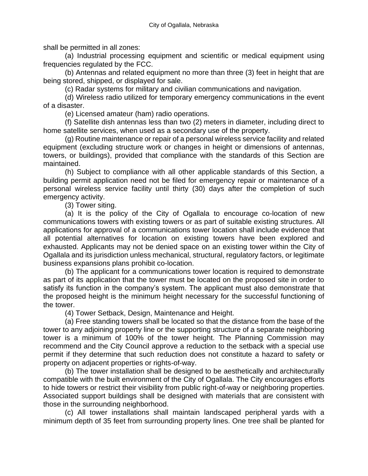shall be permitted in all zones:

(a) Industrial processing equipment and scientific or medical equipment using frequencies regulated by the FCC.

(b) Antennas and related equipment no more than three (3) feet in height that are being stored, shipped, or displayed for sale.

(c) Radar systems for military and civilian communications and navigation.

(d) Wireless radio utilized for temporary emergency communications in the event of a disaster.

(e) Licensed amateur (ham) radio operations.

(f) Satellite dish antennas less than two (2) meters in diameter, including direct to home satellite services, when used as a secondary use of the property.

(g) Routine maintenance or repair of a personal wireless service facility and related equipment (excluding structure work or changes in height or dimensions of antennas, towers, or buildings), provided that compliance with the standards of this Section are maintained.

(h) Subject to compliance with all other applicable standards of this Section, a building permit application need not be filed for emergency repair or maintenance of a personal wireless service facility until thirty (30) days after the completion of such emergency activity.

(3) Tower siting.

(a) It is the policy of the City of Ogallala to encourage co-location of new communications towers with existing towers or as part of suitable existing structures. All applications for approval of a communications tower location shall include evidence that all potential alternatives for location on existing towers have been explored and exhausted. Applicants may not be denied space on an existing tower within the City of Ogallala and its jurisdiction unless mechanical, structural, regulatory factors, or legitimate business expansions plans prohibit co-location.

(b) The applicant for a communications tower location is required to demonstrate as part of its application that the tower must be located on the proposed site in order to satisfy its function in the company's system. The applicant must also demonstrate that the proposed height is the minimum height necessary for the successful functioning of the tower.

(4) Tower Setback, Design, Maintenance and Height.

(a) Free standing towers shall be located so that the distance from the base of the tower to any adjoining property line or the supporting structure of a separate neighboring tower is a minimum of 100% of the tower height. The Planning Commission may recommend and the City Council approve a reduction to the setback with a special use permit if they determine that such reduction does not constitute a hazard to safety or property on adjacent properties or rights-of-way.

(b) The tower installation shall be designed to be aesthetically and architecturally compatible with the built environment of the City of Ogallala. The City encourages efforts to hide towers or restrict their visibility from public right-of-way or neighboring properties. Associated support buildings shall be designed with materials that are consistent with those in the surrounding neighborhood.

(c) All tower installations shall maintain landscaped peripheral yards with a minimum depth of 35 feet from surrounding property lines. One tree shall be planted for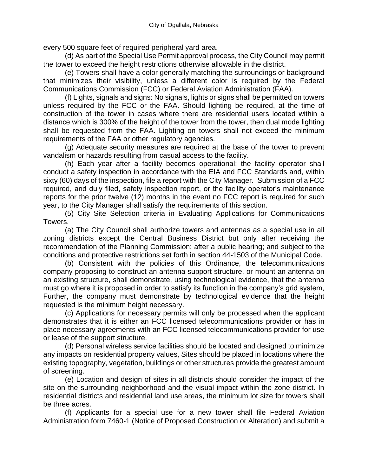every 500 square feet of required peripheral yard area.

(d) As part of the Special Use Permit approval process, the City Council may permit the tower to exceed the height restrictions otherwise allowable in the district.

(e) Towers shall have a color generally matching the surroundings or background that minimizes their visibility, unless a different color is required by the Federal Communications Commission (FCC) or Federal Aviation Administration (FAA).

(f) Lights, signals and signs: No signals, lights or signs shall be permitted on towers unless required by the FCC or the FAA. Should lighting be required, at the time of construction of the tower in cases where there are residential users located within a distance which is 300% of the height of the tower from the tower, then dual mode lighting shall be requested from the FAA. Lighting on towers shall not exceed the minimum requirements of the FAA or other regulatory agencies.

(g) Adequate security measures are required at the base of the tower to prevent vandalism or hazards resulting from casual access to the facility.

(h) Each year after a facility becomes operational; the facility operator shall conduct a safety inspection in accordance with the EIA and FCC Standards and, within sixty (60) days of the inspection, file a report with the City Manager. Submission of a FCC required, and duly filed, safety inspection report, or the facility operator's maintenance reports for the prior twelve (12) months in the event no FCC report is required for such year, to the City Manager shall satisfy the requirements of this section.

(5) City Site Selection criteria in Evaluating Applications for Communications Towers.

(a) The City Council shall authorize towers and antennas as a special use in all zoning districts except the Central Business District but only after receiving the recommendation of the Planning Commission; after a public hearing; and subject to the conditions and protective restrictions set forth in section 44-1503 of the Municipal Code.

(b) Consistent with the policies of this Ordinance, the telecommunications company proposing to construct an antenna support structure, or mount an antenna on an existing structure, shall demonstrate, using technological evidence, that the antenna must go where it is proposed in order to satisfy its function in the company's grid system, Further, the company must demonstrate by technological evidence that the height requested is the minimum height necessary.

(c) Applications for necessary permits will only be processed when the applicant demonstrates that it is either an FCC licensed telecommunications provider or has in place necessary agreements with an FCC licensed telecommunications provider for use or lease of the support structure.

(d) Personal wireless service facilities should be located and designed to minimize any impacts on residential property values, Sites should be placed in locations where the existing topography, vegetation, buildings or other structures provide the greatest amount of screening.

(e) Location and design of sites in all districts should consider the impact of the site on the surrounding neighborhood and the visual impact within the zone district. In residential districts and residential land use areas, the minimum lot size for towers shall be three acres.

(f) Applicants for a special use for a new tower shall file Federal Aviation Administration form 7460-1 (Notice of Proposed Construction or Alteration) and submit a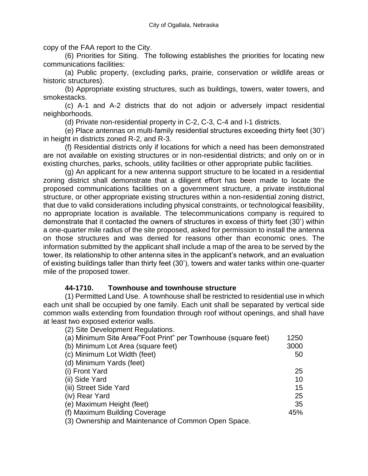copy of the FAA report to the City.

(6) Priorities for Siting. The following establishes the priorities for locating new communications facilities:

(a) Public property, (excluding parks, prairie, conservation or wildlife areas or historic structures).

(b) Appropriate existing structures, such as buildings, towers, water towers, and smokestacks.

(c) A-1 and A-2 districts that do not adjoin or adversely impact residential neighborhoods.

(d) Private non-residential property in C-2, C-3, C-4 and I-1 districts.

(e) Place antennas on multi-family residential structures exceeding thirty feet (30') in height in districts zoned R-2, and R-3.

(f) Residential districts only if locations for which a need has been demonstrated are not available on existing structures or in non-residential districts; and only on or in existing churches, parks, schools, utility facilities or other appropriate public facilities.

(g) An applicant for a new antenna support structure to be located in a residential zoning district shall demonstrate that a diligent effort has been made to locate the proposed communications facilities on a government structure, a private institutional structure, or other appropriate existing structures within a non-residential zoning district, that due to valid considerations including physical constraints, or technological feasibility, no appropriate location is available. The telecommunications company is required to demonstrate that it contacted the owners of structures in excess of thirty feet (30') within a one-quarter mile radius of the site proposed, asked for permission to install the antenna on those structures and was denied for reasons other than economic ones. The information submitted by the applicant shall include a map of the area to be served by the tower, its relationship to other antenna sites in the applicant's network, and an evaluation of existing buildings taller than thirty feet (30'), towers and water tanks within one-quarter mile of the proposed tower.

#### **44-1710. Townhouse and townhouse structure**

(1) Permitted Land Use. A townhouse shall be restricted to residential use in which each unit shall be occupied by one family. Each unit shall be separated by vertical side common walls extending from foundation through roof without openings, and shall have at least two exposed exterior walls.

| (2) Site Development Regulations.                              |      |
|----------------------------------------------------------------|------|
| (a) Minimum Site Area/"Foot Print" per Townhouse (square feet) | 1250 |
| (b) Minimum Lot Area (square feet)                             | 3000 |
| (c) Minimum Lot Width (feet)                                   | 50   |
| (d) Minimum Yards (feet)                                       |      |
| (i) Front Yard                                                 | 25   |
| (ii) Side Yard                                                 | 10   |
| (iii) Street Side Yard                                         | 15   |
| (iv) Rear Yard                                                 | 25   |
| (e) Maximum Height (feet)                                      | 35   |
| (f) Maximum Building Coverage                                  | 45%  |
| (3) Ownership and Maintenance of Common Open Space             |      |

(3) Ownership and Maintenance of Common Open Space.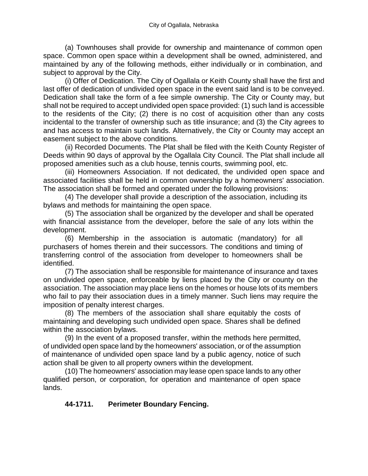(a) Townhouses shall provide for ownership and maintenance of common open space. Common open space within a development shall be owned, administered, and maintained by any of the following methods, either individually or in combination, and subject to approval by the City.

(i) Offer of Dedication. The City of Ogallala or Keith County shall have the first and last offer of dedication of undivided open space in the event said land is to be conveyed. Dedication shall take the form of a fee simple ownership. The City or County may, but shall not be required to accept undivided open space provided: (1) such land is accessible to the residents of the City; (2) there is no cost of acquisition other than any costs incidental to the transfer of ownership such as title insurance; and (3) the City agrees to and has access to maintain such lands. Alternatively, the City or County may accept an easement subject to the above conditions.

(ii) Recorded Documents. The Plat shall be filed with the Keith County Register of Deeds within 90 days of approval by the Ogallala City Council. The Plat shall include all proposed amenities such as a club house, tennis courts, swimming pool, etc.

(iii) Homeowners Association. If not dedicated, the undivided open space and associated facilities shall be held in common ownership by a homeowners' association. The association shall be formed and operated under the following provisions:

(4) The developer shall provide a description of the association, including its bylaws and methods for maintaining the open space.

(5) The association shall be organized by the developer and shall be operated with financial assistance from the developer, before the sale of any lots within the development.

(6) Membership in the association is automatic (mandatory) for all purchasers of homes therein and their successors. The conditions and timing of transferring control of the association from developer to homeowners shall be identified.

(7) The association shall be responsible for maintenance of insurance and taxes on undivided open space, enforceable by liens placed by the City or county on the association. The association may place liens on the homes or house lots of its members who fail to pay their association dues in a timely manner. Such liens may require the imposition of penalty interest charges.

(8) The members of the association shall share equitably the costs of maintaining and developing such undivided open space. Shares shall be defined within the association bylaws.

(9) In the event of a proposed transfer, within the methods here permitted, of undivided open space land by the homeowners' association, or of the assumption of maintenance of undivided open space land by a public agency, notice of such action shall be given to all property owners within the development.

(10) The homeowners' association may lease open space lands to any other qualified person, or corporation, for operation and maintenance of open space lands.

# **44-1711. Perimeter Boundary Fencing.**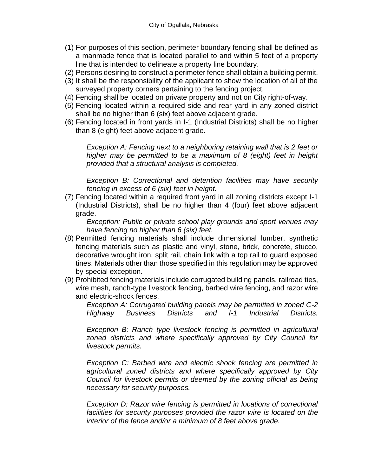- (1) For purposes of this section, perimeter boundary fencing shall be defined as a manmade fence that is located parallel to and within 5 feet of a property line that is intended to delineate a property line boundary.
- (2) Persons desiring to construct a perimeter fence shall obtain a building permit.
- (3) It shall be the responsibility of the applicant to show the location of all of the surveyed property corners pertaining to the fencing project.
- (4) Fencing shall be located on private property and not on City right-of-way.
- (5) Fencing located within a required side and rear yard in any zoned district shall be no higher than 6 (six) feet above adjacent grade.
- (6) Fencing located in front yards in I-1 (Industrial Districts) shall be no higher than 8 (eight) feet above adjacent grade.

*Exception A: Fencing next to a neighboring retaining wall that is 2 feet or higher may be permitted to be a maximum of 8 (eight) feet in height provided that a structural analysis is completed.*

*Exception B: Correctional and detention facilities may have security fencing in excess of 6 (six) feet in height.*

(7) Fencing located within a required front yard in all zoning districts except I-1 (Industrial Districts), shall be no higher than 4 (four) feet above adjacent grade.

*Exception: Public or private school play grounds and sport venues may have fencing no higher than 6 (six) feet.* 

- (8) Permitted fencing materials shall include dimensional lumber, synthetic fencing materials such as plastic and vinyl, stone, brick, concrete, stucco, decorative wrought iron, split rail, chain link with a top rail to guard exposed tines. Materials other than those specified in this regulation may be approved by special exception.
- (9) Prohibited fencing materials include corrugated building panels, railroad ties, wire mesh, ranch-type livestock fencing, barbed wire fencing, and razor wire and electric-shock fences.

*Exception A: Corrugated building panels may be permitted in zoned C-2 Highway Business Districts and I-1 Industrial Districts.*

*Exception B: Ranch type livestock fencing is permitted in agricultural zoned districts and where specifically approved by City Council for livestock permits.* 

*Exception C: Barbed wire and electric shock fencing are permitted in agricultural zoned districts and where specifically approved by City Council for livestock permits or deemed by the zoning official as being necessary for security purposes.* 

*Exception D: Razor wire fencing is permitted in locations of correctional*  facilities for security purposes provided the razor wire is located on the *interior of the fence and/or a minimum of 8 feet above grade.*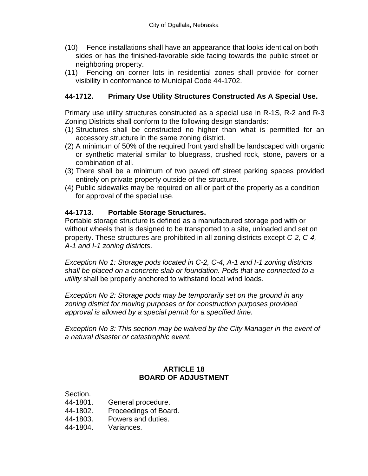- (10) Fence installations shall have an appearance that looks identical on both sides or has the finished-favorable side facing towards the public street or neighboring property.
- (11) Fencing on corner lots in residential zones shall provide for corner visibility in conformance to Municipal Code 44-1702.

### **44-1712. Primary Use Utility Structures Constructed As A Special Use.**

Primary use utility structures constructed as a special use in R-1S, R-2 and R-3 Zoning Districts shall conform to the following design standards:

- (1) Structures shall be constructed no higher than what is permitted for an accessory structure in the same zoning district.
- (2) A minimum of 50% of the required front yard shall be landscaped with organic or synthetic material similar to bluegrass, crushed rock, stone, pavers or a combination of all.
- (3) There shall be a minimum of two paved off street parking spaces provided entirely on private property outside of the structure.
- (4) Public sidewalks may be required on all or part of the property as a condition for approval of the special use.

### **44-1713. Portable Storage Structures.**

Portable storage structure is defined as a manufactured storage pod with or without wheels that is designed to be transported to a site, unloaded and set on property. These structures are prohibited in all zoning districts except *C-2, C-4, A-1 and I-1 zoning districts*.

*Exception No 1: Storage pods located in C-2, C-4, A-1 and I-1 zoning districts shall be placed on a concrete slab or foundation. Pods that are connected to a utility* shall be properly anchored to withstand local wind loads.

*Exception No 2: Storage pods may be temporarily set on the ground in any zoning district for moving purposes or for construction purposes provided approval is allowed by a special permit for a specified time.* 

*Exception No 3: This section may be waived by the City Manager in the event of a natural disaster or catastrophic event.* 

### **ARTICLE 18 BOARD OF ADJUSTMENT**

Section.

- 44-1801. General procedure.
- 44-1802. Proceedings of Board.
- 44-1803. Powers and duties.
- 44-1804. Variances.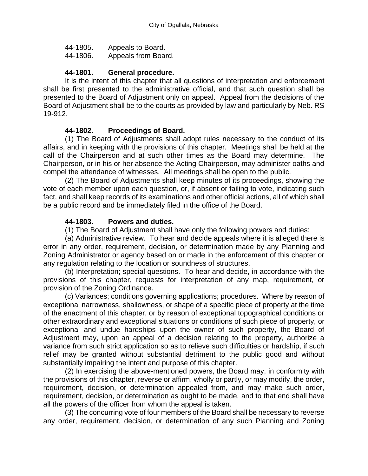| 44-1805. | Appeals to Board.   |
|----------|---------------------|
| 44-1806. | Appeals from Board. |

#### **44-1801. General procedure.**

It is the intent of this chapter that all questions of interpretation and enforcement shall be first presented to the administrative official, and that such question shall be presented to the Board of Adjustment only on appeal. Appeal from the decisions of the Board of Adjustment shall be to the courts as provided by law and particularly by Neb. RS 19-912.

#### **44-1802. Proceedings of Board.**

(1) The Board of Adjustments shall adopt rules necessary to the conduct of its affairs, and in keeping with the provisions of this chapter. Meetings shall be held at the call of the Chairperson and at such other times as the Board may determine. The Chairperson, or in his or her absence the Acting Chairperson, may administer oaths and compel the attendance of witnesses. All meetings shall be open to the public.

(2) The Board of Adjustments shall keep minutes of its proceedings, showing the vote of each member upon each question, or, if absent or failing to vote, indicating such fact, and shall keep records of its examinations and other official actions, all of which shall be a public record and be immediately filed in the office of the Board.

#### **44-1803. Powers and duties.**

(1) The Board of Adjustment shall have only the following powers and duties:

(a) Administrative review. To hear and decide appeals where it is alleged there is error in any order, requirement, decision, or determination made by any Planning and Zoning Administrator or agency based on or made in the enforcement of this chapter or any regulation relating to the location or soundness of structures.

(b) Interpretation; special questions. To hear and decide, in accordance with the provisions of this chapter, requests for interpretation of any map, requirement, or provision of the Zoning Ordinance.

(c) Variances; conditions governing applications; procedures. Where by reason of exceptional narrowness, shallowness, or shape of a specific piece of property at the time of the enactment of this chapter, or by reason of exceptional topographical conditions or other extraordinary and exceptional situations or conditions of such piece of property, or exceptional and undue hardships upon the owner of such property, the Board of Adjustment may, upon an appeal of a decision relating to the property, authorize a variance from such strict application so as to relieve such difficulties or hardship, if such relief may be granted without substantial detriment to the public good and without substantially impairing the intent and purpose of this chapter.

(2) In exercising the above-mentioned powers, the Board may, in conformity with the provisions of this chapter, reverse or affirm, wholly or partly, or may modify, the order, requirement, decision, or determination appealed from, and may make such order, requirement, decision, or determination as ought to be made, and to that end shall have all the powers of the officer from whom the appeal is taken.

(3) The concurring vote of four members of the Board shall be necessary to reverse any order, requirement, decision, or determination of any such Planning and Zoning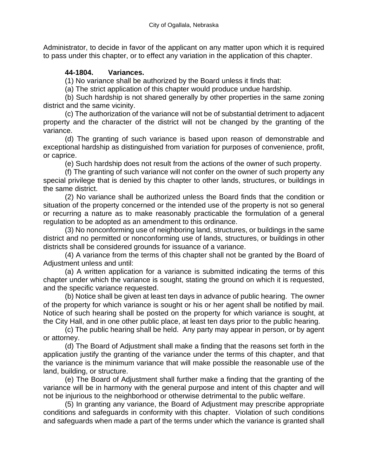Administrator, to decide in favor of the applicant on any matter upon which it is required to pass under this chapter, or to effect any variation in the application of this chapter.

## **44-1804. Variances.**

(1) No variance shall be authorized by the Board unless it finds that:

(a) The strict application of this chapter would produce undue hardship.

(b) Such hardship is not shared generally by other properties in the same zoning district and the same vicinity.

(c) The authorization of the variance will not be of substantial detriment to adjacent property and the character of the district will not be changed by the granting of the variance.

(d) The granting of such variance is based upon reason of demonstrable and exceptional hardship as distinguished from variation for purposes of convenience, profit, or caprice.

(e) Such hardship does not result from the actions of the owner of such property.

(f) The granting of such variance will not confer on the owner of such property any special privilege that is denied by this chapter to other lands, structures, or buildings in the same district.

(2) No variance shall be authorized unless the Board finds that the condition or situation of the property concerned or the intended use of the property is not so general or recurring a nature as to make reasonably practicable the formulation of a general regulation to be adopted as an amendment to this ordinance.

(3) No nonconforming use of neighboring land, structures, or buildings in the same district and no permitted or nonconforming use of lands, structures, or buildings in other districts shall be considered grounds for issuance of a variance.

(4) A variance from the terms of this chapter shall not be granted by the Board of Adjustment unless and until:

(a) A written application for a variance is submitted indicating the terms of this chapter under which the variance is sought, stating the ground on which it is requested, and the specific variance requested.

(b) Notice shall be given at least ten days in advance of public hearing. The owner of the property for which variance is sought or his or her agent shall be notified by mail. Notice of such hearing shall be posted on the property for which variance is sought, at the City Hall, and in one other public place, at least ten days prior to the public hearing.

(c) The public hearing shall be held. Any party may appear in person, or by agent or attorney.

(d) The Board of Adjustment shall make a finding that the reasons set forth in the application justify the granting of the variance under the terms of this chapter, and that the variance is the minimum variance that will make possible the reasonable use of the land, building, or structure.

(e) The Board of Adjustment shall further make a finding that the granting of the variance will be in harmony with the general purpose and intent of this chapter and will not be injurious to the neighborhood or otherwise detrimental to the public welfare.

(5) In granting any variance, the Board of Adjustment may prescribe appropriate conditions and safeguards in conformity with this chapter. Violation of such conditions and safeguards when made a part of the terms under which the variance is granted shall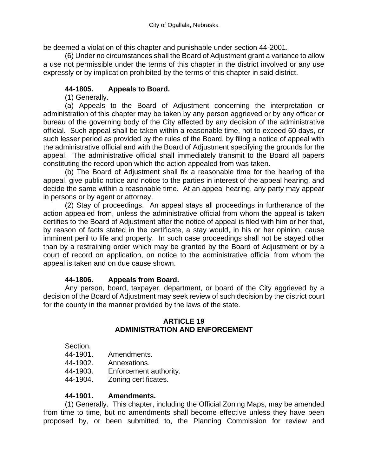be deemed a violation of this chapter and punishable under section 44-2001.

(6) Under no circumstances shall the Board of Adjustment grant a variance to allow a use not permissible under the terms of this chapter in the district involved or any use expressly or by implication prohibited by the terms of this chapter in said district.

## **44-1805. Appeals to Board.**

(1) Generally.

(a) Appeals to the Board of Adjustment concerning the interpretation or administration of this chapter may be taken by any person aggrieved or by any officer or bureau of the governing body of the City affected by any decision of the administrative official. Such appeal shall be taken within a reasonable time, not to exceed 60 days, or such lesser period as provided by the rules of the Board, by filing a notice of appeal with the administrative official and with the Board of Adjustment specifying the grounds for the appeal. The administrative official shall immediately transmit to the Board all papers constituting the record upon which the action appealed from was taken.

(b) The Board of Adjustment shall fix a reasonable time for the hearing of the appeal, give public notice and notice to the parties in interest of the appeal hearing, and decide the same within a reasonable time. At an appeal hearing, any party may appear in persons or by agent or attorney.

(2) Stay of proceedings. An appeal stays all proceedings in furtherance of the action appealed from, unless the administrative official from whom the appeal is taken certifies to the Board of Adjustment after the notice of appeal is filed with him or her that, by reason of facts stated in the certificate, a stay would, in his or her opinion, cause imminent peril to life and property. In such case proceedings shall not be stayed other than by a restraining order which may be granted by the Board of Adjustment or by a court of record on application, on notice to the administrative official from whom the appeal is taken and on due cause shown.

### **44-1806. Appeals from Board.**

Any person, board, taxpayer, department, or board of the City aggrieved by a decision of the Board of Adjustment may seek review of such decision by the district court for the county in the manner provided by the laws of the state.

#### **ARTICLE 19 ADMINISTRATION AND ENFORCEMENT**

Section.

- 44-1901. Amendments.
- 44-1902. Annexations.
- 44-1903. Enforcement authority.
- 44-1904. Zoning certificates.

#### **44-1901. Amendments.**

(1) Generally. This chapter, including the Official Zoning Maps, may be amended from time to time, but no amendments shall become effective unless they have been proposed by, or been submitted to, the Planning Commission for review and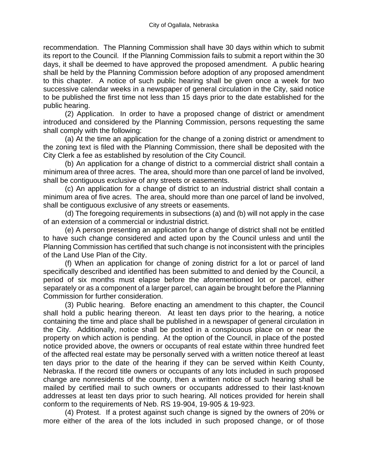recommendation. The Planning Commission shall have 30 days within which to submit its report to the Council. If the Planning Commission fails to submit a report within the 30 days, it shall be deemed to have approved the proposed amendment. A public hearing shall be held by the Planning Commission before adoption of any proposed amendment to this chapter. A notice of such public hearing shall be given once a week for two successive calendar weeks in a newspaper of general circulation in the City, said notice to be published the first time not less than 15 days prior to the date established for the public hearing.

(2) Application. In order to have a proposed change of district or amendment introduced and considered by the Planning Commission, persons requesting the same shall comply with the following:

(a) At the time an application for the change of a zoning district or amendment to the zoning text is filed with the Planning Commission, there shall be deposited with the City Clerk a fee as established by resolution of the City Council.

(b) An application for a change of district to a commercial district shall contain a minimum area of three acres. The area, should more than one parcel of land be involved, shall be contiguous exclusive of any streets or easements.

(c) An application for a change of district to an industrial district shall contain a minimum area of five acres. The area, should more than one parcel of land be involved, shall be contiguous exclusive of any streets or easements.

(d) The foregoing requirements in subsections (a) and (b) will not apply in the case of an extension of a commercial or industrial district.

(e) A person presenting an application for a change of district shall not be entitled to have such change considered and acted upon by the Council unless and until the Planning Commission has certified that such change is not inconsistent with the principles of the Land Use Plan of the City.

(f) When an application for change of zoning district for a lot or parcel of land specifically described and identified has been submitted to and denied by the Council, a period of six months must elapse before the aforementioned lot or parcel, either separately or as a component of a larger parcel, can again be brought before the Planning Commission for further consideration.

(3) Public hearing. Before enacting an amendment to this chapter, the Council shall hold a public hearing thereon. At least ten days prior to the hearing, a notice containing the time and place shall be published in a newspaper of general circulation in the City. Additionally, notice shall be posted in a conspicuous place on or near the property on which action is pending. At the option of the Council, in place of the posted notice provided above, the owners or occupants of real estate within three hundred feet of the affected real estate may be personally served with a written notice thereof at least ten days prior to the date of the hearing if they can be served within Keith County, Nebraska. If the record title owners or occupants of any lots included in such proposed change are nonresidents of the county, then a written notice of such hearing shall be mailed by certified mail to such owners or occupants addressed to their last-known addresses at least ten days prior to such hearing. All notices provided for herein shall conform to the requirements of Neb. RS 19-904, 19-905 & 19-923.

(4) Protest. If a protest against such change is signed by the owners of 20% or more either of the area of the lots included in such proposed change, or of those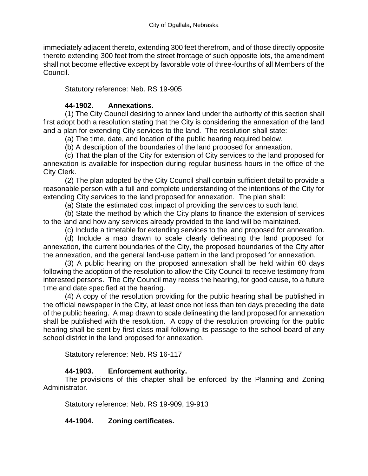immediately adjacent thereto, extending 300 feet therefrom, and of those directly opposite thereto extending 300 feet from the street frontage of such opposite lots, the amendment shall not become effective except by favorable vote of three-fourths of all Members of the Council.

Statutory reference: Neb. RS 19-905

### **44-1902. Annexations.**

(1) The City Council desiring to annex land under the authority of this section shall first adopt both a resolution stating that the City is considering the annexation of the land and a plan for extending City services to the land. The resolution shall state:

(a) The time, date, and location of the public hearing required below.

(b) A description of the boundaries of the land proposed for annexation.

(c) That the plan of the City for extension of City services to the land proposed for annexation is available for inspection during regular business hours in the office of the City Clerk.

(2) The plan adopted by the City Council shall contain sufficient detail to provide a reasonable person with a full and complete understanding of the intentions of the City for extending City services to the land proposed for annexation. The plan shall:

(a) State the estimated cost impact of providing the services to such land.

(b) State the method by which the City plans to finance the extension of services to the land and how any services already provided to the land will be maintained.

(c) Include a timetable for extending services to the land proposed for annexation.

(d) Include a map drawn to scale clearly delineating the land proposed for annexation, the current boundaries of the City, the proposed boundaries of the City after the annexation, and the general land-use pattern in the land proposed for annexation.

(3) A public hearing on the proposed annexation shall be held within 60 days following the adoption of the resolution to allow the City Council to receive testimony from interested persons. The City Council may recess the hearing, for good cause, to a future time and date specified at the hearing.

(4) A copy of the resolution providing for the public hearing shall be published in the official newspaper in the City, at least once not less than ten days preceding the date of the public hearing. A map drawn to scale delineating the land proposed for annexation shall be published with the resolution. A copy of the resolution providing for the public hearing shall be sent by first-class mail following its passage to the school board of any school district in the land proposed for annexation.

Statutory reference: Neb. RS 16-117

### **44-1903. Enforcement authority.**

The provisions of this chapter shall be enforced by the Planning and Zoning Administrator.

Statutory reference: Neb. RS 19-909, 19-913

### **44-1904. Zoning certificates.**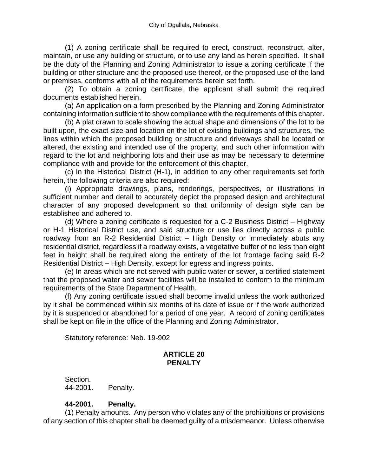(1) A zoning certificate shall be required to erect, construct, reconstruct, alter, maintain, or use any building or structure, or to use any land as herein specified. It shall be the duty of the Planning and Zoning Administrator to issue a zoning certificate if the building or other structure and the proposed use thereof, or the proposed use of the land or premises, conforms with all of the requirements herein set forth.

(2) To obtain a zoning certificate, the applicant shall submit the required documents established herein.

(a) An application on a form prescribed by the Planning and Zoning Administrator containing information sufficient to show compliance with the requirements of this chapter.

(b) A plat drawn to scale showing the actual shape and dimensions of the lot to be built upon, the exact size and location on the lot of existing buildings and structures, the lines within which the proposed building or structure and driveways shall be located or altered, the existing and intended use of the property, and such other information with regard to the lot and neighboring lots and their use as may be necessary to determine compliance with and provide for the enforcement of this chapter.

(c) In the Historical District (H-1), in addition to any other requirements set forth herein, the following criteria are also required:

(i) Appropriate drawings, plans, renderings, perspectives, or illustrations in sufficient number and detail to accurately depict the proposed design and architectural character of any proposed development so that uniformity of design style can be established and adhered to.

(d) Where a zoning certificate is requested for a C-2 Business District – Highway or H-1 Historical District use, and said structure or use lies directly across a public roadway from an R-2 Residential District – High Density or immediately abuts any residential district, regardless if a roadway exists, a vegetative buffer of no less than eight feet in height shall be required along the entirety of the lot frontage facing said R-2 Residential District – High Density, except for egress and ingress points.

(e) In areas which are not served with public water or sewer, a certified statement that the proposed water and sewer facilities will be installed to conform to the minimum requirements of the State Department of Health.

(f) Any zoning certificate issued shall become invalid unless the work authorized by it shall be commenced within six months of its date of issue or if the work authorized by it is suspended or abandoned for a period of one year. A record of zoning certificates shall be kept on file in the office of the Planning and Zoning Administrator.

Statutory reference: Neb. 19-902

#### **ARTICLE 20 PENALTY**

Section. 44-2001. Penalty.

### **44-2001. Penalty.**

(1) Penalty amounts. Any person who violates any of the prohibitions or provisions of any section of this chapter shall be deemed guilty of a misdemeanor. Unless otherwise